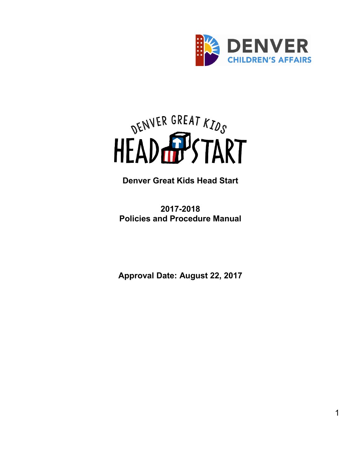

<span id="page-0-0"></span>

**Denver Great Kids Head Start**

**2017-2018 Policies and Procedure Manual**

**Approval Date: August 22, 2017**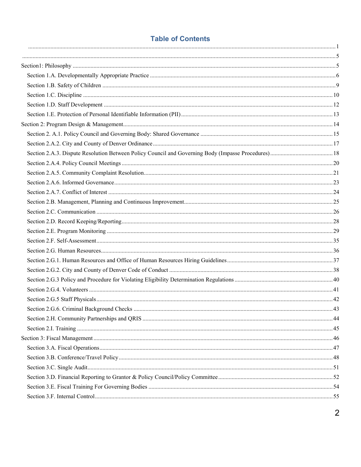### **Table of Contents**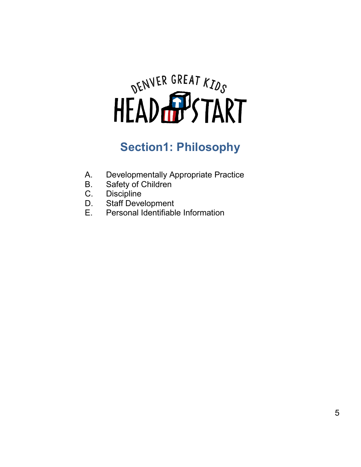# <span id="page-4-0"></span>DENVER GREAT KIDS

# **Section1: Philosophy**

- <span id="page-4-1"></span>A. Developmentally Appropriate Practice<br>B. Safety of Children
- Safety of Children
- C. Discipline
- D. Staff Development<br>E. Personal Identifiabl
- Personal Identifiable Information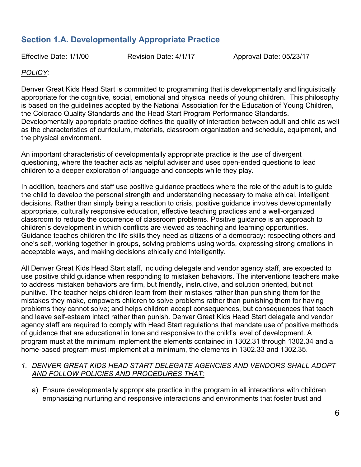# <span id="page-5-0"></span>**Section 1.A. Developmentally Appropriate Practice**

Effective Date: 1/1/00 Revision Date: 4/1/17 Approval Date: 05/23/17

#### *POLICY:*

Denver Great Kids Head Start is committed to programming that is developmentally and linguistically appropriate for the cognitive, social, emotional and physical needs of young children. This philosophy is based on the guidelines adopted by the National Association for the Education of Young Children, the Colorado Quality Standards and the Head Start Program Performance Standards. Developmentally appropriate practice defines the quality of interaction between adult and child as well as the characteristics of curriculum, materials, classroom organization and schedule, equipment, and the physical environment.

An important characteristic of developmentally appropriate practice is the use of divergent questioning, where the teacher acts as helpful adviser and uses open-ended questions to lead children to a deeper exploration of language and concepts while they play.

In addition, teachers and staff use positive guidance practices where the role of the adult is to guide the child to develop the personal strength and understanding necessary to make ethical, intelligent decisions. Rather than simply being a reaction to crisis, positive guidance involves developmentally appropriate, culturally responsive education, effective teaching practices and a well-organized classroom to reduce the occurrence of classroom problems. Positive guidance is an approach to children's development in which conflicts are viewed as teaching and learning opportunities. Guidance teaches children the life skills they need as citizens of a democracy: respecting others and one's self, working together in groups, solving problems using words, expressing strong emotions in acceptable ways, and making decisions ethically and intelligently.

All Denver Great Kids Head Start staff, including delegate and vendor agency staff, are expected to use positive child guidance when responding to mistaken behaviors. The interventions teachers make to address mistaken behaviors are firm, but friendly, instructive, and solution oriented, but not punitive. The teacher helps children learn from their mistakes rather than punishing them for the mistakes they make, empowers children to solve problems rather than punishing them for having problems they cannot solve; and helps children accept consequences, but consequences that teach and leave self-esteem intact rather than punish. Denver Great Kids Head Start delegate and vendor agency staff are required to comply with Head Start regulations that mandate use of positive methods of guidance that are educational in tone and responsive to the child's level of development. A program must at the minimum implement the elements contained in 1302.31 through 1302.34 and a home-based program must implement at a minimum, the elements in 1302.33 and 1302.35.

#### *1. DENVER GREAT KIDS HEAD START DELEGATE AGENCIES AND VENDORS SHALL ADOPT AND FOLLOW POLICIES AND PROCEDURES THAT:*

a) Ensure developmentally appropriate practice in the program in all interactions with children emphasizing nurturing and responsive interactions and environments that foster trust and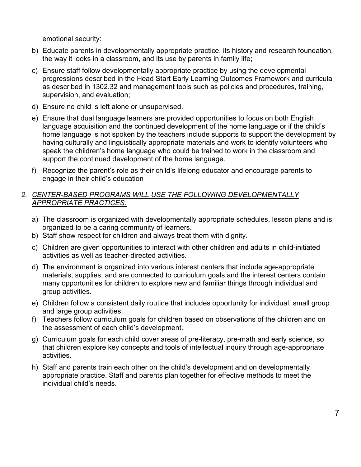emotional security:

- b) Educate parents in developmentally appropriate practice, its history and research foundation, the way it looks in a classroom, and its use by parents in family life;
- c) Ensure staff follow developmentally appropriate practice by using the developmental progressions described in the Head Start Early Learning Outcomes Framework and curricula as described in 1302.32 and management tools such as policies and procedures, training, supervision, and evaluation;
- d) Ensure no child is left alone or unsupervised.
- e) Ensure that dual language learners are provided opportunities to focus on both English language acquisition and the continued development of the home language or if the child's home language is not spoken by the teachers include supports to support the development by having culturally and linguistically appropriate materials and work to identify volunteers who speak the children's home language who could be trained to work in the classroom and support the continued development of the home language.
- f) Recognize the parent's role as their child's lifelong educator and encourage parents to engage in their child's education

#### *2. CENTER-BASED PROGRAMS WILL USE THE FOLLOWING DEVELOPMENTALLY APPROPRIATE PRACTICES:*

- a) The classroom is organized with developmentally appropriate schedules, lesson plans and is organized to be a caring community of learners.
- b) Staff show respect for children and always treat them with dignity.
- c) Children are given opportunities to interact with other children and adults in child-initiated activities as well as teacher-directed activities.
- d) The environment is organized into various interest centers that include age-appropriate materials, supplies, and are connected to curriculum goals and the interest centers contain many opportunities for children to explore new and familiar things through individual and group activities.
- e) Children follow a consistent daily routine that includes opportunity for individual, small group and large group activities.
- f) Teachers follow curriculum goals for children based on observations of the children and on the assessment of each child's development.
- g) Curriculum goals for each child cover areas of pre-literacy, pre-math and early science, so that children explore key concepts and tools of intellectual inquiry through age-appropriate activities.
- h) Staff and parents train each other on the child's development and on developmentally appropriate practice. Staff and parents plan together for effective methods to meet the individual child's needs.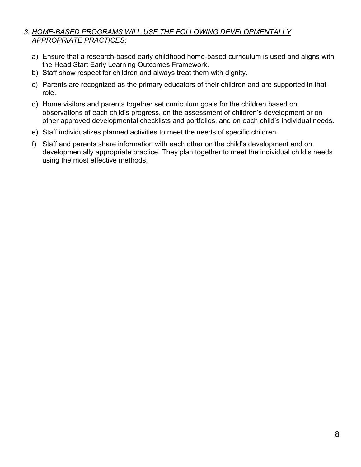#### *3. HOME-BASED PROGRAMS WILL USE THE FOLLOWING DEVELOPMENTALLY APPROPRIATE PRACTICES:*

- a) Ensure that a research-based early childhood home-based curriculum is used and aligns with the Head Start Early Learning Outcomes Framework.
- b) Staff show respect for children and always treat them with dignity.
- c) Parents are recognized as the primary educators of their children and are supported in that role.
- d) Home visitors and parents together set curriculum goals for the children based on observations of each child's progress, on the assessment of children's development or on other approved developmental checklists and portfolios, and on each child's individual needs.
- e) Staff individualizes planned activities to meet the needs of specific children.
- f) Staff and parents share information with each other on the child's development and on developmentally appropriate practice. They plan together to meet the individual child's needs using the most effective methods.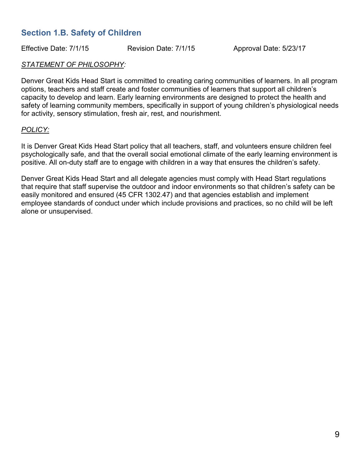# <span id="page-8-0"></span>**Section 1.B. Safety of Children**

Effective Date: 7/1/15 Revision Date: 7/1/15 Approval Date: 5/23/17

#### *STATEMENT OF PHILOSOPHY:*

Denver Great Kids Head Start is committed to creating caring communities of learners. In all program options, teachers and staff create and foster communities of learners that support all children's capacity to develop and learn. Early learning environments are designed to protect the health and safety of learning community members, specifically in support of young children's physiological needs for activity, sensory stimulation, fresh air, rest, and nourishment.

#### *POLICY:*

It is Denver Great Kids Head Start policy that all teachers, staff, and volunteers ensure children feel psychologically safe, and that the overall social emotional climate of the early learning environment is positive. All on-duty staff are to engage with children in a way that ensures the children's safety.

Denver Great Kids Head Start and all delegate agencies must comply with Head Start regulations that require that staff supervise the outdoor and indoor environments so that children's safety can be easily monitored and ensured (45 CFR 1302.47) and that agencies establish and implement employee standards of conduct under which include provisions and practices, so no child will be left alone or unsupervised.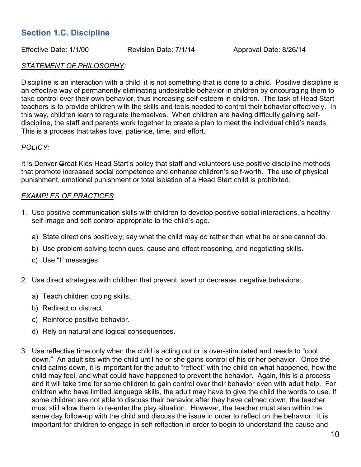# <span id="page-9-0"></span>**Section 1.C. Discipline**

Effective Date: 1/1/00 Revision Date: 7/1/14 Approval Date: 8/26/14

#### *STATEMENT OF PHILOSOPHY:*

Discipline is an interaction with a child; it is not something that is done to a child. Positive discipline is an effective way of permanently eliminating undesirable behavior in children by encouraging them to take control over their own behavior, thus increasing self-esteem in children. The task of Head Start teachers is to provide children with the skills and tools needed to control their behavior effectively. In this way, children learn to regulate themselves. When children are having difficulty gaining selfdiscipline, the staff and parents work together to create a plan to meet the individual child's needs. This is a process that takes love, patience, time, and effort.

#### *POLICY:*

It is Denver Great Kids Head Start's policy that staff and volunteers use positive discipline methods that promote increased social competence and enhance children's self-worth. The use of physical punishment, emotional punishment or total isolation of a Head Start child is prohibited.

#### *EXAMPLES OF PRACTICES:*

- 1. Use positive communication skills with children to develop positive social interactions, a healthy self-image and self-control appropriate to the child's age.
	- a) State directions positively; say what the child may do rather than what he or she cannot do.
	- b) Use problem-solving techniques, cause and effect reasoning, and negotiating skills.
	- c) Use "I" messages.
- 2. Use direct strategies with children that prevent, avert or decrease, negative behaviors:
	- a) Teach children coping skills.
	- b) Redirect or distract.
	- c) Reinforce positive behavior.
	- d) Rely on natural and logical consequences.
- 3. Use reflective time only when the child is acting out or is over-stimulated and needs to "cool down." An adult sits with the child until he or she gains control of his or her behavior. Once the child calms down, it is important for the adult to "reflect" with the child on what happened, how the child may feel, and what could have happened to prevent the behavior. Again, this is a process and it will take time for some children to gain control over their behavior even with adult help. For children who have limited language skills, the adult may have to give the child the words to use. If some children are not able to discuss their behavior after they have calmed down, the teacher must still allow them to re-enter the play situation. However, the teacher must also within the same day follow-up with the child and discuss the issue in order to reflect on the behavior. It is important for children to engage in self-reflection in order to begin to understand the cause and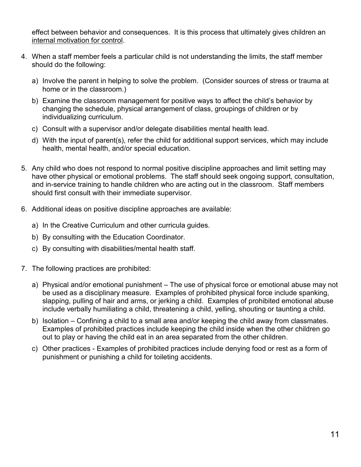effect between behavior and consequences. It is this process that ultimately gives children an internal motivation for control.

- 4. When a staff member feels a particular child is not understanding the limits, the staff member should do the following:
	- a) Involve the parent in helping to solve the problem. (Consider sources of stress or trauma at home or in the classroom.)
	- b) Examine the classroom management for positive ways to affect the child's behavior by changing the schedule, physical arrangement of class, groupings of children or by individualizing curriculum.
	- c) Consult with a supervisor and/or delegate disabilities mental health lead.
	- d) With the input of parent(s), refer the child for additional support services, which may include health, mental health, and/or special education.
- 5. Any child who does not respond to normal positive discipline approaches and limit setting may have other physical or emotional problems. The staff should seek ongoing support, consultation, and in-service training to handle children who are acting out in the classroom. Staff members should first consult with their immediate supervisor.
- 6. Additional ideas on positive discipline approaches are available:
	- a) In the Creative Curriculum and other curricula guides.
	- b) By consulting with the Education Coordinator.
	- c) By consulting with disabilities/mental health staff.
- 7. The following practices are prohibited:
	- a) Physical and/or emotional punishment The use of physical force or emotional abuse may not be used as a disciplinary measure. Examples of prohibited physical force include spanking, slapping, pulling of hair and arms, or jerking a child. Examples of prohibited emotional abuse include verbally humiliating a child, threatening a child, yelling, shouting or taunting a child.
	- b) Isolation Confining a child to a small area and/or keeping the child away from classmates. Examples of prohibited practices include keeping the child inside when the other children go out to play or having the child eat in an area separated from the other children.
	- c) Other practices Examples of prohibited practices include denying food or rest as a form of punishment or punishing a child for toileting accidents.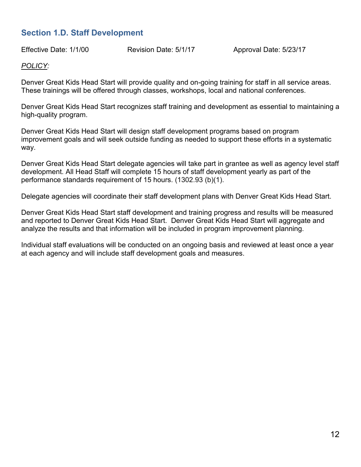# <span id="page-11-0"></span>**Section 1.D. Staff Development**

Effective Date: 1/1/00 Revision Date: 5/1/17 Approval Date: 5/23/17

#### *POLICY:*

Denver Great Kids Head Start will provide quality and on-going training for staff in all service areas. These trainings will be offered through classes, workshops, local and national conferences.

Denver Great Kids Head Start recognizes staff training and development as essential to maintaining a high-quality program.

Denver Great Kids Head Start will design staff development programs based on program improvement goals and will seek outside funding as needed to support these efforts in a systematic way.

Denver Great Kids Head Start delegate agencies will take part in grantee as well as agency level staff development. All Head Staff will complete 15 hours of staff development yearly as part of the performance standards requirement of 15 hours. (1302.93 (b)(1).

Delegate agencies will coordinate their staff development plans with Denver Great Kids Head Start.

Denver Great Kids Head Start staff development and training progress and results will be measured and reported to Denver Great Kids Head Start. Denver Great Kids Head Start will aggregate and analyze the results and that information will be included in program improvement planning.

Individual staff evaluations will be conducted on an ongoing basis and reviewed at least once a year at each agency and will include staff development goals and measures.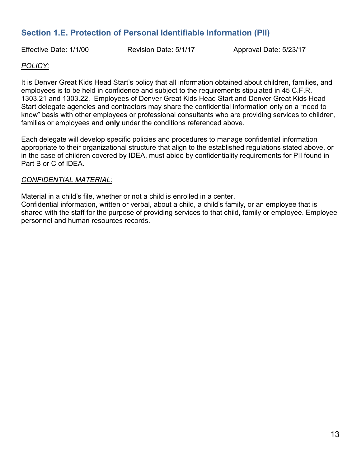# <span id="page-12-0"></span>**Section 1.E. Protection of Personal Identifiable Information (PII)**

Effective Date: 1/1/00 Revision Date: 5/1/17 Approval Date: 5/23/17

#### *POLICY:*

It is Denver Great Kids Head Start's policy that all information obtained about children, families, and employees is to be held in confidence and subject to the requirements stipulated in 45 C.F.R. 1303.21 and 1303.22. Employees of Denver Great Kids Head Start and Denver Great Kids Head Start delegate agencies and contractors may share the confidential information only on a "need to know" basis with other employees or professional consultants who are providing services to children, families or employees and **only** under the conditions referenced above.

Each delegate will develop specific policies and procedures to manage confidential information appropriate to their organizational structure that align to the established regulations stated above, or in the case of children covered by IDEA, must abide by confidentiality requirements for PII found in Part B or C of IDEA.

#### *CONFIDENTIAL MATERIAL:*

Material in a child's file, whether or not a child is enrolled in a center.

Confidential information, written or verbal, about a child, a child's family, or an employee that is shared with the staff for the purpose of providing services to that child, family or employee. Employee personnel and human resources records.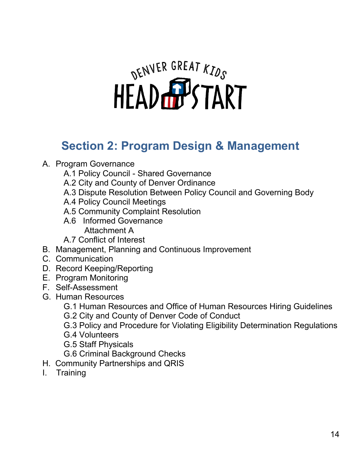# DENVER GREAT KIDS

# <span id="page-13-0"></span>**Section 2: Program Design & Management**

# A. Program Governance

- A.1 Policy Council Shared Governance
- A.2 City and County of Denver Ordinance
- A.3 Dispute Resolution Between Policy Council and Governing Body
- A.4 Policy Council Meetings
- A.5 Community Complaint Resolution
- A.6 Informed Governance Attachment A
- A.7 Conflict of Interest
- B. Management, Planning and Continuous Improvement
- C. Communication
- D. Record Keeping/Reporting
- E. Program Monitoring
- F. Self-Assessment
- G. Human Resources
	- G.1 Human Resources and Office of Human Resources Hiring Guidelines
	- G.2 City and County of Denver Code of Conduct
	- G.3 Policy and Procedure for Violating Eligibility Determination Regulations
	- G.4 Volunteers
	- G.5 Staff Physicals
	- G.6 Criminal Background Checks
- H. Community Partnerships and QRIS
- I. Training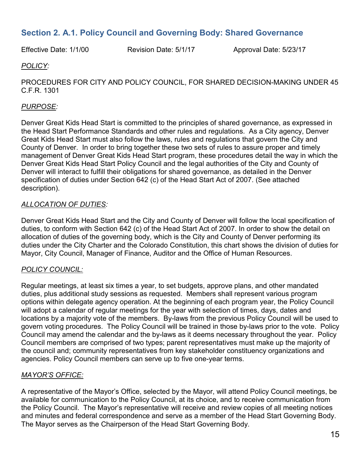# <span id="page-14-0"></span>**Section 2. A.1. Policy Council and Governing Body: Shared Governance**

Effective Date: 1/1/00 Revision Date: 5/1/17 Approval Date: 5/23/17

#### *POLICY:*

PROCEDURES FOR CITY AND POLICY COUNCIL, FOR SHARED DECISION-MAKING UNDER 45 C.F.R. 1301

#### *PURPOSE:*

Denver Great Kids Head Start is committed to the principles of shared governance, as expressed in the Head Start Performance Standards and other rules and regulations. As a City agency, Denver Great Kids Head Start must also follow the laws, rules and regulations that govern the City and County of Denver. In order to bring together these two sets of rules to assure proper and timely management of Denver Great Kids Head Start program, these procedures detail the way in which the Denver Great Kids Head Start Policy Council and the legal authorities of the City and County of Denver will interact to fulfill their obligations for shared governance, as detailed in the Denver specification of duties under Section 642 (c) of the Head Start Act of 2007. (See attached description).

#### *ALLOCATION OF DUTIES:*

Denver Great Kids Head Start and the City and County of Denver will follow the local specification of duties, to conform with Section 642 (c) of the Head Start Act of 2007. In order to show the detail on allocation of duties of the governing body, which is the City and County of Denver performing its duties under the City Charter and the Colorado Constitution, this chart shows the division of duties for Mayor, City Council, Manager of Finance, Auditor and the Office of Human Resources.

#### *POLICY COUNCIL:*

Regular meetings, at least six times a year, to set budgets, approve plans, and other mandated duties, plus additional study sessions as requested. Members shall represent various program options within delegate agency operation. At the beginning of each program year, the Policy Council will adopt a calendar of regular meetings for the year with selection of times, days, dates and locations by a majority vote of the members. By-laws from the previous Policy Council will be used to govern voting procedures. The Policy Council will be trained in those by-laws prior to the vote. Policy Council may amend the calendar and the by-laws as it deems necessary throughout the year. Policy Council members are comprised of two types; parent representatives must make up the majority of the council and; community representatives from key stakeholder constituency organizations and agencies. Policy Council members can serve up to five one-year terms.

#### *MAYOR'S OFFICE:*

A representative of the Mayor's Office, selected by the Mayor, will attend Policy Council meetings, be available for communication to the Policy Council, at its choice, and to receive communication from the Policy Council. The Mayor's representative will receive and review copies of all meeting notices and minutes and federal correspondence and serve as a member of the Head Start Governing Body. The Mayor serves as the Chairperson of the Head Start Governing Body.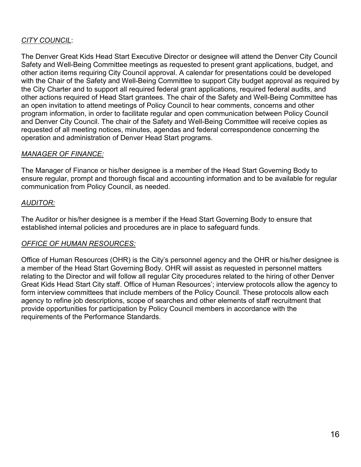## *CITY COUNCIL*:

The Denver Great Kids Head Start Executive Director or designee will attend the Denver City Council Safety and Well-Being Committee meetings as requested to present grant applications, budget, and other action items requiring City Council approval. A calendar for presentations could be developed with the Chair of the Safety and Well-Being Committee to support City budget approval as required by the City Charter and to support all required federal grant applications, required federal audits, and other actions required of Head Start grantees. The chair of the Safety and Well-Being Committee has an open invitation to attend meetings of Policy Council to hear comments, concerns and other program information, in order to facilitate regular and open communication between Policy Council and Denver City Council. The chair of the Safety and Well-Being Committee will receive copies as requested of all meeting notices, minutes, agendas and federal correspondence concerning the operation and administration of Denver Head Start programs.

#### *MANAGER OF FINANCE:*

The Manager of Finance or his/her designee is a member of the Head Start Governing Body to ensure regular, prompt and thorough fiscal and accounting information and to be available for regular communication from Policy Council, as needed.

#### *AUDITOR:*

The Auditor or his/her designee is a member if the Head Start Governing Body to ensure that established internal policies and procedures are in place to safeguard funds.

#### *OFFICE OF HUMAN RESOURCES:*

Office of Human Resources (OHR) is the City's personnel agency and the OHR or his/her designee is a member of the Head Start Governing Body. OHR will assist as requested in personnel matters relating to the Director and will follow all regular City procedures related to the hiring of other Denver Great Kids Head Start City staff. Office of Human Resources'; interview protocols allow the agency to form interview committees that include members of the Policy Council. These protocols allow each agency to refine job descriptions, scope of searches and other elements of staff recruitment that provide opportunities for participation by Policy Council members in accordance with the requirements of the Performance Standards.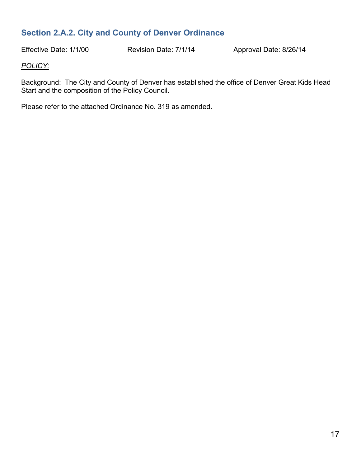# <span id="page-16-0"></span>**Section 2.A.2. City and County of Denver Ordinance**

Effective Date: 1/1/00 Revision Date: 7/1/14 Approval Date: 8/26/14

#### *POLICY:*

Background: The City and County of Denver has established the office of Denver Great Kids Head Start and the composition of the Policy Council.

Please refer to the attached Ordinance No. 319 as amended.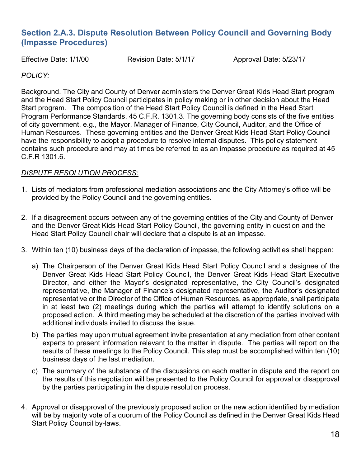# <span id="page-17-0"></span>**Section 2.A.3. Dispute Resolution Between Policy Council and Governing Body (Impasse Procedures)**

Effective Date: 1/1/00 Revision Date: 5/1/17 Approval Date: 5/23/17

#### *POLICY:*

Background. The City and County of Denver administers the Denver Great Kids Head Start program and the Head Start Policy Council participates in policy making or in other decision about the Head Start program. The composition of the Head Start Policy Council is defined in the Head Start Program Performance Standards, 45 C.F.R. 1301.3. The governing body consists of the five entities of city government, e.g., the Mayor, Manager of Finance, City Council, Auditor, and the Office of Human Resources. These governing entities and the Denver Great Kids Head Start Policy Council have the responsibility to adopt a procedure to resolve internal disputes. This policy statement contains such procedure and may at times be referred to as an impasse procedure as required at 45 C.F.R 1301.6.

#### *DISPUTE RESOLUTION PROCESS:*

- 1. Lists of mediators from professional mediation associations and the City Attorney's office will be provided by the Policy Council and the governing entities.
- 2. If a disagreement occurs between any of the governing entities of the City and County of Denver and the Denver Great Kids Head Start Policy Council, the governing entity in question and the Head Start Policy Council chair will declare that a dispute is at an impasse.
- 3. Within ten (10) business days of the declaration of impasse, the following activities shall happen:
	- a) The Chairperson of the Denver Great Kids Head Start Policy Council and a designee of the Denver Great Kids Head Start Policy Council, the Denver Great Kids Head Start Executive Director, and either the Mayor's designated representative, the City Council's designated representative, the Manager of Finance's designated representative, the Auditor's designated representative or the Director of the Office of Human Resources, as appropriate, shall participate in at least two (2) meetings during which the parties will attempt to identify solutions on a proposed action. A third meeting may be scheduled at the discretion of the parties involved with additional individuals invited to discuss the issue.
	- b) The parties may upon mutual agreement invite presentation at any mediation from other content experts to present information relevant to the matter in dispute. The parties will report on the results of these meetings to the Policy Council. This step must be accomplished within ten (10) business days of the last mediation.
	- c) The summary of the substance of the discussions on each matter in dispute and the report on the results of this negotiation will be presented to the Policy Council for approval or disapproval by the parties participating in the dispute resolution process.
- 4. Approval or disapproval of the previously proposed action or the new action identified by mediation will be by majority vote of a quorum of the Policy Council as defined in the Denver Great Kids Head Start Policy Council by-laws.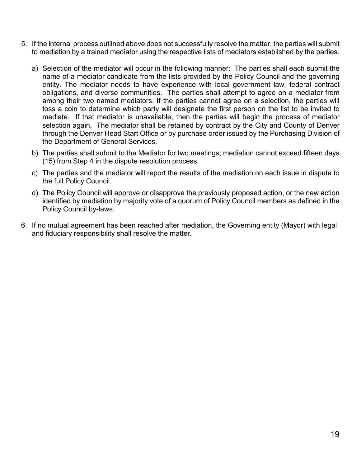- 5. If the internal process outlined above does not successfully resolve the matter, the parties will submit to mediation by a trained mediator using the respective lists of mediators established by the parties.
	- a) Selection of the mediator will occur in the following manner: The parties shall each submit the name of a mediator candidate from the lists provided by the Policy Council and the governing entity. The mediator needs to have experience with local government law, federal contract obligations, and diverse communities. The parties shall attempt to agree on a mediator from among their two named mediators. If the parties cannot agree on a selection, the parties will toss a coin to determine which party will designate the first person on the list to be invited to mediate. If that mediator is unavailable, then the parties will begin the process of mediator selection again. The mediator shall be retained by contract by the City and County of Denver through the Denver Head Start Office or by purchase order issued by the Purchasing Division of the Department of General Services.
	- b) The parties shall submit to the Mediator for two meetings; mediation cannot exceed fifteen days (15) from Step 4 in the dispute resolution process.
	- c) The parties and the mediator will report the results of the mediation on each issue in dispute to the full Policy Council.
	- d) The Policy Council will approve or disapprove the previously proposed action, or the new action identified by mediation by majority vote of a quorum of Policy Council members as defined in the Policy Council by-laws.
- 6. If no mutual agreement has been reached after mediation, the Governing entity (Mayor) with legal and fiduciary responsibility shall resolve the matter.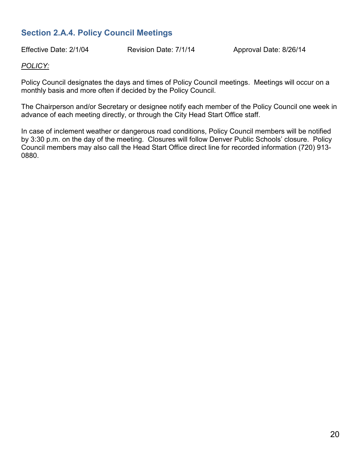# <span id="page-19-0"></span>**Section 2.A.4. Policy Council Meetings**

Effective Date: 2/1/04 Revision Date: 7/1/14 Approval Date: 8/26/14

#### *POLICY:*

Policy Council designates the days and times of Policy Council meetings. Meetings will occur on a monthly basis and more often if decided by the Policy Council.

The Chairperson and/or Secretary or designee notify each member of the Policy Council one week in advance of each meeting directly, or through the City Head Start Office staff.

In case of inclement weather or dangerous road conditions, Policy Council members will be notified by 3:30 p.m. on the day of the meeting. Closures will follow Denver Public Schools' closure. Policy Council members may also call the Head Start Office direct line for recorded information (720) 913- 0880.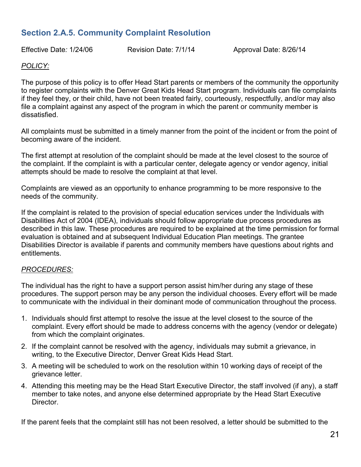# <span id="page-20-0"></span>**Section 2.A.5. Community Complaint Resolution**

Effective Date*:* 1/24/06 Revision Date: 7/1/14 Approval Date: 8/26/14

#### *POLICY:*

The purpose of this policy is to offer Head Start parents or members of the community the opportunity to register complaints with the Denver Great Kids Head Start program. Individuals can file complaints if they feel they, or their child, have not been treated fairly, courteously, respectfully, and/or may also file a complaint against any aspect of the program in which the parent or community member is dissatisfied.

All complaints must be submitted in a timely manner from the point of the incident or from the point of becoming aware of the incident.

The first attempt at resolution of the complaint should be made at the level closest to the source of the complaint. If the complaint is with a particular center, delegate agency or vendor agency, initial attempts should be made to resolve the complaint at that level.

Complaints are viewed as an opportunity to enhance programming to be more responsive to the needs of the community.

If the complaint is related to the provision of special education services under the Individuals with Disabilities Act of 2004 (IDEA), individuals should follow appropriate due process procedures as described in this law. These procedures are required to be explained at the time permission for formal evaluation is obtained and at subsequent Individual Education Plan meetings. The grantee Disabilities Director is available if parents and community members have questions about rights and entitlements.

#### *PROCEDURES:*

The individual has the right to have a support person assist him/her during any stage of these procedures. The support person may be any person the individual chooses. Every effort will be made to communicate with the individual in their dominant mode of communication throughout the process.

- 1. Individuals should first attempt to resolve the issue at the level closest to the source of the complaint. Every effort should be made to address concerns with the agency (vendor or delegate) from which the complaint originates.
- 2. If the complaint cannot be resolved with the agency, individuals may submit a grievance, in writing, to the Executive Director, Denver Great Kids Head Start.
- 3. A meeting will be scheduled to work on the resolution within 10 working days of receipt of the grievance letter.
- 4. Attending this meeting may be the Head Start Executive Director, the staff involved (if any), a staff member to take notes, and anyone else determined appropriate by the Head Start Executive Director.

If the parent feels that the complaint still has not been resolved, a letter should be submitted to the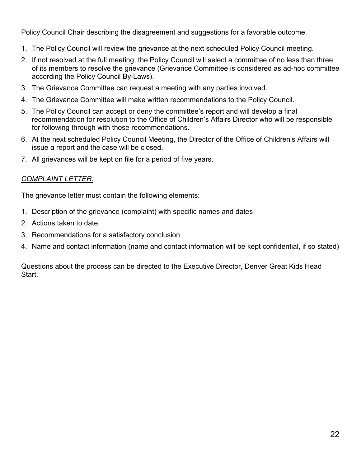Policy Council Chair describing the disagreement and suggestions for a favorable outcome.

- 1. The Policy Council will review the grievance at the next scheduled Policy Council meeting.
- 2. If not resolved at the full meeting, the Policy Council will select a committee of no less than three of its members to resolve the grievance (Grievance Committee is considered as ad-hoc committee according the Policy Council By-Laws).
- 3. The Grievance Committee can request a meeting with any parties involved.
- 4. The Grievance Committee will make written recommendations to the Policy Council.
- 5. The Policy Council can accept or deny the committee's report and will develop a final recommendation for resolution to the Office of Children's Affairs Director who will be responsible for following through with those recommendations.
- 6. At the next scheduled Policy Council Meeting, the Director of the Office of Children's Affairs will issue a report and the case will be closed.
- 7. All grievances will be kept on file for a period of five years.

#### *COMPLAINT LETTER:*

The grievance letter must contain the following elements:

- 1. Description of the grievance (complaint) with specific names and dates
- 2. Actions taken to date
- 3. Recommendations for a satisfactory conclusion
- 4. Name and contact information (name and contact information will be kept confidential, if so stated)

Questions about the process can be directed to the Executive Director, Denver Great Kids Head Start.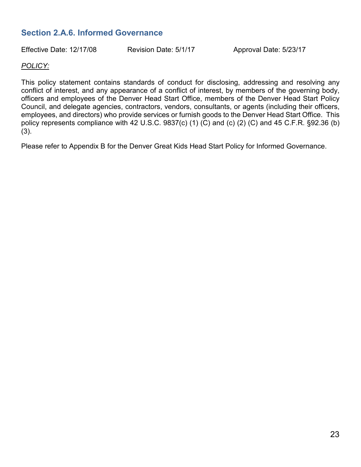# <span id="page-22-0"></span>**Section 2.A.6. Informed Governance**

Effective Date: 12/17/08 Revision Date: 5/1/17 Approval Date: 5/23/17

#### *POLICY:*

This policy statement contains standards of conduct for disclosing, addressing and resolving any conflict of interest, and any appearance of a conflict of interest, by members of the governing body, officers and employees of the Denver Head Start Office, members of the Denver Head Start Policy Council, and delegate agencies, contractors, vendors, consultants, or agents (including their officers, employees, and directors) who provide services or furnish goods to the Denver Head Start Office. This policy represents compliance with 42 U.S.C. 9837(c) (1) (C) and (c) (2) (C) and 45 C.F.R. §92.36 (b) (3).

Please refer to Appendix B for the Denver Great Kids Head Start Policy for Informed Governance.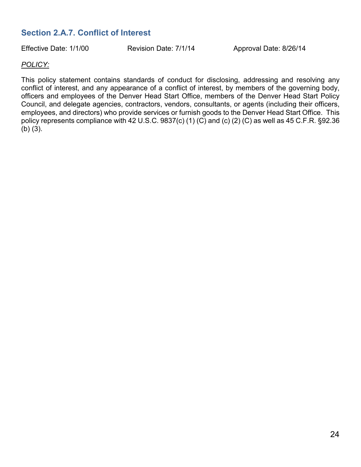# <span id="page-23-0"></span>**Section 2.A.7. Conflict of Interest**

Effective Date: 1/1/00 Revision Date: 7/1/14 Approval Date: 8/26/14

#### *POLICY:*

This policy statement contains standards of conduct for disclosing, addressing and resolving any conflict of interest, and any appearance of a conflict of interest, by members of the governing body, officers and employees of the Denver Head Start Office, members of the Denver Head Start Policy Council, and delegate agencies, contractors, vendors, consultants, or agents (including their officers, employees, and directors) who provide services or furnish goods to the Denver Head Start Office. This policy represents compliance with 42 U.S.C. 9837(c) (1) (C) and (c) (2) (C) as well as 45 C.F.R. §92.36 (b) (3).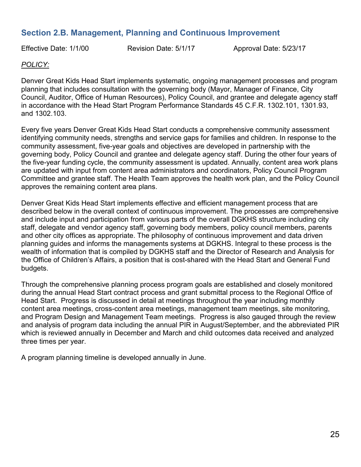# <span id="page-24-0"></span>**Section 2.B. Management, Planning and Continuous Improvement**

Effective Date: 1/1/00 Revision Date: 5/1/17 Approval Date: 5/23/17

#### *POLICY:*

Denver Great Kids Head Start implements systematic, ongoing management processes and program planning that includes consultation with the governing body (Mayor, Manager of Finance, City Council, Auditor, Office of Human Resources), Policy Council, and grantee and delegate agency staff in accordance with the Head Start Program Performance Standards 45 C.F.R. 1302.101, 1301.93, and 1302.103.

Every five years Denver Great Kids Head Start conducts a comprehensive community assessment identifying community needs, strengths and service gaps for families and children. In response to the community assessment, five-year goals and objectives are developed in partnership with the governing body, Policy Council and grantee and delegate agency staff. During the other four years of the five-year funding cycle, the community assessment is updated. Annually, content area work plans are updated with input from content area administrators and coordinators, Policy Council Program Committee and grantee staff. The Health Team approves the health work plan, and the Policy Council approves the remaining content area plans.

Denver Great Kids Head Start implements effective and efficient management process that are described below in the overall context of continuous improvement. The processes are comprehensive and include input and participation from various parts of the overall DGKHS structure including city staff, delegate and vendor agency staff, governing body members, policy council members, parents and other city offices as appropriate. The philosophy of continuous improvement and data driven planning guides and informs the managements systems at DGKHS. Integral to these process is the wealth of information that is compiled by DGKHS staff and the Director of Research and Analysis for the Office of Children's Affairs, a position that is cost-shared with the Head Start and General Fund budgets.

Through the comprehensive planning process program goals are established and closely monitored during the annual Head Start contract process and grant submittal process to the Regional Office of Head Start. Progress is discussed in detail at meetings throughout the year including monthly content area meetings, cross-content area meetings, management team meetings, site monitoring, and Program Design and Management Team meetings. Progress is also gauged through the review and analysis of program data including the annual PIR in August/September, and the abbreviated PIR which is reviewed annually in December and March and child outcomes data received and analyzed three times per year.

A program planning timeline is developed annually in June.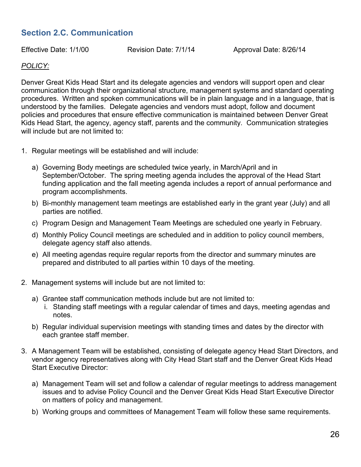# <span id="page-25-0"></span>**Section 2.C. Communication**

Effective Date: 1/1/00 Revision Date: 7/1/14 Approval Date: 8/26/14

#### *POLICY:*

Denver Great Kids Head Start and its delegate agencies and vendors will support open and clear communication through their organizational structure, management systems and standard operating procedures. Written and spoken communications will be in plain language and in a language, that is understood by the families. Delegate agencies and vendors must adopt, follow and document policies and procedures that ensure effective communication is maintained between Denver Great Kids Head Start, the agency, agency staff, parents and the community. Communication strategies will include but are not limited to:

- 1. Regular meetings will be established and will include:
	- a) Governing Body meetings are scheduled twice yearly, in March/April and in September/October. The spring meeting agenda includes the approval of the Head Start funding application and the fall meeting agenda includes a report of annual performance and program accomplishments.
	- b) Bi-monthly management team meetings are established early in the grant year (July) and all parties are notified.
	- c) Program Design and Management Team Meetings are scheduled one yearly in February.
	- d) Monthly Policy Council meetings are scheduled and in addition to policy council members, delegate agency staff also attends.
	- e) All meeting agendas require regular reports from the director and summary minutes are prepared and distributed to all parties within 10 days of the meeting.
- 2. Management systems will include but are not limited to:
	- a) Grantee staff communication methods include but are not limited to:
		- i. Standing staff meetings with a regular calendar of times and days, meeting agendas and notes.
	- b) Regular individual supervision meetings with standing times and dates by the director with each grantee staff member.
- 3. A Management Team will be established, consisting of delegate agency Head Start Directors, and vendor agency representatives along with City Head Start staff and the Denver Great Kids Head Start Executive Director:
	- a) Management Team will set and follow a calendar of regular meetings to address management issues and to advise Policy Council and the Denver Great Kids Head Start Executive Director on matters of policy and management.
	- b) Working groups and committees of Management Team will follow these same requirements.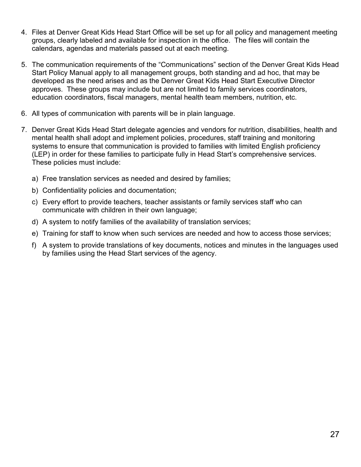- 4. Files at Denver Great Kids Head Start Office will be set up for all policy and management meeting groups, clearly labeled and available for inspection in the office. The files will contain the calendars, agendas and materials passed out at each meeting.
- 5. The communication requirements of the "Communications" section of the Denver Great Kids Head Start Policy Manual apply to all management groups, both standing and ad hoc, that may be developed as the need arises and as the Denver Great Kids Head Start Executive Director approves. These groups may include but are not limited to family services coordinators, education coordinators, fiscal managers, mental health team members, nutrition, etc.
- 6. All types of communication with parents will be in plain language.
- 7. Denver Great Kids Head Start delegate agencies and vendors for nutrition, disabilities, health and mental health shall adopt and implement policies, procedures, staff training and monitoring systems to ensure that communication is provided to families with limited English proficiency (LEP) in order for these families to participate fully in Head Start's comprehensive services. These policies must include:
	- a) Free translation services as needed and desired by families;
	- b) Confidentiality policies and documentation;
	- c) Every effort to provide teachers, teacher assistants or family services staff who can communicate with children in their own language;
	- d) A system to notify families of the availability of translation services;
	- e) Training for staff to know when such services are needed and how to access those services;
	- f) A system to provide translations of key documents, notices and minutes in the languages used by families using the Head Start services of the agency.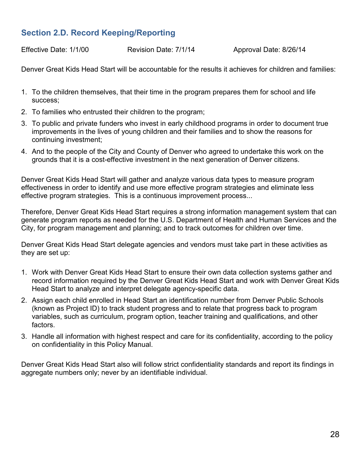# <span id="page-27-0"></span>**Section 2.D. Record Keeping/Reporting**

Effective Date: 1/1/00 Revision Date: 7/1/14 Approval Date: 8/26/14

Denver Great Kids Head Start will be accountable for the results it achieves for children and families:

- 1. To the children themselves, that their time in the program prepares them for school and life success;
- 2. To families who entrusted their children to the program;
- 3. To public and private funders who invest in early childhood programs in order to document true improvements in the lives of young children and their families and to show the reasons for continuing investment;
- 4. And to the people of the City and County of Denver who agreed to undertake this work on the grounds that it is a cost-effective investment in the next generation of Denver citizens.

Denver Great Kids Head Start will gather and analyze various data types to measure program effectiveness in order to identify and use more effective program strategies and eliminate less effective program strategies. This is a continuous improvement process...

Therefore, Denver Great Kids Head Start requires a strong information management system that can generate program reports as needed for the U.S. Department of Health and Human Services and the City, for program management and planning; and to track outcomes for children over time.

Denver Great Kids Head Start delegate agencies and vendors must take part in these activities as they are set up:

- 1. Work with Denver Great Kids Head Start to ensure their own data collection systems gather and record information required by the Denver Great Kids Head Start and work with Denver Great Kids Head Start to analyze and interpret delegate agency-specific data.
- 2. Assign each child enrolled in Head Start an identification number from Denver Public Schools (known as Project ID) to track student progress and to relate that progress back to program variables, such as curriculum, program option, teacher training and qualifications, and other factors.
- 3. Handle all information with highest respect and care for its confidentiality, according to the policy on confidentiality in this Policy Manual.

Denver Great Kids Head Start also will follow strict confidentiality standards and report its findings in aggregate numbers only; never by an identifiable individual.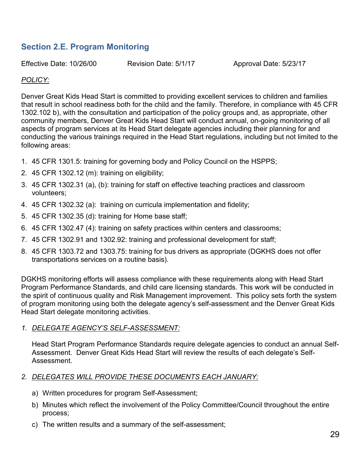# <span id="page-28-0"></span>**Section 2.E. Program Monitoring**

Effective Date: 10/26/00 Revision Date: 5/1/17 Approval Date: 5/23/17

#### *POLICY:*

Denver Great Kids Head Start is committed to providing excellent services to children and families that result in school readiness both for the child and the family. Therefore, in compliance with 45 CFR 1302.102 b), with the consultation and participation of the policy groups and, as appropriate, other community members, Denver Great Kids Head Start will conduct annual, on-going monitoring of all aspects of program services at its Head Start delegate agencies including their planning for and conducting the various trainings required in the Head Start regulations, including but not limited to the following areas:

- 1. 45 CFR 1301.5: training for governing body and Policy Council on the HSPPS;
- 2. 45 CFR 1302.12 (m): training on eligibility;
- 3. 45 CFR 1302.31 (a), (b): training for staff on effective teaching practices and classroom volunteers;
- 4. 45 CFR 1302.32 (a): training on curricula implementation and fidelity;
- 5. 45 CFR 1302.35 (d): training for Home base staff;
- 6. 45 CFR 1302.47 (4): training on safety practices within centers and classrooms;
- 7. 45 CFR 1302.91 and 1302.92: training and professional development for staff;
- 8. 45 CFR 1303.72 and 1303.75: training for bus drivers as appropriate (DGKHS does not offer transportations services on a routine basis).

DGKHS monitoring efforts will assess compliance with these requirements along with Head Start Program Performance Standards, and child care licensing standards. This work will be conducted in the spirit of continuous quality and Risk Management improvement. This policy sets forth the system of program monitoring using both the delegate agency's self-assessment and the Denver Great Kids Head Start delegate monitoring activities.

#### *1. DELEGATE AGENCY'S SELF-ASSESSMENT:*

Head Start Program Performance Standards require delegate agencies to conduct an annual Self-Assessment. Denver Great Kids Head Start will review the results of each delegate's Self-Assessment.

#### *2. DELEGATES WILL PROVIDE THESE DOCUMENTS EACH JANUARY:*

- a) Written procedures for program Self-Assessment;
- b) Minutes which reflect the involvement of the Policy Committee/Council throughout the entire process;
- c) The written results and a summary of the self-assessment;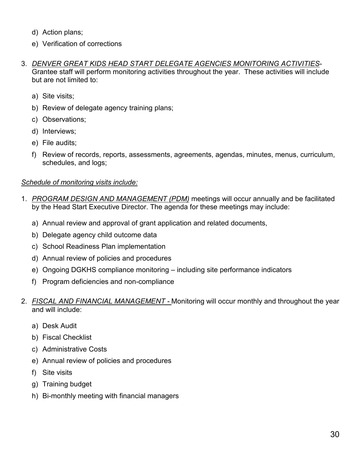- d) Action plans;
- e) Verification of corrections
- 3. *DENVER GREAT KIDS HEAD START DELEGATE AGENCIES MONITORING ACTIVITIES*-Grantee staff will perform monitoring activities throughout the year. These activities will include but are not limited to:
	- a) Site visits;
	- b) Review of delegate agency training plans;
	- c) Observations;
	- d) Interviews;
	- e) File audits;
	- f) Review of records, reports, assessments, agreements, agendas, minutes, menus, curriculum, schedules, and logs;

#### *Schedule of monitoring visits include:*

- 1. *PROGRAM DESIGN AND MANAGEMENT (PDM)* meetings will occur annually and be facilitated by the Head Start Executive Director. The agenda for these meetings may include:
	- a) Annual review and approval of grant application and related documents,
	- b) Delegate agency child outcome data
	- c) School Readiness Plan implementation
	- d) Annual review of policies and procedures
	- e) Ongoing DGKHS compliance monitoring including site performance indicators
	- f) Program deficiencies and non-compliance
- 2. *FISCAL AND FINANCIAL MANAGEMENT -* Monitoring will occur monthly and throughout the year and will include:
	- a) Desk Audit
	- b) Fiscal Checklist
	- c) Administrative Costs
	- e) Annual review of policies and procedures
	- f) Site visits
	- g) Training budget
	- h) Bi-monthly meeting with financial managers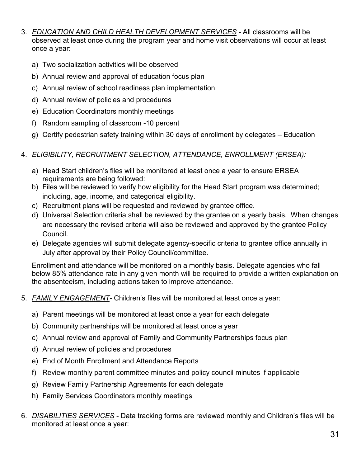- 3. *EDUCATION AND CHILD HEALTH DEVELOPMENT SERVICES* All classrooms will be observed at least once during the program year and home visit observations will occur at least once a year:
	- a) Two socialization activities will be observed
	- b) Annual review and approval of education focus plan
	- c) Annual review of school readiness plan implementation
	- d) Annual review of policies and procedures
	- e) Education Coordinators monthly meetings
	- f) Random sampling of classroom -10 percent
	- g) Certify pedestrian safety training within 30 days of enrollment by delegates Education

#### 4. *ELIGIBILITY, RECRUITMENT SELECTION, ATTENDANCE, ENROLLMENT (ERSEA):*

- a) Head Start children's files will be monitored at least once a year to ensure ERSEA requirements are being followed:
- b) Files will be reviewed to verify how eligibility for the Head Start program was determined; including, age, income, and categorical eligibility.
- c) Recruitment plans will be requested and reviewed by grantee office.
- d) Universal Selection criteria shall be reviewed by the grantee on a yearly basis. When changes are necessary the revised criteria will also be reviewed and approved by the grantee Policy Council.
- e) Delegate agencies will submit delegate agency-specific criteria to grantee office annually in July after approval by their Policy Council/committee.

Enrollment and attendance will be monitored on a monthly basis. Delegate agencies who fall below 85% attendance rate in any given month will be required to provide a written explanation on the absenteeism, including actions taken to improve attendance.

- 5. *FAMILY ENGAGEMENT-* Children's files will be monitored at least once a year:
	- a) Parent meetings will be monitored at least once a year for each delegate
	- b) Community partnerships will be monitored at least once a year
	- c) Annual review and approval of Family and Community Partnerships focus plan
	- d) Annual review of policies and procedures
	- e) End of Month Enrollment and Attendance Reports
	- f) Review monthly parent committee minutes and policy council minutes if applicable
	- g) Review Family Partnership Agreements for each delegate
	- h) Family Services Coordinators monthly meetings
- 6. *DISABILITIES SERVICES* Data tracking forms are reviewed monthly and Children's files will be monitored at least once a year: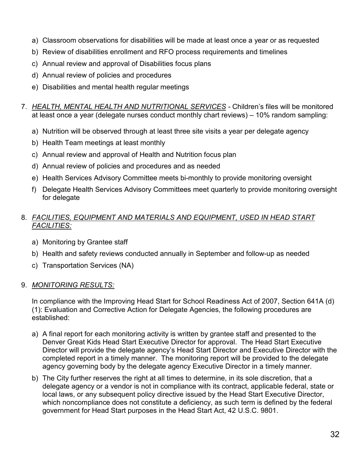- a) Classroom observations for disabilities will be made at least once a year or as requested
- b) Review of disabilities enrollment and RFO process requirements and timelines
- c) Annual review and approval of Disabilities focus plans
- d) Annual review of policies and procedures
- e) Disabilities and mental health regular meetings
- 7. *HEALTH, MENTAL HEALTH AND NUTRITIONAL SERVICES -* Children's files will be monitored at least once a year (delegate nurses conduct monthly chart reviews) – 10% random sampling:
	- a) Nutrition will be observed through at least three site visits a year per delegate agency
	- b) Health Team meetings at least monthly
	- c) Annual review and approval of Health and Nutrition focus plan
	- d) Annual review of policies and procedures and as needed
	- e) Health Services Advisory Committee meets bi-monthly to provide monitoring oversight
	- f) Delegate Health Services Advisory Committees meet quarterly to provide monitoring oversight for delegate

#### 8. *FACILITIES, EQUIPMENT AND MATERIALS AND EQUIPMENT, USED IN HEAD START FACILITIES:*

- a) Monitoring by Grantee staff
- b) Health and safety reviews conducted annually in September and follow-up as needed
- c) Transportation Services (NA)

#### 9. *MONITORING RESULTS:*

In compliance with the Improving Head Start for School Readiness Act of 2007, Section 641A (d) (1): Evaluation and Corrective Action for Delegate Agencies, the following procedures are established:

- a) A final report for each monitoring activity is written by grantee staff and presented to the Denver Great Kids Head Start Executive Director for approval. The Head Start Executive Director will provide the delegate agency's Head Start Director and Executive Director with the completed report in a timely manner. The monitoring report will be provided to the delegate agency governing body by the delegate agency Executive Director in a timely manner.
- b) The City further reserves the right at all times to determine, in its sole discretion, that a delegate agency or a vendor is not in compliance with its contract, applicable federal, state or local laws, or any subsequent policy directive issued by the Head Start Executive Director, which noncompliance does not constitute a deficiency, as such term is defined by the federal government for Head Start purposes in the Head Start Act, 42 U.S.C. 9801.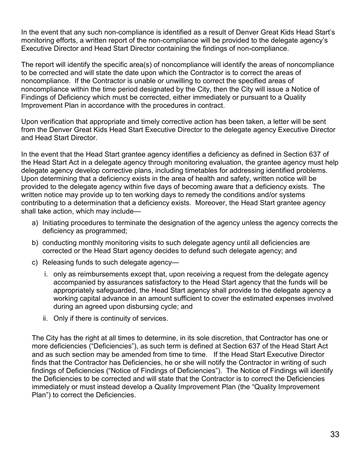In the event that any such non-compliance is identified as a result of Denver Great Kids Head Start's monitoring efforts, a written report of the non-compliance will be provided to the delegate agency's Executive Director and Head Start Director containing the findings of non-compliance.

The report will identify the specific area(s) of noncompliance will identify the areas of noncompliance to be corrected and will state the date upon which the Contractor is to correct the areas of noncompliance. If the Contractor is unable or unwilling to correct the specified areas of noncompliance within the time period designated by the City, then the City will issue a Notice of Findings of Deficiency which must be corrected, either immediately or pursuant to a Quality Improvement Plan in accordance with the procedures in contract.

Upon verification that appropriate and timely corrective action has been taken, a letter will be sent from the Denver Great Kids Head Start Executive Director to the delegate agency Executive Director and Head Start Director.

In the event that the Head Start grantee agency identifies a deficiency as defined in Section 637 of the Head Start Act in a delegate agency through monitoring evaluation, the grantee agency must help delegate agency develop corrective plans, including timetables for addressing identified problems. Upon determining that a deficiency exists in the area of health and safety, written notice will be provided to the delegate agency within five days of becoming aware that a deficiency exists. The written notice may provide up to ten working days to remedy the conditions and/or systems contributing to a determination that a deficiency exists. Moreover, the Head Start grantee agency shall take action, which may include—

- a) Initiating procedures to terminate the designation of the agency unless the agency corrects the deficiency as programmed;
- b) conducting monthly monitoring visits to such delegate agency until all deficiencies are corrected or the Head Start agency decides to defund such delegate agency; and
- c) Releasing funds to such delegate agency
	- i. only as reimbursements except that, upon receiving a request from the delegate agency accompanied by assurances satisfactory to the Head Start agency that the funds will be appropriately safeguarded, the Head Start agency shall provide to the delegate agency a working capital advance in an amount sufficient to cover the estimated expenses involved during an agreed upon disbursing cycle; and
	- ii. Only if there is continuity of services.

The City has the right at all times to determine, in its sole discretion, that Contractor has one or more deficiencies ("Deficiencies"), as such term is defined at Section 637 of the Head Start Act and as such section may be amended from time to time. If the Head Start Executive Director finds that the Contractor has Deficiencies, he or she will notify the Contractor in writing of such findings of Deficiencies ("Notice of Findings of Deficiencies"). The Notice of Findings will identify the Deficiencies to be corrected and will state that the Contractor is to correct the Deficiencies immediately or must instead develop a Quality Improvement Plan (the "Quality Improvement Plan") to correct the Deficiencies.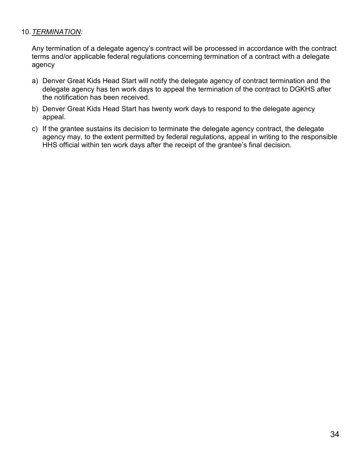#### 10.*TERMINATION:*

Any termination of a delegate agency's contract will be processed in accordance with the contract terms and/or applicable federal regulations concerning termination of a contract with a delegate agency

- a) Denver Great Kids Head Start will notify the delegate agency of contract termination and the delegate agency has ten work days to appeal the termination of the contract to DGKHS after the notification has been received.
- b) Denver Great Kids Head Start has twenty work days to respond to the delegate agency appeal.
- c) If the grantee sustains its decision to terminate the delegate agency contract, the delegate agency may, to the extent permitted by federal regulations, appeal in writing to the responsible HHS official within ten work days after the receipt of the grantee's final decision.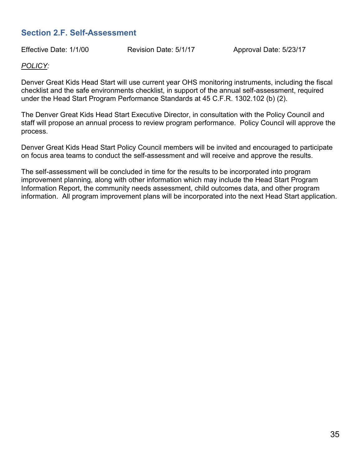# <span id="page-34-0"></span>**Section 2.F. Self-Assessment**

Effective Date: 1/1/00 Revision Date: 5/1/17 Approval Date: 5/23/17

#### *POLICY:*

Denver Great Kids Head Start will use current year OHS monitoring instruments, including the fiscal checklist and the safe environments checklist, in support of the annual self-assessment, required under the Head Start Program Performance Standards at 45 C.F.R. 1302.102 (b) (2).

The Denver Great Kids Head Start Executive Director, in consultation with the Policy Council and staff will propose an annual process to review program performance. Policy Council will approve the process.

Denver Great Kids Head Start Policy Council members will be invited and encouraged to participate on focus area teams to conduct the self-assessment and will receive and approve the results.

The self-assessment will be concluded in time for the results to be incorporated into program improvement planning, along with other information which may include the Head Start Program Information Report, the community needs assessment, child outcomes data, and other program information. All program improvement plans will be incorporated into the next Head Start application.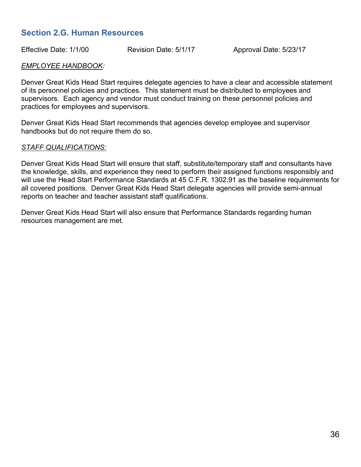### <span id="page-35-0"></span>**Section 2.G. Human Resources**

Effective Date: 1/1/00 Revision Date: 5/1/17 Approval Date: 5/23/17

#### *EMPLOYEE HANDBOOK:*

Denver Great Kids Head Start requires delegate agencies to have a clear and accessible statement of its personnel policies and practices. This statement must be distributed to employees and supervisors. Each agency and vendor must conduct training on these personnel policies and practices for employees and supervisors.

Denver Great Kids Head Start recommends that agencies develop employee and supervisor handbooks but do not require them do so.

#### *STAFF QUALIFICATIONS:*

Denver Great Kids Head Start will ensure that staff, substitute/temporary staff and consultants have the knowledge, skills, and experience they need to perform their assigned functions responsibly and will use the Head Start Performance Standards at 45 C.F.R. 1302.91 as the baseline requirements for all covered positions. Denver Great Kids Head Start delegate agencies will provide semi-annual reports on teacher and teacher assistant staff qualifications.

Denver Great Kids Head Start will also ensure that Performance Standards regarding human resources management are met.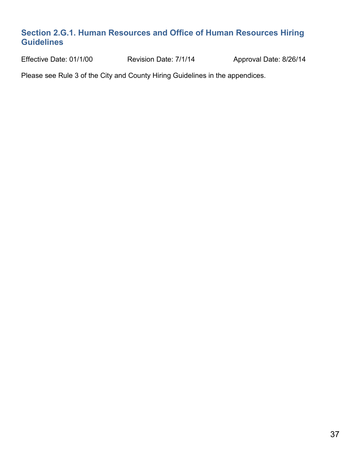# **Section 2.G.1. Human Resources and Office of Human Resources Hiring Guidelines**

Effective Date: 01/1/00 Revision Date: 7/1/14 Approval Date: 8/26/14

Please see Rule 3 of the City and County Hiring Guidelines in the appendices.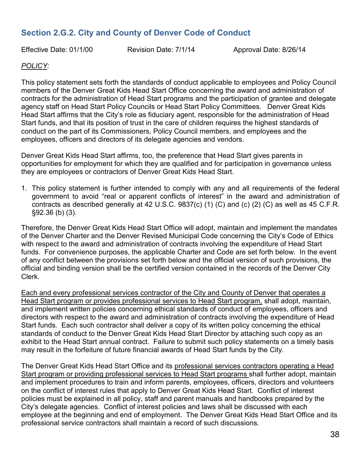# **Section 2.G.2. City and County of Denver Code of Conduct**

Effective Date: 01/1/00 Revision Date: 7/1/14 Approval Date: 8/26/14

#### *POLICY:*

This policy statement sets forth the standards of conduct applicable to employees and Policy Council members of the Denver Great Kids Head Start Office concerning the award and administration of contracts for the administration of Head Start programs and the participation of grantee and delegate agency staff on Head Start Policy Councils or Head Start Policy Committees. Denver Great Kids Head Start affirms that the City's role as fiduciary agent, responsible for the administration of Head Start funds, and that its position of trust in the care of children requires the highest standards of conduct on the part of its Commissioners, Policy Council members, and employees and the employees, officers and directors of its delegate agencies and vendors.

Denver Great Kids Head Start affirms, too, the preference that Head Start gives parents in opportunities for employment for which they are qualified and for participation in governance unless they are employees or contractors of Denver Great Kids Head Start.

1. This policy statement is further intended to comply with any and all requirements of the federal government to avoid "real or apparent conflicts of interest" in the award and administration of contracts as described generally at 42 U.S.C. 9837(c) (1) (C) and (c) (2) (C) as well as 45 C.F.R. §92.36 (b) (3).

Therefore, the Denver Great Kids Head Start Office will adopt, maintain and implement the mandates of the Denver Charter and the Denver Revised Municipal Code concerning the City's Code of Ethics with respect to the award and administration of contracts involving the expenditure of Head Start funds. For convenience purposes, the applicable Charter and Code are set forth below. In the event of any conflict between the provisions set forth below and the official version of such provisions, the official and binding version shall be the certified version contained in the records of the Denver City Clerk.

Each and every professional services contractor of the City and County of Denver that operates a Head Start program or provides professional services to Head Start program, shall adopt, maintain, and implement written policies concerning ethical standards of conduct of employees, officers and directors with respect to the award and administration of contracts involving the expenditure of Head Start funds. Each such contractor shall deliver a copy of its written policy concerning the ethical standards of conduct to the Denver Great Kids Head Start Director by attaching such copy as an exhibit to the Head Start annual contract. Failure to submit such policy statements on a timely basis may result in the forfeiture of future financial awards of Head Start funds by the City.

The Denver Great Kids Head Start Office and its professional services contractors operating a Head Start program or providing professional services to Head Start programs shall further adopt, maintain and implement procedures to train and inform parents, employees, officers, directors and volunteers on the conflict of interest rules that apply to Denver Great Kids Head Start. Conflict of interest policies must be explained in all policy, staff and parent manuals and handbooks prepared by the City's delegate agencies. Conflict of interest policies and laws shall be discussed with each employee at the beginning and end of employment. The Denver Great Kids Head Start Office and its professional service contractors shall maintain a record of such discussions.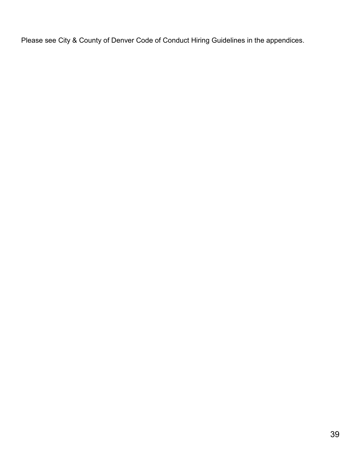Please see City & County of Denver Code of Conduct Hiring Guidelines in the appendices.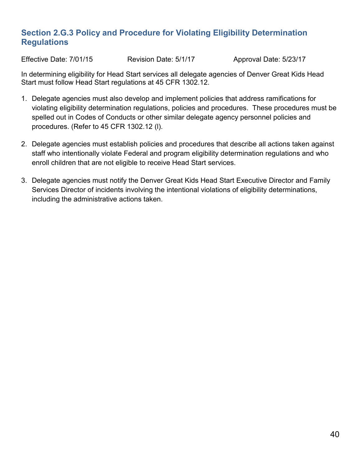# **Section 2.G.3 Policy and Procedure for Violating Eligibility Determination Regulations**

Effective Date: 7/01/15 Revision Date: 5/1/17 Approval Date: 5/23/17

In determining eligibility for Head Start services all delegate agencies of Denver Great Kids Head Start must follow Head Start regulations at 45 CFR 1302.12.

- 1. Delegate agencies must also develop and implement policies that address ramifications for violating eligibility determination regulations, policies and procedures. These procedures must be spelled out in Codes of Conducts or other similar delegate agency personnel policies and procedures. (Refer to 45 CFR 1302.12 (l).
- 2. Delegate agencies must establish policies and procedures that describe all actions taken against staff who intentionally violate Federal and program eligibility determination regulations and who enroll children that are not eligible to receive Head Start services.
- 3. Delegate agencies must notify the Denver Great Kids Head Start Executive Director and Family Services Director of incidents involving the intentional violations of eligibility determinations, including the administrative actions taken.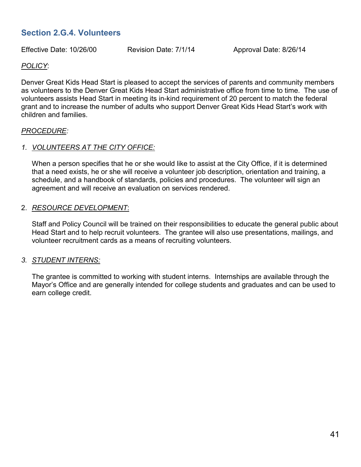# **Section 2.G.4. Volunteers**

Effective Date: 10/26/00 Revision Date: 7/1/14 Approval Date: 8/26/14

#### *POLICY*:

Denver Great Kids Head Start is pleased to accept the services of parents and community members as volunteers to the Denver Great Kids Head Start administrative office from time to time. The use of volunteers assists Head Start in meeting its in-kind requirement of 20 percent to match the federal grant and to increase the number of adults who support Denver Great Kids Head Start's work with children and families.

#### *PROCEDURE:*

#### *1. VOLUNTEERS AT THE CITY OFFICE:*

When a person specifies that he or she would like to assist at the City Office, if it is determined that a need exists, he or she will receive a volunteer job description, orientation and training, a schedule, and a handbook of standards, policies and procedures. The volunteer will sign an agreement and will receive an evaluation on services rendered.

#### 2. *RESOURCE DEVELOPMENT*:

Staff and Policy Council will be trained on their responsibilities to educate the general public about Head Start and to help recruit volunteers. The grantee will also use presentations, mailings, and volunteer recruitment cards as a means of recruiting volunteers.

#### *3. STUDENT INTERNS:*

The grantee is committed to working with student interns. Internships are available through the Mayor's Office and are generally intended for college students and graduates and can be used to earn college credit.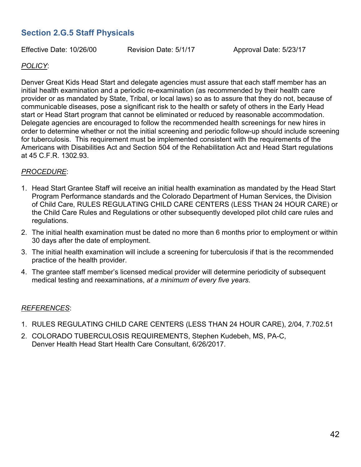# **Section 2.G.5 Staff Physicals**

Effective Date: 10/26/00 Revision Date: 5/1/17 Approval Date: 5/23/17

#### *POLICY*:

Denver Great Kids Head Start and delegate agencies must assure that each staff member has an initial health examination and a periodic re-examination (as recommended by their health care provider or as mandated by State, Tribal, or local laws) so as to assure that they do not, because of communicable diseases, pose a significant risk to the health or safety of others in the Early Head start or Head Start program that cannot be eliminated or reduced by reasonable accommodation. Delegate agencies are encouraged to follow the recommended health screenings for new hires in order to determine whether or not the initial screening and periodic follow-up should include screening for tuberculosis. This requirement must be implemented consistent with the requirements of the Americans with Disabilities Act and Section 504 of the Rehabilitation Act and Head Start regulations at 45 C.F.R. 1302.93.

#### *PROCEDURE*:

- 1. Head Start Grantee Staff will receive an initial health examination as mandated by the Head Start Program Performance standards and the Colorado Department of Human Services, the Division of Child Care, RULES REGULATING CHILD CARE CENTERS (LESS THAN 24 HOUR CARE) or the Child Care Rules and Regulations or other subsequently developed pilot child care rules and regulations.
- 2. The initial health examination must be dated no more than 6 months prior to employment or within 30 days after the date of employment.
- 3. The initial health examination will include a screening for tuberculosis if that is the recommended practice of the health provider.
- 4. The grantee staff member's licensed medical provider will determine periodicity of subsequent medical testing and reexaminations, *at a minimum of every five years*.

#### *REFERENCES*:

- 1. RULES REGULATING CHILD CARE CENTERS (LESS THAN 24 HOUR CARE), 2/04, 7.702.51
- 2. COLORADO TUBERCULOSIS REQUIREMENTS, Stephen Kudebeh, MS, PA-C, Denver Health Head Start Health Care Consultant, 6/26/2017.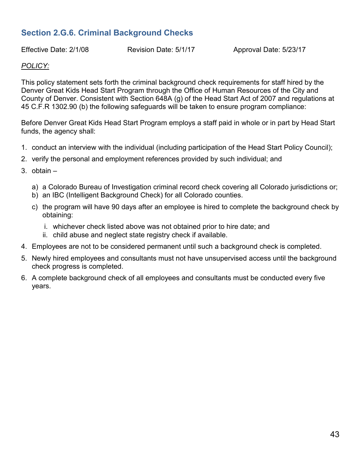# **Section 2.G.6. Criminal Background Checks**

Effective Date: 2/1/08 Revision Date: 5/1/17 Approval Date: 5/23/17

#### *POLICY:*

This policy statement sets forth the criminal background check requirements for staff hired by the Denver Great Kids Head Start Program through the Office of Human Resources of the City and County of Denver. Consistent with Section 648A (g) of the Head Start Act of 2007 and regulations at 45 C.F.R 1302.90 (b) the following safeguards will be taken to ensure program compliance:

Before Denver Great Kids Head Start Program employs a staff paid in whole or in part by Head Start funds, the agency shall:

- 1. conduct an interview with the individual (including participation of the Head Start Policy Council);
- 2. verify the personal and employment references provided by such individual; and
- 3. obtain
	- a) a Colorado Bureau of Investigation criminal record check covering all Colorado jurisdictions or;
	- b) an IBC (Intelligent Background Check) for all Colorado counties.
	- c) the program will have 90 days after an employee is hired to complete the background check by obtaining:
		- i. whichever check listed above was not obtained prior to hire date; and
		- ii. child abuse and neglect state registry check if available.
- 4. Employees are not to be considered permanent until such a background check is completed.
- 5. Newly hired employees and consultants must not have unsupervised access until the background check progress is completed.
- 6. A complete background check of all employees and consultants must be conducted every five years.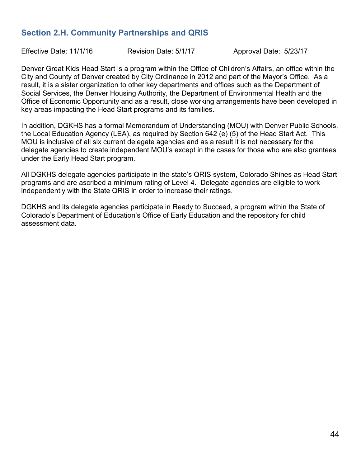# **Section 2.H. Community Partnerships and QRIS**

Effective Date: 11/1/16 Revision Date: 5/1/17 Approval Date: 5/23/17

Denver Great Kids Head Start is a program within the Office of Children's Affairs, an office within the City and County of Denver created by City Ordinance in 2012 and part of the Mayor's Office. As a result, it is a sister organization to other key departments and offices such as the Department of Social Services, the Denver Housing Authority, the Department of Environmental Health and the Office of Economic Opportunity and as a result, close working arrangements have been developed in key areas impacting the Head Start programs and its families.

In addition, DGKHS has a formal Memorandum of Understanding (MOU) with Denver Public Schools, the Local Education Agency (LEA), as required by Section 642 (e) (5) of the Head Start Act. This MOU is inclusive of all six current delegate agencies and as a result it is not necessary for the delegate agencies to create independent MOU's except in the cases for those who are also grantees under the Early Head Start program.

All DGKHS delegate agencies participate in the state's QRIS system, Colorado Shines as Head Start programs and are ascribed a minimum rating of Level 4. Delegate agencies are eligible to work independently with the State QRIS in order to increase their ratings.

DGKHS and its delegate agencies participate in Ready to Succeed, a program within the State of Colorado's Department of Education's Office of Early Education and the repository for child assessment data.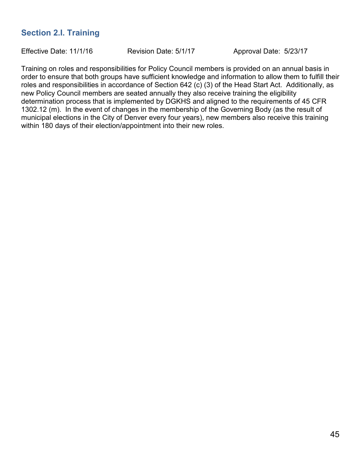# **Section 2.I. Training**

Effective Date: 11/1/16 Revision Date: 5/1/17 Approval Date: 5/23/17

Training on roles and responsibilities for Policy Council members is provided on an annual basis in order to ensure that both groups have sufficient knowledge and information to allow them to fulfill their roles and responsibilities in accordance of Section 642 (c) (3) of the Head Start Act. Additionally, as new Policy Council members are seated annually they also receive training the eligibility determination process that is implemented by DGKHS and aligned to the requirements of 45 CFR 1302.12 (m). In the event of changes in the membership of the Governing Body (as the result of municipal elections in the City of Denver every four years), new members also receive this training within 180 days of their election/appointment into their new roles.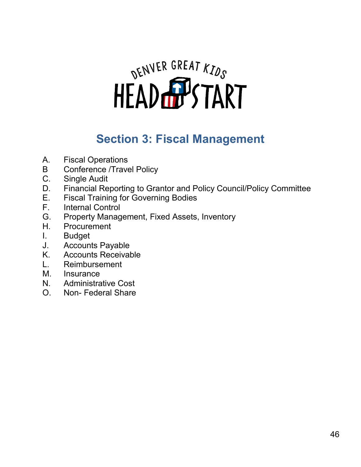# DENVER GREAT KIDS

# **Section 3: Fiscal Management**

- A. Fiscal Operations
- B Conference /Travel Policy
- C. Single Audit
- D. Financial Reporting to Grantor and Policy Council/Policy Committee
- E. Fiscal Training for Governing Bodies
- **Internal Control**
- G. Property Management, Fixed Assets, Inventory
- H. Procurement
- I. Budget
- J. Accounts Payable
- K. Accounts Receivable
- L. Reimbursement
- M. Insurance
- N. Administrative Cost
- O. Non- Federal Share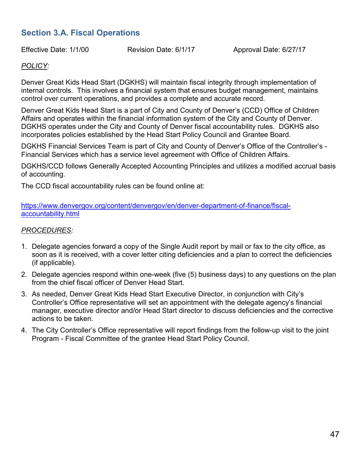# **Section 3.A. Fiscal Operations**

Effective Date: 1/1/00 Revision Date: 6/1/17 Approval Date: 6/27/17

#### *POLICY:*

Denver Great Kids Head Start (DGKHS) will maintain fiscal integrity through implementation of internal controls. This involves a financial system that ensures budget management, maintains control over current operations, and provides a complete and accurate record.

Denver Great Kids Head Start is a part of City and County of Denver's (CCD) Office of Children Affairs and operates within the financial information system of the City and County of Denver. DGKHS operates under the City and County of Denver fiscal accountability rules. DGKHS also incorporates policies established by the Head Start Policy Council and Grantee Board.

DGKHS Financial Services Team is part of City and County of Denver's Office of the Controller's - Financial Services which has a service level agreement with Office of Children Affairs.

DGKHS/CCD follows Generally Accepted Accounting Principles and utilizes a modified accrual basis of accounting.

The CCD fiscal accountability rules can be found online at:

[https://www.denvergov.org/content/denvergov/en/denver-department-of-finance/fiscal](https://www.denvergov.org/content/denvergov/en/denver-department-of-finance/fiscal-accountability.html)[accountability.html](https://www.denvergov.org/content/denvergov/en/denver-department-of-finance/fiscal-accountability.html)

#### *PROCEDURES:*

- 1. Delegate agencies forward a copy of the Single Audit report by mail or fax to the city office, as soon as it is received, with a cover letter citing deficiencies and a plan to correct the deficiencies (if applicable).
- 2. Delegate agencies respond within one-week (five (5) business days) to any questions on the plan from the chief fiscal officer of Denver Head Start.
- 3. As needed, Denver Great Kids Head Start Executive Director, in conjunction with City's Controller's Office representative will set an appointment with the delegate agency's financial manager, executive director and/or Head Start director to discuss deficiencies and the corrective actions to be taken.
- 4. The City Controller's Office representative will report findings from the follow-up visit to the joint Program - Fiscal Committee of the grantee Head Start Policy Council.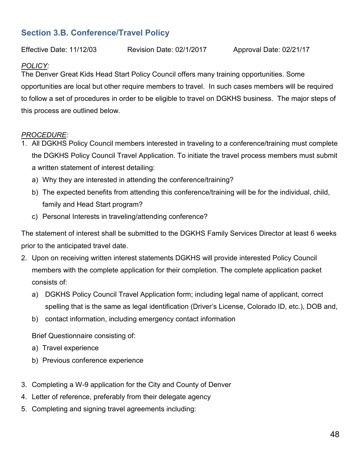# **Section 3.B. Conference/Travel Policy**

Effective Date: 11/12/03 Revision Date: 02/1/2017 Approval Date: 02/21/17

#### *POLICY:*

The Denver Great Kids Head Start Policy Council offers many training opportunities. Some opportunities are local but other require members to travel. In such cases members will be required to follow a set of procedures in order to be eligible to travel on DGKHS business. The major steps of this process are outlined below.

#### *PROCEDURE:*

- 1. All DGKHS Policy Council members interested in traveling to a conference/training must complete the DGKHS Policy Council Travel Application. To initiate the travel process members must submit a written statement of interest detailing:
	- a) Why they are interested in attending the conference/training?
	- b) The expected benefits from attending this conference/training will be for the individual, child, family and Head Start program?
	- c) Personal Interests in traveling/attending conference?

The statement of interest shall be submitted to the DGKHS Family Services Director at least 6 weeks prior to the anticipated travel date.

- 2. Upon on receiving written interest statements DGKHS will provide interested Policy Council members with the complete application for their completion. The complete application packet consists of:
	- a) DGKHS Policy Council Travel Application form; including legal name of applicant, correct spelling that is the same as legal identification (Driver's License, Colorado ID, etc.), DOB and,
	- b) contact information, including emergency contact information

Brief Questionnaire consisting of:

- a) Travel experience
- b) Previous conference experience
- 3. Completing a W-9 application for the City and County of Denver
- 4. Letter of reference, preferably from their delegate agency
- 5. Completing and signing travel agreements including: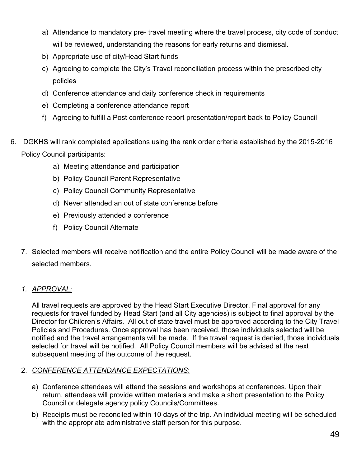- a) Attendance to mandatory pre- travel meeting where the travel process, city code of conduct will be reviewed, understanding the reasons for early returns and dismissal.
- b) Appropriate use of city/Head Start funds
- c) Agreeing to complete the City's Travel reconciliation process within the prescribed city policies
- d) Conference attendance and daily conference check in requirements
- e) Completing a conference attendance report
- f) Agreeing to fulfill a Post conference report presentation/report back to Policy Council
- 6. DGKHS will rank completed applications using the rank order criteria established by the 2015-2016 Policy Council participants:
	- a) Meeting attendance and participation
	- b) Policy Council Parent Representative
	- c) Policy Council Community Representative
	- d) Never attended an out of state conference before
	- e) Previously attended a conference
	- f) Policy Council Alternate
	- 7. Selected members will receive notification and the entire Policy Council will be made aware of the selected members.

#### *1. APPROVAL:*

All travel requests are approved by the Head Start Executive Director. Final approval for any requests for travel funded by Head Start (and all City agencies) is subject to final approval by the Director for Children's Affairs. All out of state travel must be approved according to the City Travel Policies and Procedures. Once approval has been received, those individuals selected will be notified and the travel arrangements will be made. If the travel request is denied, those individuals selected for travel will be notified. All Policy Council members will be advised at the next subsequent meeting of the outcome of the request.

#### 2. *CONFERENCE ATTENDANCE EXPECTATIONS*:

- a) Conference attendees will attend the sessions and workshops at conferences. Upon their return, attendees will provide written materials and make a short presentation to the Policy Council or delegate agency policy Councils/Committees.
- b) Receipts must be reconciled within 10 days of the trip. An individual meeting will be scheduled with the appropriate administrative staff person for this purpose.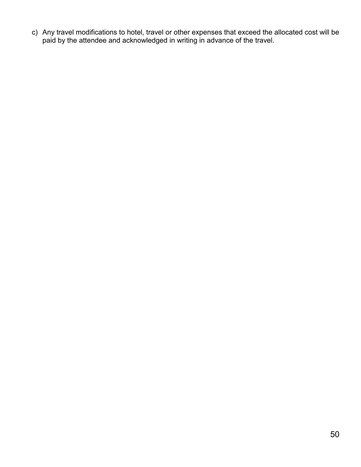c) Any travel modifications to hotel, travel or other expenses that exceed the allocated cost will be paid by the attendee and acknowledged in writing in advance of the travel.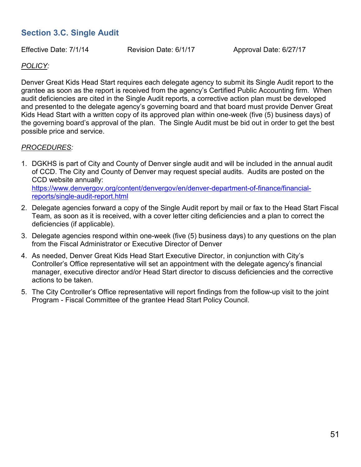# **Section 3.C. Single Audit**

Effective Date: 7/1/14 Revision Date: 6/1/17 Approval Date: 6/27/17

#### *POLICY:*

Denver Great Kids Head Start requires each delegate agency to submit its Single Audit report to the grantee as soon as the report is received from the agency's Certified Public Accounting firm. When audit deficiencies are cited in the Single Audit reports, a corrective action plan must be developed and presented to the delegate agency's governing board and that board must provide Denver Great Kids Head Start with a written copy of its approved plan within one-week (five (5) business days) of the governing board's approval of the plan. The Single Audit must be bid out in order to get the best possible price and service.

#### *PROCEDURES:*

- 1. DGKHS is part of City and County of Denver single audit and will be included in the annual audit of CCD. The City and County of Denver may request special audits. Audits are posted on the CCD website annually: [https://www.denvergov.org/content/denvergov/en/denver-department-of-finance/financial](https://www.denvergov.org/content/denvergov/en/denver-department-of-finance/financial-reports/single-audit-report.html)[reports/single-audit-report.html](https://www.denvergov.org/content/denvergov/en/denver-department-of-finance/financial-reports/single-audit-report.html)
- 2. Delegate agencies forward a copy of the Single Audit report by mail or fax to the Head Start Fiscal Team, as soon as it is received, with a cover letter citing deficiencies and a plan to correct the deficiencies (if applicable).
- 3. Delegate agencies respond within one-week (five (5) business days) to any questions on the plan from the Fiscal Administrator or Executive Director of Denver
- 4. As needed, Denver Great Kids Head Start Executive Director, in conjunction with City's Controller's Office representative will set an appointment with the delegate agency's financial manager, executive director and/or Head Start director to discuss deficiencies and the corrective actions to be taken.
- 5. The City Controller's Office representative will report findings from the follow-up visit to the joint Program - Fiscal Committee of the grantee Head Start Policy Council.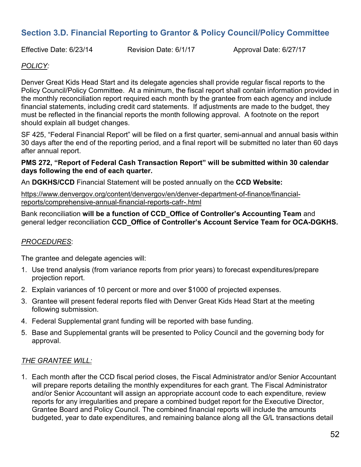# **Section 3.D. Financial Reporting to Grantor & Policy Council/Policy Committee**

Effective Date: 6/23/14 Revision Date: 6/1/17 Approval Date: 6/27/17

#### *POLICY:*

Denver Great Kids Head Start and its delegate agencies shall provide regular fiscal reports to the Policy Council/Policy Committee. At a minimum, the fiscal report shall contain information provided in the monthly reconciliation report required each month by the grantee from each agency and include financial statements, including credit card statements. If adjustments are made to the budget, they must be reflected in the financial reports the month following approval. A footnote on the report should explain all budget changes.

SF 425, "Federal Financial Report" will be filed on a first quarter, semi-annual and annual basis within 30 days after the end of the reporting period, and a final report will be submitted no later than 60 days after annual report.

#### **PMS 272, "Report of Federal Cash Transaction Report" will be submitted within 30 calendar days following the end of each quarter.**

An **DGKHS/CCD** Financial Statement will be posted annually on the **CCD Website:**

[https://www.denvergov.org/content/denvergov/en/denver-department-of-finance/financial](https://www.denvergov.org/content/denvergov/en/denver-department-of-finance/financial-reports/comprehensive-annual-financial-reports-cafr-.html)[reports/comprehensive-annual-financial-reports-cafr-.html](https://www.denvergov.org/content/denvergov/en/denver-department-of-finance/financial-reports/comprehensive-annual-financial-reports-cafr-.html)

Bank reconciliation **will be a function of CCD\_Office of Controller's Accounting Team** and general ledger reconciliation **CCD\_Office of Controller's Account Service Team for OCA-DGKHS.** 

#### *PROCEDURES*:

The grantee and delegate agencies will:

- 1. Use trend analysis (from variance reports from prior years) to forecast expenditures/prepare projection report.
- 2. Explain variances of 10 percent or more and over \$1000 of projected expenses.
- 3. Grantee will present federal reports filed with Denver Great Kids Head Start at the meeting following submission.
- 4. Federal Supplemental grant funding will be reported with base funding.
- 5. Base and Supplemental grants will be presented to Policy Council and the governing body for approval.

#### *THE GRANTEE WILL:*

1. Each month after the CCD fiscal period closes, the Fiscal Administrator and/or Senior Accountant will prepare reports detailing the monthly expenditures for each grant. The Fiscal Administrator and/or Senior Accountant will assign an appropriate account code to each expenditure, review reports for any irregularities and prepare a combined budget report for the Executive Director, Grantee Board and Policy Council. The combined financial reports will include the amounts budgeted, year to date expenditures, and remaining balance along all the G/L transactions detail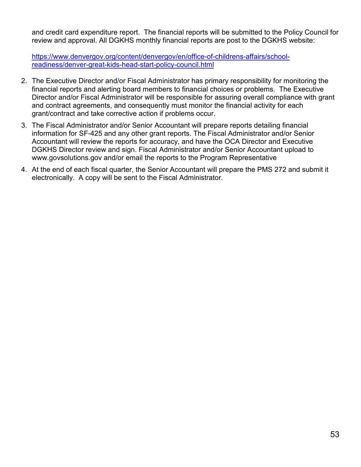and credit card expenditure report. The financial reports will be submitted to the Policy Council for review and approval. All DGKHS monthly financial reports are post to the DGKHS website:

[https://www.denvergov.org/content/denvergov/en/office-of-childrens-affairs/school](https://www.denvergov.org/content/denvergov/en/office-of-childrens-affairs/school-readiness/denver-great-kids-head-start-policy-council.html)[readiness/denver-great-kids-head-start-policy-council.html](https://www.denvergov.org/content/denvergov/en/office-of-childrens-affairs/school-readiness/denver-great-kids-head-start-policy-council.html)

- 2. The Executive Director and/or Fiscal Administrator has primary responsibility for monitoring the financial reports and alerting board members to financial choices or problems. The Executive Director and/or Fiscal Administrator will be responsible for assuring overall compliance with grant and contract agreements, and consequently must monitor the financial activity for each grant/contract and take corrective action if problems occur.
- 3. The Fiscal Administrator and/or Senior Accountant will prepare reports detailing financial information for SF-425 and any other grant reports. The Fiscal Administrator and/or Senior Accountant will review the reports for accuracy, and have the OCA Director and Executive DGKHS Director review and sign. Fiscal Administrator and/or Senior Accountant upload to www.govsolutions.gov and/or email the reports to the Program Representative
- 4. At the end of each fiscal quarter, the Senior Accountant will prepare the PMS 272 and submit it electronically. A copy will be sent to the Fiscal Administrator.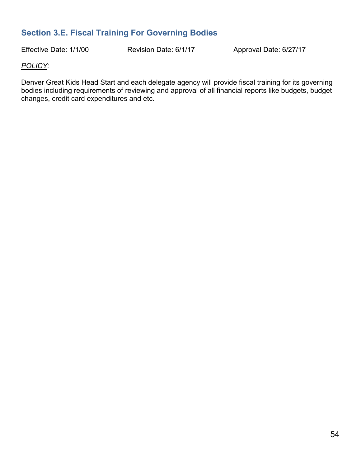# **Section 3.E. Fiscal Training For Governing Bodies**

Effective Date: 1/1/00 Revision Date: 6/1/17 Approval Date: 6/27/17

#### *POLICY:*

Denver Great Kids Head Start and each delegate agency will provide fiscal training for its governing bodies including requirements of reviewing and approval of all financial reports like budgets, budget changes, credit card expenditures and etc.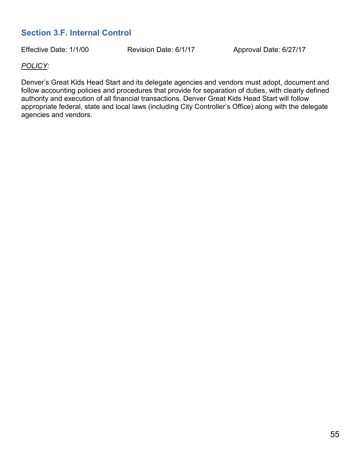# **Section 3.F. Internal Control**

Effective Date: 1/1/00 Revision Date: 6/1/17 Approval Date: 6/27/17

#### *POLICY:*

Denver's Great Kids Head Start and its delegate agencies and vendors must adopt, document and follow accounting policies and procedures that provide for separation of duties, with clearly defined authority and execution of all financial transactions. Denver Great Kids Head Start will follow appropriate federal, state and local laws (including City Controller's Office) along with the delegate agencies and vendors.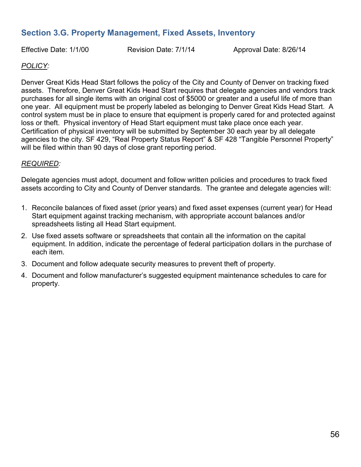# **Section 3.G. Property Management, Fixed Assets, Inventory**

Effective Date: 1/1/00 Revision Date: 7/1/14 Approval Date: 8/26/14

#### *POLICY:*

Denver Great Kids Head Start follows the policy of the City and County of Denver on tracking fixed assets. Therefore, Denver Great Kids Head Start requires that delegate agencies and vendors track purchases for all single items with an original cost of \$5000 or greater and a useful life of more than one year. All equipment must be properly labeled as belonging to Denver Great Kids Head Start. A control system must be in place to ensure that equipment is properly cared for and protected against loss or theft. Physical inventory of Head Start equipment must take place once each year. Certification of physical inventory will be submitted by September 30 each year by all delegate agencies to the city. SF 429, "Real Property Status Report" & SF 428 "Tangible Personnel Property" will be filed within than 90 days of close grant reporting period.

#### *REQUIRED:*

Delegate agencies must adopt, document and follow written policies and procedures to track fixed assets according to City and County of Denver standards. The grantee and delegate agencies will:

- 1. Reconcile balances of fixed asset (prior years) and fixed asset expenses (current year) for Head Start equipment against tracking mechanism, with appropriate account balances and/or spreadsheets listing all Head Start equipment.
- 2. Use fixed assets software or spreadsheets that contain all the information on the capital equipment. In addition, indicate the percentage of federal participation dollars in the purchase of each item.
- 3. Document and follow adequate security measures to prevent theft of property.
- 4. Document and follow manufacturer's suggested equipment maintenance schedules to care for property.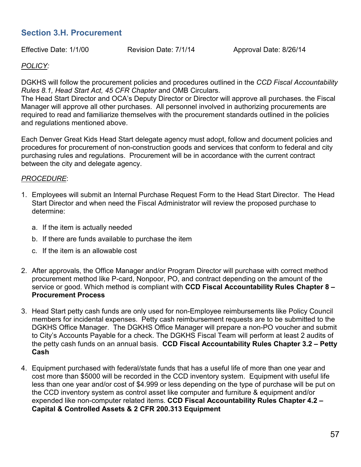# **Section 3.H. Procurement**

Effective Date: 1/1/00 Revision Date: 7/1/14 Approval Date: 8/26/14

#### *POLICY:*

DGKHS will follow the procurement policies and procedures outlined in the *CCD Fiscal Accountability Rules 8.1, Head Start Act, 45 CFR Chapter* and OMB Circulars.

The Head Start Director and OCA's Deputy Director or Director will approve all purchases. the Fiscal Manager will approve all other purchases. All personnel involved in authorizing procurements are required to read and familiarize themselves with the procurement standards outlined in the policies and regulations mentioned above.

Each Denver Great Kids Head Start delegate agency must adopt, follow and document policies and procedures for procurement of non-construction goods and services that conform to federal and city purchasing rules and regulations. Procurement will be in accordance with the current contract between the city and delegate agency.

#### *PROCEDURE*:

- 1. Employees will submit an Internal Purchase Request Form to the Head Start Director. The Head Start Director and when need the Fiscal Administrator will review the proposed purchase to determine:
	- a. If the item is actually needed
	- b. If there are funds available to purchase the item
	- c. If the item is an allowable cost
- 2. After approvals, the Office Manager and/or Program Director will purchase with correct method procurement method like P-card, Nonpoor, PO, and contract depending on the amount of the service or good. Which method is compliant with **CCD Fiscal Accountability Rules Chapter 8 – Procurement Process**
- 3. Head Start petty cash funds are only used for non-Employee reimbursements like Policy Council members for incidental expenses. Petty cash reimbursement requests are to be submitted to the DGKHS Office Manager. The DGKHS Office Manager will prepare a non-PO voucher and submit to City's Accounts Payable for a check. The DGKHS Fiscal Team will perform at least 2 audits of the petty cash funds on an annual basis. **CCD Fiscal Accountability Rules Chapter 3.2 – Petty Cash**
- 4. Equipment purchased with federal/state funds that has a useful life of more than one year and cost more than \$5000 will be recorded in the CCD inventory system. Equipment with useful life less than one year and/or cost of \$4.999 or less depending on the type of purchase will be put on the CCD inventory system as control asset like computer and furniture & equipment and/or expended like non-computer related items. **CCD Fiscal Accountability Rules Chapter 4.2 – Capital & Controlled Assets & 2 CFR 200.313 Equipment**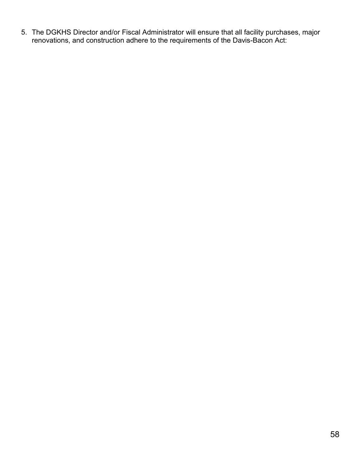5. The DGKHS Director and/or Fiscal Administrator will ensure that all facility purchases, major renovations, and construction adhere to the requirements of the Davis-Bacon Act: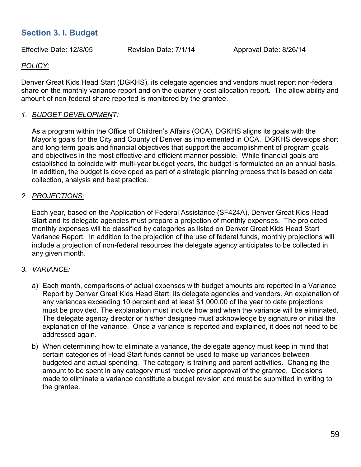# **Section 3. I. Budget**

Effective Date: 12/8/05 Revision Date: 7/1/14 Approval Date: 8/26/14

#### *POLICY:*

Denver Great Kids Head Start (DGKHS), its delegate agencies and vendors must report non-federal share on the monthly variance report and on the quarterly cost allocation report. The allow ability and amount of non-federal share reported is monitored by the grantee.

#### *1. BUDGET DEVELOPMENT:*

As a program within the Office of Children's Affairs (OCA), DGKHS aligns its goals with the Mayor's goals for the City and County of Denver as implemented in OCA. DGKHS develops short and long-term goals and financial objectives that support the accomplishment of program goals and objectives in the most effective and efficient manner possible. While financial goals are established to coincide with multi-year budget years, the budget is formulated on an annual basis. In addition, the budget is developed as part of a strategic planning process that is based on data collection, analysis and best practice.

#### *2. PROJECTIONS:*

Each year, based on the Application of Federal Assistance (SF424A), Denver Great Kids Head Start and its delegate agencies must prepare a projection of monthly expenses. The projected monthly expenses will be classified by categories as listed on Denver Great Kids Head Start Variance Report. In addition to the projection of the use of federal funds, monthly projections will include a projection of non-federal resources the delegate agency anticipates to be collected in any given month.

#### *3. VARIANCE:*

- a) Each month, comparisons of actual expenses with budget amounts are reported in a Variance Report by Denver Great Kids Head Start, its delegate agencies and vendors. An explanation of any variances exceeding 10 percent and at least \$1,000.00 of the year to date projections must be provided. The explanation must include how and when the variance will be eliminated. The delegate agency director or his/her designee must acknowledge by signature or initial the explanation of the variance. Once a variance is reported and explained, it does not need to be addressed again.
- b) When determining how to eliminate a variance, the delegate agency must keep in mind that certain categories of Head Start funds cannot be used to make up variances between budgeted and actual spending. The category is training and parent activities. Changing the amount to be spent in any category must receive prior approval of the grantee. Decisions made to eliminate a variance constitute a budget revision and must be submitted in writing to the grantee.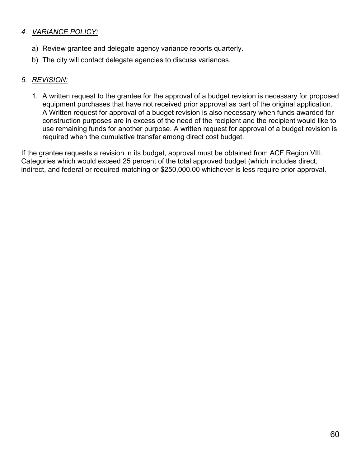#### *4. VARIANCE POLICY:*

- a) Review grantee and delegate agency variance reports quarterly.
- b) The city will contact delegate agencies to discuss variances.

#### *5. REVISION:*

1. A written request to the grantee for the approval of a budget revision is necessary for proposed equipment purchases that have not received prior approval as part of the original application. A Written request for approval of a budget revision is also necessary when funds awarded for construction purposes are in excess of the need of the recipient and the recipient would like to use remaining funds for another purpose. A written request for approval of a budget revision is required when the cumulative transfer among direct cost budget.

If the grantee requests a revision in its budget, approval must be obtained from ACF Region VIII. Categories which would exceed 25 percent of the total approved budget (which includes direct, indirect, and federal or required matching or \$250,000.00 whichever is less require prior approval.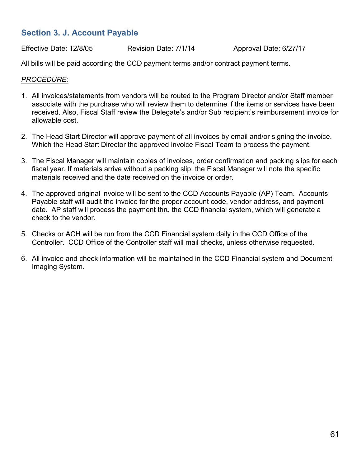# **Section 3. J. Account Payable**

Effective Date: 12/8/05 Revision Date: 7/1/14 Approval Date: 6/27/17

All bills will be paid according the CCD payment terms and/or contract payment terms.

#### *PROCEDURE:*

- 1. All invoices/statements from vendors will be routed to the Program Director and/or Staff member associate with the purchase who will review them to determine if the items or services have been received. Also, Fiscal Staff review the Delegate's and/or Sub recipient's reimbursement invoice for allowable cost.
- 2. The Head Start Director will approve payment of all invoices by email and/or signing the invoice. Which the Head Start Director the approved invoice Fiscal Team to process the payment.
- 3. The Fiscal Manager will maintain copies of invoices, order confirmation and packing slips for each fiscal year. If materials arrive without a packing slip, the Fiscal Manager will note the specific materials received and the date received on the invoice or order.
- 4. The approved original invoice will be sent to the CCD Accounts Payable (AP) Team. Accounts Payable staff will audit the invoice for the proper account code, vendor address, and payment date. AP staff will process the payment thru the CCD financial system, which will generate a check to the vendor.
- 5. Checks or ACH will be run from the CCD Financial system daily in the CCD Office of the Controller. CCD Office of the Controller staff will mail checks, unless otherwise requested.
- 6. All invoice and check information will be maintained in the CCD Financial system and Document Imaging System.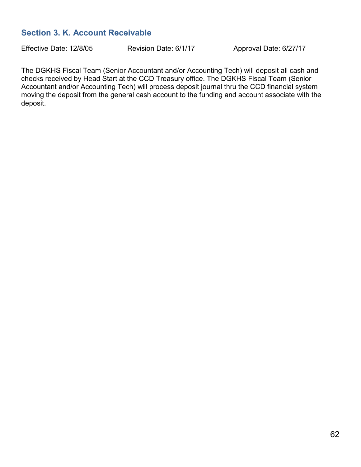# **Section 3. K. Account Receivable**

Effective Date: 12/8/05 Revision Date: 6/1/17 Approval Date: 6/27/17

The DGKHS Fiscal Team (Senior Accountant and/or Accounting Tech) will deposit all cash and checks received by Head Start at the CCD Treasury office. The DGKHS Fiscal Team (Senior Accountant and/or Accounting Tech) will process deposit journal thru the CCD financial system moving the deposit from the general cash account to the funding and account associate with the deposit.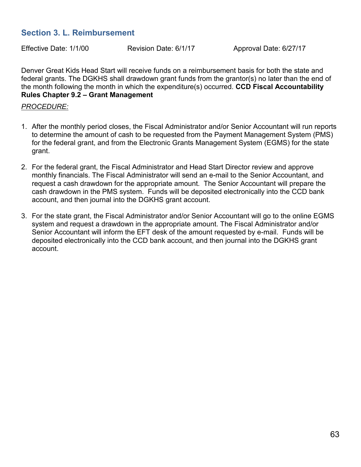## **Section 3. L. Reimbursement**

Effective Date: 1/1/00 Revision Date: 6/1/17 Approval Date: 6/27/17

Denver Great Kids Head Start will receive funds on a reimbursement basis for both the state and federal grants. The DGKHS shall drawdown grant funds from the grantor(s) no later than the end of the month following the month in which the expenditure(s) occurred. **CCD Fiscal Accountability Rules Chapter 9.2 – Grant Management**

#### *PROCEDURE:*

- 1. After the monthly period closes, the Fiscal Administrator and/or Senior Accountant will run reports to determine the amount of cash to be requested from the Payment Management System (PMS) for the federal grant, and from the Electronic Grants Management System (EGMS) for the state grant.
- 2. For the federal grant, the Fiscal Administrator and Head Start Director review and approve monthly financials. The Fiscal Administrator will send an e-mail to the Senior Accountant, and request a cash drawdown for the appropriate amount. The Senior Accountant will prepare the cash drawdown in the PMS system. Funds will be deposited electronically into the CCD bank account, and then journal into the DGKHS grant account.
- 3. For the state grant, the Fiscal Administrator and/or Senior Accountant will go to the online EGMS system and request a drawdown in the appropriate amount. The Fiscal Administrator and/or Senior Accountant will inform the EFT desk of the amount requested by e-mail. Funds will be deposited electronically into the CCD bank account, and then journal into the DGKHS grant account.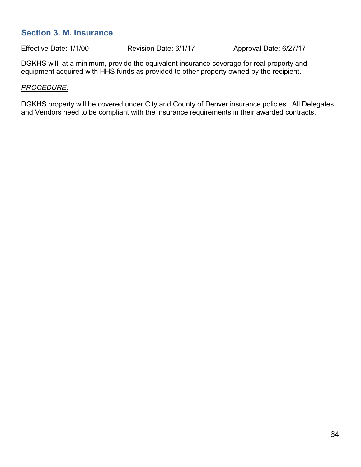#### **Section 3. M. Insurance**

Effective Date: 1/1/00 Revision Date: 6/1/17 Approval Date: 6/27/17

DGKHS will, at a minimum, provide the equivalent insurance coverage for real property and equipment acquired with HHS funds as provided to other property owned by the recipient.

#### *PROCEDURE:*

DGKHS property will be covered under City and County of Denver insurance policies. All Delegates and Vendors need to be compliant with the insurance requirements in their awarded contracts.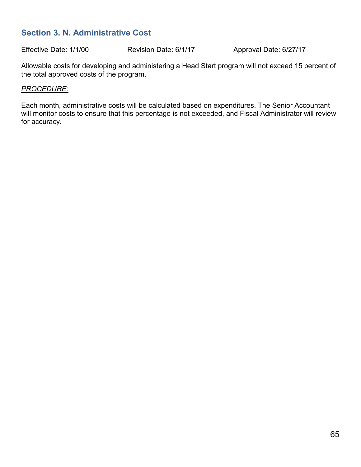# **Section 3. N. Administrative Cost**

Effective Date: 1/1/00 Revision Date: 6/1/17 Approval Date: 6/27/17

Allowable costs for developing and administering a Head Start program will not exceed 15 percent of the total approved costs of the program.

#### *PROCEDURE:*

Each month, administrative costs will be calculated based on expenditures. The Senior Accountant will monitor costs to ensure that this percentage is not exceeded, and Fiscal Administrator will review for accuracy.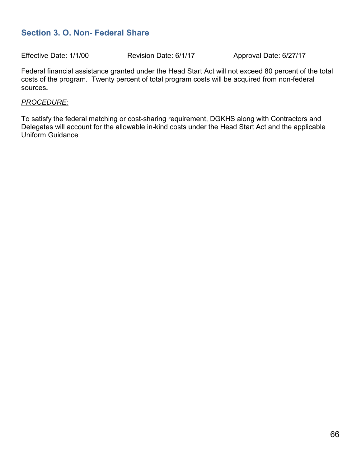# **Section 3. O. Non- Federal Share**

Effective Date: 1/1/00 Revision Date: 6/1/17 Approval Date: 6/27/17

Federal financial assistance granted under the Head Start Act will not exceed 80 percent of the total costs of the program. Twenty percent of total program costs will be acquired from non-federal sources**.**

#### *PROCEDURE:*

To satisfy the federal matching or cost-sharing requirement, DGKHS along with Contractors and Delegates will account for the allowable in-kind costs under the Head Start Act and the applicable Uniform Guidance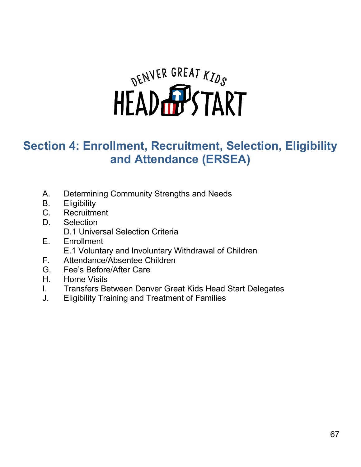

# **Section 4: Enrollment, Recruitment, Selection, Eligibility and Attendance (ERSEA)**

- A. Determining Community Strengths and Needs
- B. Eligibility
- C. Recruitment
- D. Selection
	- D.1 Universal Selection Criteria
- E. Enrollment E.1 Voluntary and Involuntary Withdrawal of Children
- F. Attendance/Absentee Children
- G. Fee's Before/After Care
- H. Home Visits
- I. Transfers Between Denver Great Kids Head Start Delegates
- J. Eligibility Training and Treatment of Families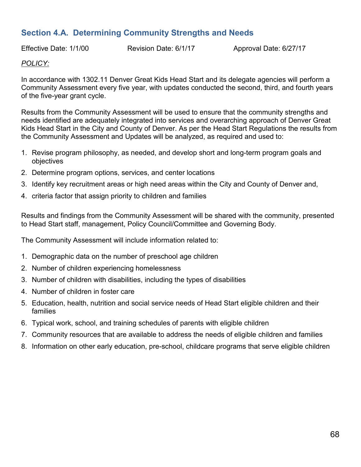# **Section 4.A. Determining Community Strengths and Needs**

Effective Date: 1/1/00 Revision Date: 6/1/17 Approval Date: 6/27/17

#### *POLICY:*

In accordance with 1302.11 Denver Great Kids Head Start and its delegate agencies will perform a Community Assessment every five year, with updates conducted the second, third, and fourth years of the five-year grant cycle.

Results from the Community Assessment will be used to ensure that the community strengths and needs identified are adequately integrated into services and overarching approach of Denver Great Kids Head Start in the City and County of Denver. As per the Head Start Regulations the results from the Community Assessment and Updates will be analyzed, as required and used to:

- 1. Revise program philosophy, as needed, and develop short and long-term program goals and objectives
- 2. Determine program options, services, and center locations
- 3. Identify key recruitment areas or high need areas within the City and County of Denver and,
- 4. criteria factor that assign priority to children and families

Results and findings from the Community Assessment will be shared with the community, presented to Head Start staff, management, Policy Council/Committee and Governing Body.

The Community Assessment will include information related to:

- 1. Demographic data on the number of preschool age children
- 2. Number of children experiencing homelessness
- 3. Number of children with disabilities, including the types of disabilities
- 4. Number of children in foster care
- 5. Education, health, nutrition and social service needs of Head Start eligible children and their families
- 6. Typical work, school, and training schedules of parents with eligible children
- 7. Community resources that are available to address the needs of eligible children and families
- 8. Information on other early education, pre-school, childcare programs that serve eligible children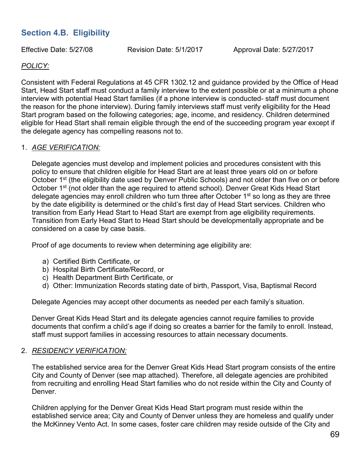# **Section 4.B. Eligibility**

Effective Date: 5/27/08 Revision Date: 5/1/2017 Approval Date: 5/27/2017

#### *POLICY:*

Consistent with Federal Regulations at 45 CFR 1302.12 and guidance provided by the Office of Head Start, Head Start staff must conduct a family interview to the extent possible or at a minimum a phone interview with potential Head Start families (if a phone interview is conducted- staff must document the reason for the phone interview). During family interviews staff must verify eligibility for the Head Start program based on the following categories; age, income, and residency. Children determined eligible for Head Start shall remain eligible through the end of the succeeding program year except if the delegate agency has compelling reasons not to.

#### 1. *AGE VERIFICATION:*

Delegate agencies must develop and implement policies and procedures consistent with this policy to ensure that children eligible for Head Start are at least three years old on or before October 1<sup>st</sup> (the eligibility date used by Denver Public Schools) and not older than five on or before October 1<sup>st</sup> (not older than the age required to attend school). Denver Great Kids Head Start delegate agencies may enroll children who turn three after October 1<sup>st</sup> so long as they are three by the date eligibility is determined or the child's first day of Head Start services. Children who transition from Early Head Start to Head Start are exempt from age eligibility requirements. Transition from Early Head Start to Head Start should be developmentally appropriate and be considered on a case by case basis.

Proof of age documents to review when determining age eligibility are:

- a) Certified Birth Certificate, or
- b) Hospital Birth Certificate/Record, or
- c) Health Department Birth Certificate, or
- d) Other: Immunization Records stating date of birth, Passport, Visa, Baptismal Record

Delegate Agencies may accept other documents as needed per each family's situation.

Denver Great Kids Head Start and its delegate agencies cannot require families to provide documents that confirm a child's age if doing so creates a barrier for the family to enroll. Instead, staff must support families in accessing resources to attain necessary documents.

#### 2. *RESIDENCY VERIFICATION:*

The established service area for the Denver Great Kids Head Start program consists of the entire City and County of Denver (see map attached). Therefore, all delegate agencies are prohibited from recruiting and enrolling Head Start families who do not reside within the City and County of Denver.

Children applying for the Denver Great Kids Head Start program must reside within the established service area; City and County of Denver unless they are homeless and qualify under the McKinney Vento Act. In some cases, foster care children may reside outside of the City and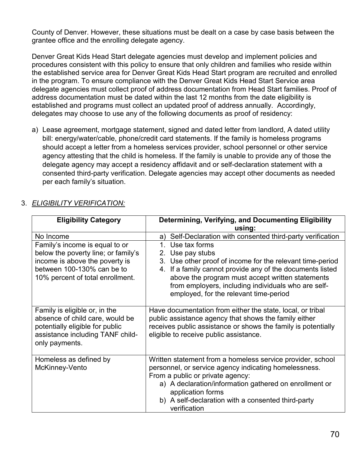County of Denver. However, these situations must be dealt on a case by case basis between the grantee office and the enrolling delegate agency.

Denver Great Kids Head Start delegate agencies must develop and implement policies and procedures consistent with this policy to ensure that only children and families who reside within the established service area for Denver Great Kids Head Start program are recruited and enrolled in the program. To ensure compliance with the Denver Great Kids Head Start Service area delegate agencies must collect proof of address documentation from Head Start families. Proof of address documentation must be dated within the last 12 months from the date eligibility is established and programs must collect an updated proof of address annually. Accordingly, delegates may choose to use any of the following documents as proof of residency:

a) Lease agreement, mortgage statement, signed and dated letter from landlord, A dated utility bill: energy/water/cable, phone/credit card statements. If the family is homeless programs should accept a letter from a homeless services provider, school personnel or other service agency attesting that the child is homeless. If the family is unable to provide any of those the delegate agency may accept a residency affidavit and or self-declaration statement with a consented third-party verification. Delegate agencies may accept other documents as needed per each family's situation.

| <b>Eligibility Category</b>                                                                                                                                               | Determining, Verifying, and Documenting Eligibility<br>using:                                                                                                                                                                                                                                                          |
|---------------------------------------------------------------------------------------------------------------------------------------------------------------------------|------------------------------------------------------------------------------------------------------------------------------------------------------------------------------------------------------------------------------------------------------------------------------------------------------------------------|
| No Income                                                                                                                                                                 | Self-Declaration with consented third-party verification<br>a)                                                                                                                                                                                                                                                         |
| Family's income is equal to or<br>below the poverty line; or family's<br>income is above the poverty is<br>between 100-130% can be to<br>10% percent of total enrollment. | 1. Use tax forms<br>2. Use pay stubs<br>3. Use other proof of income for the relevant time-period<br>If a family cannot provide any of the documents listed<br>4.<br>above the program must accept written statements<br>from employers, including individuals who are self-<br>employed, for the relevant time-period |
| Family is eligible or, in the<br>absence of child care, would be<br>potentially eligible for public<br>assistance including TANF child-<br>only payments.                 | Have documentation from either the state, local, or tribal<br>public assistance agency that shows the family either<br>receives public assistance or shows the family is potentially<br>eligible to receive public assistance.                                                                                         |
| Homeless as defined by<br>McKinney-Vento                                                                                                                                  | Written statement from a homeless service provider, school<br>personnel, or service agency indicating homelessness.<br>From a public or private agency:<br>a) A declaration/information gathered on enrollment or<br>application forms<br>b) A self-declaration with a consented third-party<br>verification           |

## 3. *ELIGIBILITY VERIFICATION:*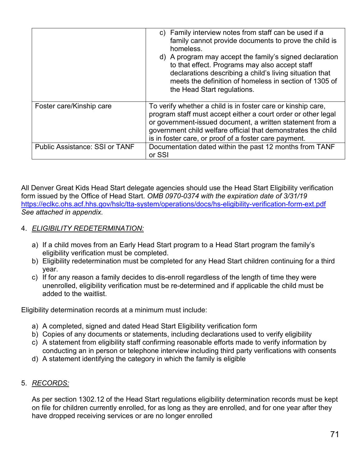|                                       | c) Family interview notes from staff can be used if a<br>family cannot provide documents to prove the child is<br>homeless.<br>d) A program may accept the family's signed declaration<br>to that effect. Programs may also accept staff<br>declarations describing a child's living situation that<br>meets the definition of homeless in section of 1305 of<br>the Head Start regulations. |
|---------------------------------------|----------------------------------------------------------------------------------------------------------------------------------------------------------------------------------------------------------------------------------------------------------------------------------------------------------------------------------------------------------------------------------------------|
| Foster care/Kinship care              | To verify whether a child is in foster care or kinship care,<br>program staff must accept either a court order or other legal<br>or government-issued document, a written statement from a<br>government child welfare official that demonstrates the child<br>is in foster care, or proof of a foster care payment.                                                                         |
| <b>Public Assistance: SSI or TANF</b> | Documentation dated within the past 12 months from TANF<br>or SSI                                                                                                                                                                                                                                                                                                                            |

All Denver Great Kids Head Start delegate agencies should use the Head Start Eligibility verification form issued by the Office of Head Start. *OMB 0970-0374 with the expiration date of 3/31/19*  <https://eclkc.ohs.acf.hhs.gov/hslc/tta-system/operations/docs/hs-eligibility-verification-form-ext.pdf> *See attached in appendix.*

#### 4. *ELIGIBILITY REDETERMINATION:*

- a) If a child moves from an Early Head Start program to a Head Start program the family's eligibility verification must be completed.
- b) Eligibility redetermination must be completed for any Head Start children continuing for a third year.
- c) If for any reason a family decides to dis-enroll regardless of the length of time they were unenrolled, eligibility verification must be re-determined and if applicable the child must be added to the waitlist.

Eligibility determination records at a minimum must include:

- a) A completed, signed and dated Head Start Eligibility verification form
- b) Copies of any documents or statements, including declarations used to verify eligibility
- c) A statement from eligibility staff confirming reasonable efforts made to verify information by conducting an in person or telephone interview including third party verifications with consents
- d) A statement identifying the category in which the family is eligible

#### 5. *RECORDS:*

As per section 1302.12 of the Head Start regulations eligibility determination records must be kept on file for children currently enrolled, for as long as they are enrolled, and for one year after they have dropped receiving services or are no longer enrolled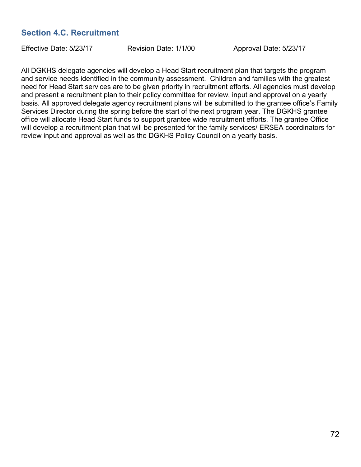# **Section 4.C. Recruitment**

Effective Date: 5/23/17 Revision Date: 1/1/00 Approval Date: 5/23/17

All DGKHS delegate agencies will develop a Head Start recruitment plan that targets the program and service needs identified in the community assessment. Children and families with the greatest need for Head Start services are to be given priority in recruitment efforts. All agencies must develop and present a recruitment plan to their policy committee for review, input and approval on a yearly basis. All approved delegate agency recruitment plans will be submitted to the grantee office's Family Services Director during the spring before the start of the next program year. The DGKHS grantee office will allocate Head Start funds to support grantee wide recruitment efforts. The grantee Office will develop a recruitment plan that will be presented for the family services/ ERSEA coordinators for review input and approval as well as the DGKHS Policy Council on a yearly basis.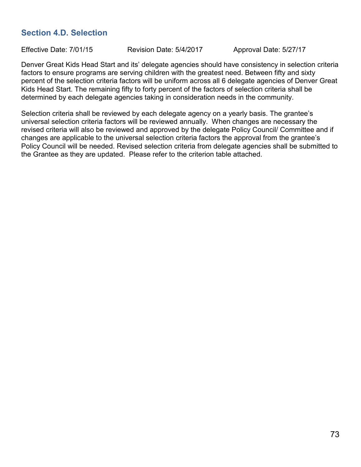# **Section 4.D. Selection**

Effective Date: 7/01/15 Revision Date: 5/4/2017 Approval Date: 5/27/17

Denver Great Kids Head Start and its' delegate agencies should have consistency in selection criteria factors to ensure programs are serving children with the greatest need. Between fifty and sixty percent of the selection criteria factors will be uniform across all 6 delegate agencies of Denver Great Kids Head Start. The remaining fifty to forty percent of the factors of selection criteria shall be determined by each delegate agencies taking in consideration needs in the community.

Selection criteria shall be reviewed by each delegate agency on a yearly basis. The grantee's universal selection criteria factors will be reviewed annually. When changes are necessary the revised criteria will also be reviewed and approved by the delegate Policy Council/ Committee and if changes are applicable to the universal selection criteria factors the approval from the grantee's Policy Council will be needed. Revised selection criteria from delegate agencies shall be submitted to the Grantee as they are updated. Please refer to the criterion table attached.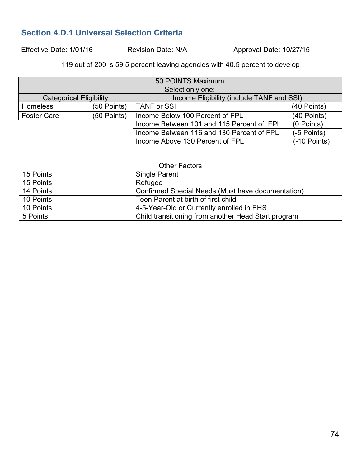# **Section 4.D.1 Universal Selection Criteria**

Effective Date: 1/01/16 Revision Date: N/A Approval Date: 10/27/15

119 out of 200 is 59.5 percent leaving agencies with 40.5 percent to develop

| 50 POINTS Maximum              |             |                                           |               |  |  |
|--------------------------------|-------------|-------------------------------------------|---------------|--|--|
| Select only one:               |             |                                           |               |  |  |
| <b>Categorical Eligibility</b> |             | Income Eligibility (include TANF and SSI) |               |  |  |
| <b>Homeless</b>                | (50 Points) | <b>TANF or SSI</b>                        | (40 Points)   |  |  |
| <b>Foster Care</b>             | (50 Points) | Income Below 100 Percent of FPL           | (40 Points)   |  |  |
|                                |             | Income Between 101 and 115 Percent of FPL | (0 Points)    |  |  |
|                                |             | Income Between 116 and 130 Percent of FPL | $(-5$ Points) |  |  |
|                                |             | Income Above 130 Percent of FPL           | (-10 Points)  |  |  |

| <b>Other Factors</b> |                                                     |  |  |
|----------------------|-----------------------------------------------------|--|--|
| 15 Points            | <b>Single Parent</b>                                |  |  |
| 15 Points            | Refugee                                             |  |  |
| 14 Points            | Confirmed Special Needs (Must have documentation)   |  |  |
| 10 Points            | Teen Parent at birth of first child                 |  |  |
| 10 Points            | 4-5-Year-Old or Currently enrolled in EHS           |  |  |
| 5 Points             | Child transitioning from another Head Start program |  |  |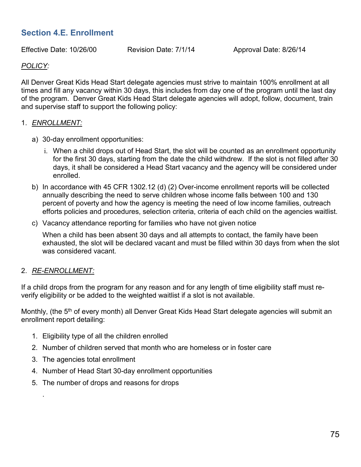# **Section 4.E. Enrollment**

Effective Date: 10/26/00 Revision Date: 7/1/14 Approval Date: 8/26/14

## *POLICY:*

All Denver Great Kids Head Start delegate agencies must strive to maintain 100% enrollment at all times and fill any vacancy within 30 days, this includes from day one of the program until the last day of the program. Denver Great Kids Head Start delegate agencies will adopt, follow, document, train and supervise staff to support the following policy:

#### 1. *ENROLLMENT:*

- a) 30-day enrollment opportunities:
	- i. When a child drops out of Head Start, the slot will be counted as an enrollment opportunity for the first 30 days, starting from the date the child withdrew. If the slot is not filled after 30 days, it shall be considered a Head Start vacancy and the agency will be considered under enrolled.
- b) In accordance with 45 CFR 1302.12 (d) (2) Over-income enrollment reports will be collected annually describing the need to serve children whose income falls between 100 and 130 percent of poverty and how the agency is meeting the need of low income families, outreach efforts policies and procedures, selection criteria, criteria of each child on the agencies waitlist.
- c) Vacancy attendance reporting for families who have not given notice

When a child has been absent 30 days and all attempts to contact, the family have been exhausted, the slot will be declared vacant and must be filled within 30 days from when the slot was considered vacant.

#### 2. *RE-ENROLLMENT:*

.

If a child drops from the program for any reason and for any length of time eligibility staff must reverify eligibility or be added to the weighted waitlist if a slot is not available.

Monthly, (the 5<sup>th</sup> of every month) all Denver Great Kids Head Start delegate agencies will submit an enrollment report detailing:

- 1. Eligibility type of all the children enrolled
- 2. Number of children served that month who are homeless or in foster care
- 3. The agencies total enrollment
- 4. Number of Head Start 30-day enrollment opportunities
- 5. The number of drops and reasons for drops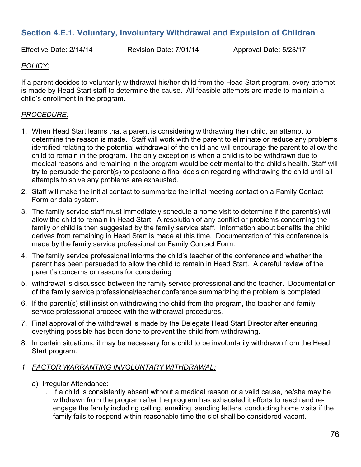# **Section 4.E.1. Voluntary, Involuntary Withdrawal and Expulsion of Children**

Effective Date: 2/14/14 Revision Date: 7/01/14 Approval Date: 5/23/17

# *POLICY:*

If a parent decides to voluntarily withdrawal his/her child from the Head Start program, every attempt is made by Head Start staff to determine the cause. All feasible attempts are made to maintain a child's enrollment in the program.

# *PROCEDURE:*

- 1. When Head Start learns that a parent is considering withdrawing their child, an attempt to determine the reason is made. Staff will work with the parent to eliminate or reduce any problems identified relating to the potential withdrawal of the child and will encourage the parent to allow the child to remain in the program. The only exception is when a child is to be withdrawn due to medical reasons and remaining in the program would be detrimental to the child's health. Staff will try to persuade the parent(s) to postpone a final decision regarding withdrawing the child until all attempts to solve any problems are exhausted.
- 2. Staff will make the initial contact to summarize the initial meeting contact on a Family Contact Form or data system.
- 3. The family service staff must immediately schedule a home visit to determine if the parent(s) will allow the child to remain in Head Start. A resolution of any conflict or problems concerning the family or child is then suggested by the family service staff. Information about benefits the child derives from remaining in Head Start is made at this time. Documentation of this conference is made by the family service professional on Family Contact Form.
- 4. The family service professional informs the child's teacher of the conference and whether the parent has been persuaded to allow the child to remain in Head Start. A careful review of the parent's concerns or reasons for considering
- 5. withdrawal is discussed between the family service professional and the teacher. Documentation of the family service professional/teacher conference summarizing the problem is completed.
- 6. If the parent(s) still insist on withdrawing the child from the program, the teacher and family service professional proceed with the withdrawal procedures.
- 7. Final approval of the withdrawal is made by the Delegate Head Start Director after ensuring everything possible has been done to prevent the child from withdrawing.
- 8. In certain situations, it may be necessary for a child to be involuntarily withdrawn from the Head Start program.

# *1. FACTOR WARRANTING INVOLUNTARY WITHDRAWAL:*

- a) Irregular Attendance:
	- i. If a child is consistently absent without a medical reason or a valid cause, he/she may be withdrawn from the program after the program has exhausted it efforts to reach and reengage the family including calling, emailing, sending letters, conducting home visits if the family fails to respond within reasonable time the slot shall be considered vacant.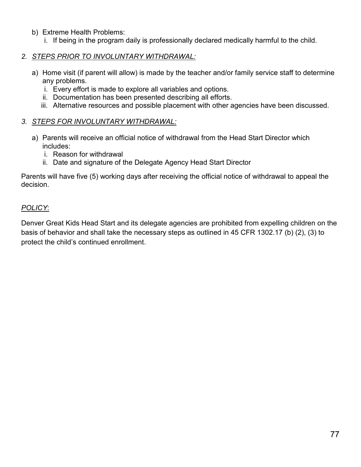- b) Extreme Health Problems:
	- i. If being in the program daily is professionally declared medically harmful to the child.
- *2. STEPS PRIOR TO INVOLUNTARY WITHDRAWAL:*
	- a) Home visit (if parent will allow) is made by the teacher and/or family service staff to determine any problems.
		- i. Every effort is made to explore all variables and options.
		- ii. Documentation has been presented describing all efforts.
		- iii. Alternative resources and possible placement with other agencies have been discussed.

# *3. STEPS FOR INVOLUNTARY WITHDRAWAL:*

- a) Parents will receive an official notice of withdrawal from the Head Start Director which includes:
	- i. Reason for withdrawal
	- ii. Date and signature of the Delegate Agency Head Start Director

Parents will have five (5) working days after receiving the official notice of withdrawal to appeal the decision.

# *POLICY*:

Denver Great Kids Head Start and its delegate agencies are prohibited from expelling children on the basis of behavior and shall take the necessary steps as outlined in 45 CFR 1302.17 (b) (2), (3) to protect the child's continued enrollment.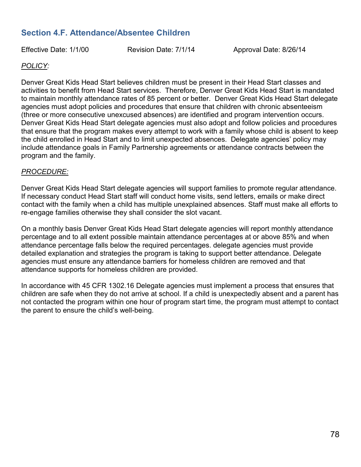# **Section 4.F. Attendance/Absentee Children**

Effective Date: 1/1/00 Revision Date: 7/1/14 Approval Date: 8/26/14

# *POLICY:*

Denver Great Kids Head Start believes children must be present in their Head Start classes and activities to benefit from Head Start services. Therefore, Denver Great Kids Head Start is mandated to maintain monthly attendance rates of 85 percent or better. Denver Great Kids Head Start delegate agencies must adopt policies and procedures that ensure that children with chronic absenteeism (three or more consecutive unexcused absences) are identified and program intervention occurs. Denver Great Kids Head Start delegate agencies must also adopt and follow policies and procedures that ensure that the program makes every attempt to work with a family whose child is absent to keep the child enrolled in Head Start and to limit unexpected absences. Delegate agencies' policy may include attendance goals in Family Partnership agreements or attendance contracts between the program and the family.

#### *PROCEDURE:*

Denver Great Kids Head Start delegate agencies will support families to promote regular attendance. If necessary conduct Head Start staff will conduct home visits, send letters, emails or make direct contact with the family when a child has multiple unexplained absences. Staff must make all efforts to re-engage families otherwise they shall consider the slot vacant.

On a monthly basis Denver Great Kids Head Start delegate agencies will report monthly attendance percentage and to all extent possible maintain attendance percentages at or above 85% and when attendance percentage falls below the required percentages. delegate agencies must provide detailed explanation and strategies the program is taking to support better attendance. Delegate agencies must ensure any attendance barriers for homeless children are removed and that attendance supports for homeless children are provided.

In accordance with 45 CFR 1302.16 Delegate agencies must implement a process that ensures that children are safe when they do not arrive at school. If a child is unexpectedly absent and a parent has not contacted the program within one hour of program start time, the program must attempt to contact the parent to ensure the child's well-being.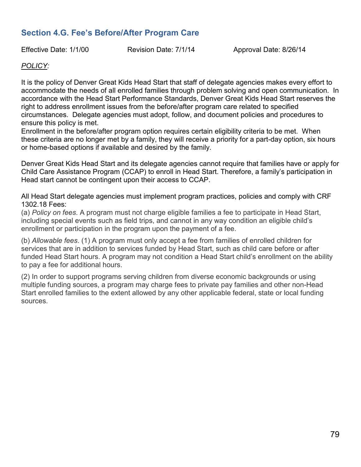# **Section 4.G. Fee's Before/After Program Care**

Effective Date: 1/1/00 Revision Date: 7/1/14 Approval Date: 8/26/14

#### *POLICY:*

It is the policy of Denver Great Kids Head Start that staff of delegate agencies makes every effort to accommodate the needs of all enrolled families through problem solving and open communication. In accordance with the Head Start Performance Standards, Denver Great Kids Head Start reserves the right to address enrollment issues from the before/after program care related to specified circumstances. Delegate agencies must adopt, follow, and document policies and procedures to ensure this policy is met.

Enrollment in the before/after program option requires certain eligibility criteria to be met. When these criteria are no longer met by a family, they will receive a priority for a part-day option, six hours or home-based options if available and desired by the family.

Denver Great Kids Head Start and its delegate agencies cannot require that families have or apply for Child Care Assistance Program (CCAP) to enroll in Head Start. Therefore, a family's participation in Head start cannot be contingent upon their access to CCAP.

All Head Start delegate agencies must implement program practices, policies and comply with CRF 1302.18 Fees:

(a) *Policy on fees*. A program must not charge eligible families a fee to participate in Head Start, including special events such as field trips, and cannot in any way condition an eligible child's enrollment or participation in the program upon the payment of a fee.

(b) *Allowable fees*. (1) A program must only accept a fee from families of enrolled children for services that are in addition to services funded by Head Start, such as child care before or after funded Head Start hours. A program may not condition a Head Start child's enrollment on the ability to pay a fee for additional hours.

(2) In order to support programs serving children from diverse economic backgrounds or using multiple funding sources, a program may charge fees to private pay families and other non-Head Start enrolled families to the extent allowed by any other applicable federal, state or local funding sources.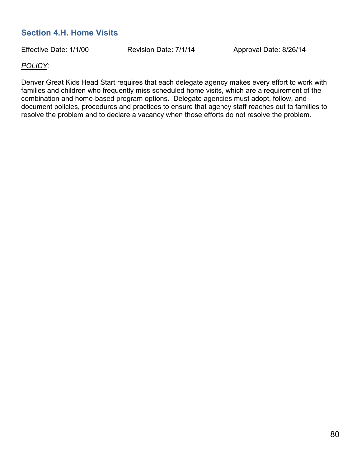# **Section 4.H. Home Visits**

Effective Date: 1/1/00 Revision Date: 7/1/14 Approval Date: 8/26/14

#### *POLICY:*

Denver Great Kids Head Start requires that each delegate agency makes every effort to work with families and children who frequently miss scheduled home visits, which are a requirement of the combination and home-based program options. Delegate agencies must adopt, follow, and document policies, procedures and practices to ensure that agency staff reaches out to families to resolve the problem and to declare a vacancy when those efforts do not resolve the problem.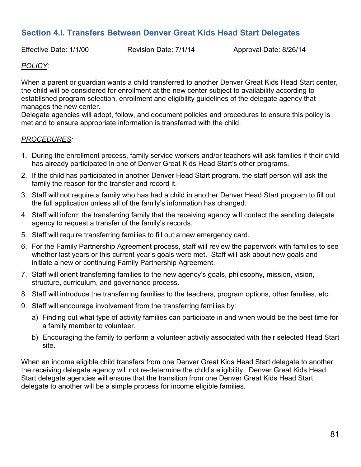# **Section 4.I. Transfers Between Denver Great Kids Head Start Delegates**

Effective Date: 1/1/00 Revision Date: 7/1/14 Approval Date: 8/26/14

# *POLICY:*

When a parent or guardian wants a child transferred to another Denver Great Kids Head Start center, the child will be considered for enrollment at the new center subject to availability according to established program selection, enrollment and eligibility guidelines of the delegate agency that manages the new center.

Delegate agencies will adopt, follow, and document policies and procedures to ensure this policy is met and to ensure appropriate information is transferred with the child.

#### *PROCEDURES:*

- 1. During the enrollment process, family service workers and/or teachers will ask families if their child has already participated in one of Denver Great Kids Head Start's other programs.
- 2. If the child has participated in another Denver Head Start program, the staff person will ask the family the reason for the transfer and record it.
- 3. Staff will not require a family who has had a child in another Denver Head Start program to fill out the full application unless all of the family's information has changed.
- 4. Staff will inform the transferring family that the receiving agency will contact the sending delegate agency to request a transfer of the family's records.
- 5. Staff will require transferring families to fill out a new emergency card.
- 6. For the Family Partnership Agreement process, staff will review the paperwork with families to see whether last years or this current year's goals were met. Staff will ask about new goals and initiate a new or continuing Family Partnership Agreement.
- 7. Staff will orient transferring families to the new agency's goals, philosophy, mission, vision, structure, curriculum, and governance process.
- 8. Staff will introduce the transferring families to the teachers, program options, other families, etc.
- 9. Staff will encourage involvement from the transferring families by:
	- a) Finding out what type of activity families can participate in and when would be the best time for a family member to volunteer.
	- b) Encouraging the family to perform a volunteer activity associated with their selected Head Start site.

When an income eligible child transfers from one Denver Great Kids Head Start delegate to another, the receiving delegate agency will not re-determine the child's eligibility. Denver Great Kids Head Start delegate agencies will ensure that the transition from one Denver Great Kids Head Start delegate to another will be a simple process for income eligible families.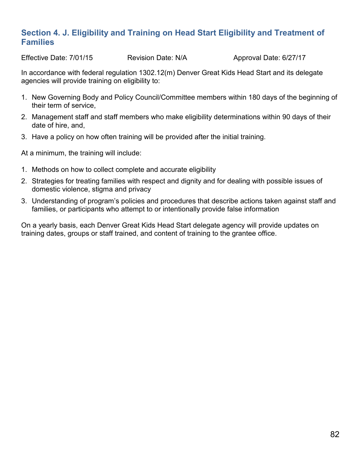# **Section 4. J. Eligibility and Training on Head Start Eligibility and Treatment of Families**

Effective Date: 7/01/15 Revision Date: N/A Approval Date: 6/27/17

In accordance with federal regulation 1302.12(m) Denver Great Kids Head Start and its delegate agencies will provide training on eligibility to:

- 1. New Governing Body and Policy Council/Committee members within 180 days of the beginning of their term of service,
- 2. Management staff and staff members who make eligibility determinations within 90 days of their date of hire, and,
- 3. Have a policy on how often training will be provided after the initial training.

At a minimum, the training will include:

- 1. Methods on how to collect complete and accurate eligibility
- 2. Strategies for treating families with respect and dignity and for dealing with possible issues of domestic violence, stigma and privacy
- 3. Understanding of program's policies and procedures that describe actions taken against staff and families, or participants who attempt to or intentionally provide false information

On a yearly basis, each Denver Great Kids Head Start delegate agency will provide updates on training dates, groups or staff trained, and content of training to the grantee office.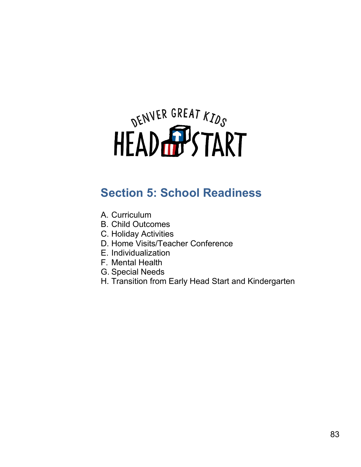# DENVER GREAT KIDS

# **Section 5: School Readiness**

- A. Curriculum
- B. Child Outcomes
- C. Holiday Activities
- D. Home Visits/Teacher Conference
- E. Individualization
- F. Mental Health
- G. Special Needs
- H. Transition from Early Head Start and Kindergarten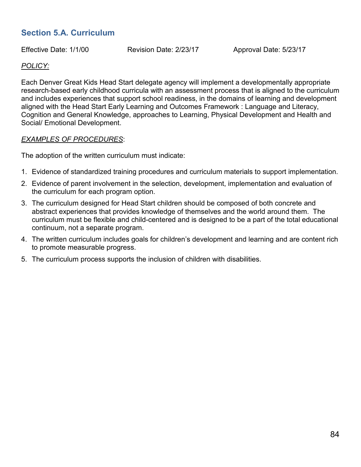# **Section 5.A. Curriculum**

Effective Date: 1/1/00 Revision Date: 2/23/17 Approval Date: 5/23/17

## *POLICY:*

Each Denver Great Kids Head Start delegate agency will implement a developmentally appropriate research-based early childhood curricula with an assessment process that is aligned to the curriculum and includes experiences that support school readiness, in the domains of learning and development aligned with the Head Start Early Learning and Outcomes Framework : Language and Literacy, Cognition and General Knowledge, approaches to Learning, Physical Development and Health and Social/ Emotional Development.

#### *EXAMPLES OF PROCEDURES*:

The adoption of the written curriculum must indicate:

- 1. Evidence of standardized training procedures and curriculum materials to support implementation.
- 2. Evidence of parent involvement in the selection, development, implementation and evaluation of the curriculum for each program option.
- 3. The curriculum designed for Head Start children should be composed of both concrete and abstract experiences that provides knowledge of themselves and the world around them. The curriculum must be flexible and child-centered and is designed to be a part of the total educational continuum, not a separate program.
- 4. The written curriculum includes goals for children's development and learning and are content rich to promote measurable progress.
- 5. The curriculum process supports the inclusion of children with disabilities.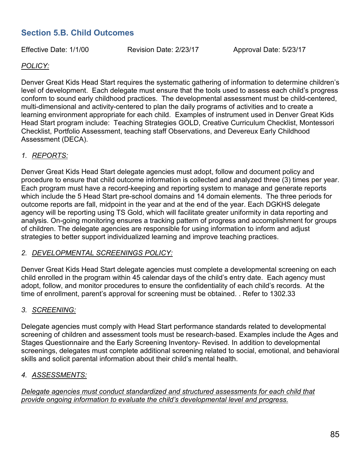# **Section 5.B. Child Outcomes**

Effective Date: 1/1/00 Revision Date: 2/23/17 Approval Date: 5/23/17

# *POLICY:*

Denver Great Kids Head Start requires the systematic gathering of information to determine children's level of development. Each delegate must ensure that the tools used to assess each child's progress conform to sound early childhood practices. The developmental assessment must be child-centered, multi-dimensional and activity-centered to plan the daily programs of activities and to create a learning environment appropriate for each child. Examples of instrument used in Denver Great Kids Head Start program include: Teaching Strategies GOLD, Creative Curriculum Checklist, Montessori Checklist, Portfolio Assessment, teaching staff Observations, and Devereux Early Childhood Assessment (DECA).

# *1. REPORTS:*

Denver Great Kids Head Start delegate agencies must adopt, follow and document policy and procedure to ensure that child outcome information is collected and analyzed three (3) times per year. Each program must have a record-keeping and reporting system to manage and generate reports which include the 5 Head Start pre-school domains and 14 domain elements. The three periods for outcome reports are fall, midpoint in the year and at the end of the year. Each DGKHS delegate agency will be reporting using TS Gold, which will facilitate greater uniformity in data reporting and analysis. On-going monitoring ensures a tracking pattern of progress and accomplishment for groups of children. The delegate agencies are responsible for using information to inform and adjust strategies to better support individualized learning and improve teaching practices.

#### *2. DEVELOPMENTAL SCREENINGS POLICY:*

Denver Great Kids Head Start delegate agencies must complete a developmental screening on each child enrolled in the program within 45 calendar days of the child's entry date. Each agency must adopt, follow, and monitor procedures to ensure the confidentiality of each child's records. At the time of enrollment, parent's approval for screening must be obtained. . Refer to 1302.33

#### *3. SCREENING:*

Delegate agencies must comply with Head Start performance standards related to developmental screening of children and assessment tools must be research-based. Examples include the Ages and Stages Questionnaire and the Early Screening Inventory- Revised. In addition to developmental screenings, delegates must complete additional screening related to social, emotional, and behavioral skills and solicit parental information about their child's mental health.

# *4. ASSESSMENTS:*

*Delegate agencies must conduct standardized and structured assessments for each child that provide ongoing information to evaluate the child's developmental level and progress.*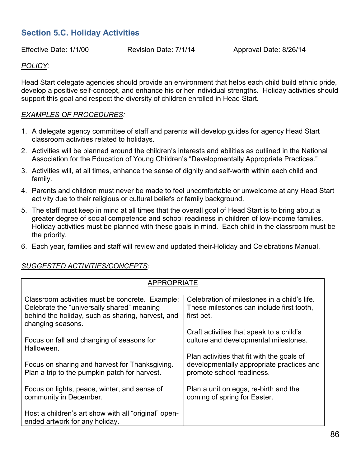# **Section 5.C. Holiday Activities**

Effective Date: 1/1/00 Revision Date: 7/1/14 Approval Date: 8/26/14

# *POLICY:*

Head Start delegate agencies should provide an environment that helps each child build ethnic pride, develop a positive self-concept, and enhance his or her individual strengths. Holiday activities should support this goal and respect the diversity of children enrolled in Head Start.

#### *EXAMPLES OF PROCEDURES:*

- 1. A delegate agency committee of staff and parents will develop guides for agency Head Start classroom activities related to holidays.
- 2. Activities will be planned around the children's interests and abilities as outlined in the National Association for the Education of Young Children's "Developmentally Appropriate Practices."
- 3. Activities will, at all times, enhance the sense of dignity and self-worth within each child and family.
- 4. Parents and children must never be made to feel uncomfortable or unwelcome at any Head Start activity due to their religious or cultural beliefs or family background.
- 5. The staff must keep in mind at all times that the overall goal of Head Start is to bring about a greater degree of social competence and school readiness in children of low-income families. Holiday activities must be planned with these goals in mind. Each child in the classroom must be the priority.
- 6. Each year, families and staff will review and updated their Holiday and Celebrations Manual.

| <b>APPROPRIATE</b>                                                                                                                                                      |                                                                                                                      |  |  |  |
|-------------------------------------------------------------------------------------------------------------------------------------------------------------------------|----------------------------------------------------------------------------------------------------------------------|--|--|--|
| Classroom activities must be concrete. Example:<br>Celebrate the "universally shared" meaning<br>behind the holiday, such as sharing, harvest, and<br>changing seasons. | Celebration of milestones in a child's life.<br>These milestones can include first tooth,<br>first pet.              |  |  |  |
| Focus on fall and changing of seasons for<br>Halloween.                                                                                                                 | Craft activities that speak to a child's<br>culture and developmental milestones.                                    |  |  |  |
| Focus on sharing and harvest for Thanksgiving.<br>Plan a trip to the pumpkin patch for harvest.                                                                         | Plan activities that fit with the goals of<br>developmentally appropriate practices and<br>promote school readiness. |  |  |  |
| Focus on lights, peace, winter, and sense of<br>community in December.                                                                                                  | Plan a unit on eggs, re-birth and the<br>coming of spring for Easter.                                                |  |  |  |
| Host a children's art show with all "original" open-<br>ended artwork for any holiday.                                                                                  |                                                                                                                      |  |  |  |

# *SUGGESTED ACTIVITIES/CONCEPTS:*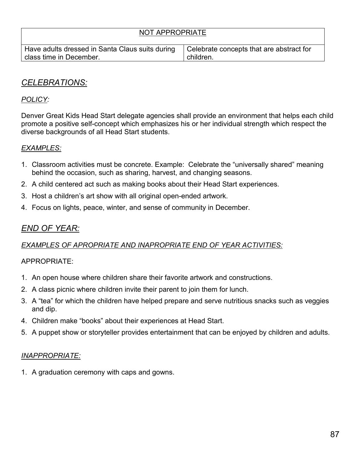| NOT APPROPRIATE                                                            |                                                       |  |  |  |
|----------------------------------------------------------------------------|-------------------------------------------------------|--|--|--|
| Have adults dressed in Santa Claus suits during<br>class time in December. | Celebrate concepts that are abstract for<br>children. |  |  |  |
|                                                                            |                                                       |  |  |  |

# *CELEBRATIONS:*

# *POLICY:*

Denver Great Kids Head Start delegate agencies shall provide an environment that helps each child promote a positive self-concept which emphasizes his or her individual strength which respect the diverse backgrounds of all Head Start students.

# *EXAMPLES:*

- 1. Classroom activities must be concrete. Example: Celebrate the "universally shared" meaning behind the occasion, such as sharing, harvest, and changing seasons.
- 2. A child centered act such as making books about their Head Start experiences.
- 3. Host a children's art show with all original open-ended artwork.
- 4. Focus on lights, peace, winter, and sense of community in December.

# *END OF YEAR:*

# *EXAMPLES OF APROPRIATE AND INAPROPRIATE END OF YEAR ACTIVITIES:*

#### APPROPRIATE:

- 1. An open house where children share their favorite artwork and constructions.
- 2. A class picnic where children invite their parent to join them for lunch.
- 3. A "tea" for which the children have helped prepare and serve nutritious snacks such as veggies and dip.
- 4. Children make "books" about their experiences at Head Start.
- 5. A puppet show or storyteller provides entertainment that can be enjoyed by children and adults.

#### *INAPPROPRIATE:*

1. A graduation ceremony with caps and gowns.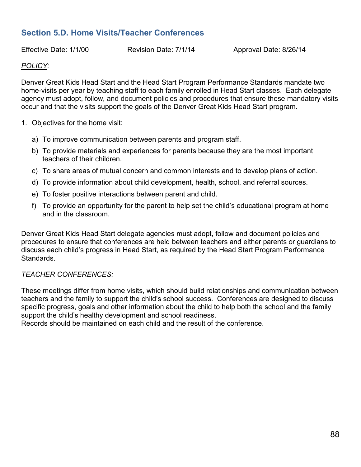# **Section 5.D. Home Visits/Teacher Conferences**

Effective Date: 1/1/00 Revision Date: 7/1/14 Approval Date: 8/26/14

## *POLICY:*

Denver Great Kids Head Start and the Head Start Program Performance Standards mandate two home-visits per year by teaching staff to each family enrolled in Head Start classes. Each delegate agency must adopt, follow, and document policies and procedures that ensure these mandatory visits occur and that the visits support the goals of the Denver Great Kids Head Start program.

- 1. Objectives for the home visit:
	- a) To improve communication between parents and program staff.
	- b) To provide materials and experiences for parents because they are the most important teachers of their children.
	- c) To share areas of mutual concern and common interests and to develop plans of action.
	- d) To provide information about child development, health, school, and referral sources.
	- e) To foster positive interactions between parent and child.
	- f) To provide an opportunity for the parent to help set the child's educational program at home and in the classroom.

Denver Great Kids Head Start delegate agencies must adopt, follow and document policies and procedures to ensure that conferences are held between teachers and either parents or guardians to discuss each child's progress in Head Start, as required by the Head Start Program Performance **Standards** 

#### *TEACHER CONFERENCES:*

These meetings differ from home visits, which should build relationships and communication between teachers and the family to support the child's school success. Conferences are designed to discuss specific progress, goals and other information about the child to help both the school and the family support the child's healthy development and school readiness.

Records should be maintained on each child and the result of the conference.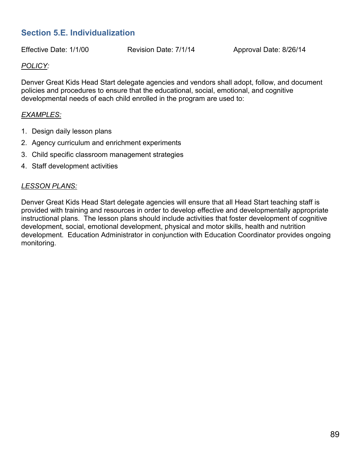# **Section 5.E. Individualization**

Effective Date: 1/1/00 Revision Date: 7/1/14 Approval Date: 8/26/14

## *POLICY:*

Denver Great Kids Head Start delegate agencies and vendors shall adopt, follow, and document policies and procedures to ensure that the educational, social, emotional, and cognitive developmental needs of each child enrolled in the program are used to:

#### *EXAMPLES:*

- 1. Design daily lesson plans
- 2. Agency curriculum and enrichment experiments
- 3. Child specific classroom management strategies
- 4. Staff development activities

#### *LESSON PLANS:*

Denver Great Kids Head Start delegate agencies will ensure that all Head Start teaching staff is provided with training and resources in order to develop effective and developmentally appropriate instructional plans. The lesson plans should include activities that foster development of cognitive development, social, emotional development, physical and motor skills, health and nutrition development. Education Administrator in conjunction with Education Coordinator provides ongoing monitoring.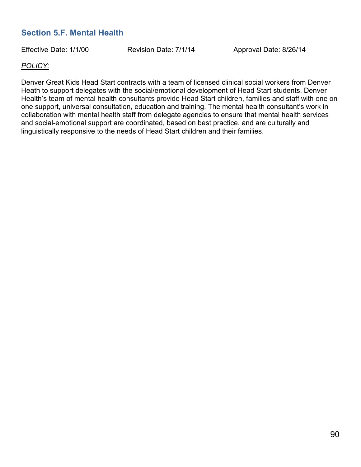# **Section 5.F. Mental Health**

Effective Date: 1/1/00 Revision Date: 7/1/14 Approval Date: 8/26/14

## *POLICY:*

Denver Great Kids Head Start contracts with a team of licensed clinical social workers from Denver Heath to support delegates with the social/emotional development of Head Start students. Denver Health's team of mental health consultants provide Head Start children, families and staff with one on one support, universal consultation, education and training. The mental health consultant's work in collaboration with mental health staff from delegate agencies to ensure that mental health services and social-emotional support are coordinated, based on best practice, and are culturally and linguistically responsive to the needs of Head Start children and their families.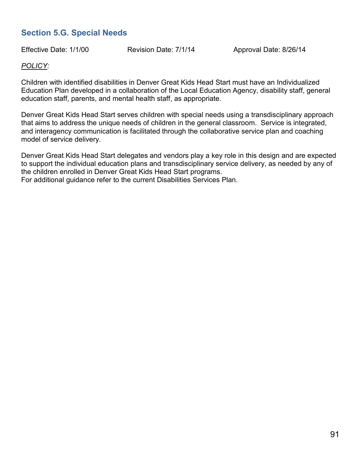# **Section 5.G. Special Needs**

Effective Date: 1/1/00 Revision Date: 7/1/14 Approval Date: 8/26/14

## *POLICY:*

Children with identified disabilities in Denver Great Kids Head Start must have an Individualized Education Plan developed in a collaboration of the Local Education Agency, disability staff, general education staff, parents, and mental health staff, as appropriate.

Denver Great Kids Head Start serves children with special needs using a transdisciplinary approach that aims to address the unique needs of children in the general classroom. Service is integrated, and interagency communication is facilitated through the collaborative service plan and coaching model of service delivery.

Denver Great Kids Head Start delegates and vendors play a key role in this design and are expected to support the individual education plans and transdisciplinary service delivery, as needed by any of the children enrolled in Denver Great Kids Head Start programs. For additional guidance refer to the current Disabilities Services Plan.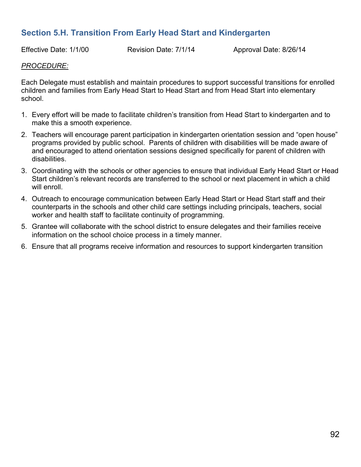# **Section 5.H. Transition From Early Head Start and Kindergarten**

Effective Date: 1/1/00 Revision Date: 7/1/14 Approval Date: 8/26/14

#### *PROCEDURE:*

Each Delegate must establish and maintain procedures to support successful transitions for enrolled children and families from Early Head Start to Head Start and from Head Start into elementary school.

- 1. Every effort will be made to facilitate children's transition from Head Start to kindergarten and to make this a smooth experience.
- 2. Teachers will encourage parent participation in kindergarten orientation session and "open house" programs provided by public school. Parents of children with disabilities will be made aware of and encouraged to attend orientation sessions designed specifically for parent of children with disabilities.
- 3. Coordinating with the schools or other agencies to ensure that individual Early Head Start or Head Start children's relevant records are transferred to the school or next placement in which a child will enroll
- 4. Outreach to encourage communication between Early Head Start or Head Start staff and their counterparts in the schools and other child care settings including principals, teachers, social worker and health staff to facilitate continuity of programming.
- 5. Grantee will collaborate with the school district to ensure delegates and their families receive information on the school choice process in a timely manner.
- 6. Ensure that all programs receive information and resources to support kindergarten transition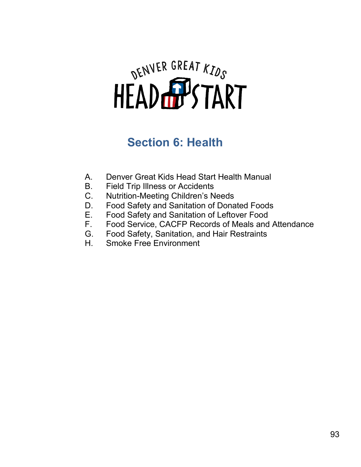# DENVER GREAT KIDS

# **Section 6: Health**

- A. Denver Great Kids Head Start Health Manual
- B. Field Trip Illness or Accidents
- C. Nutrition-Meeting Children's Needs
- D. Food Safety and Sanitation of Donated Foods
- E. Food Safety and Sanitation of Leftover Food
- F. Food Service, CACFP Records of Meals and Attendance
- G. Food Safety, Sanitation, and Hair Restraints
- H. Smoke Free Environment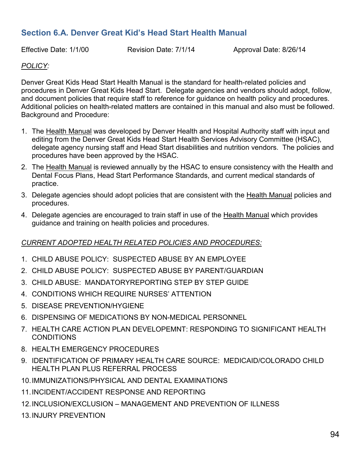# **Section 6.A. Denver Great Kid's Head Start Health Manual**

Effective Date: 1/1/00 Revision Date: 7/1/14 Approval Date: 8/26/14

# *POLICY:*

Denver Great Kids Head Start Health Manual is the standard for health-related policies and procedures in Denver Great Kids Head Start. Delegate agencies and vendors should adopt, follow, and document policies that require staff to reference for guidance on health policy and procedures. Additional policies on health-related matters are contained in this manual and also must be followed. Background and Procedure:

- 1. The Health Manual was developed by Denver Health and Hospital Authority staff with input and editing from the Denver Great Kids Head Start Health Services Advisory Committee (HSAC), delegate agency nursing staff and Head Start disabilities and nutrition vendors. The policies and procedures have been approved by the HSAC.
- 2. The Health Manual is reviewed annually by the HSAC to ensure consistency with the Health and Dental Focus Plans, Head Start Performance Standards, and current medical standards of practice.
- 3. Delegate agencies should adopt policies that are consistent with the Health Manual policies and procedures.
- 4. Delegate agencies are encouraged to train staff in use of the Health Manual which provides guidance and training on health policies and procedures.

# *CURRENT ADOPTED HEALTH RELATED POLICIES AND PROCEDURES:*

- 1. CHILD ABUSE POLICY: SUSPECTED ABUSE BY AN EMPLOYEE
- 2. CHILD ABUSE POLICY: SUSPECTED ABUSE BY PARENT/GUARDIAN
- 3. CHILD ABUSE: MANDATORYREPORTING STEP BY STEP GUIDE
- 4. CONDITIONS WHICH REQUIRE NURSES' ATTENTION
- 5. DISEASE PREVENTION/HYGIENE
- 6. DISPENSING OF MEDICATIONS BY NON-MEDICAL PERSONNEL
- 7. HEALTH CARE ACTION PLAN DEVELOPEMNT: RESPONDING TO SIGNIFICANT HEALTH **CONDITIONS**
- 8. HEALTH EMERGENCY PROCEDURES
- 9. IDENTIFICATION OF PRIMARY HEALTH CARE SOURCE: MEDICAID/COLORADO CHILD HEALTH PLAN PLUS REFERRAL PROCESS
- 10.IMMUNIZATIONS/PHYSICAL AND DENTAL EXAMINATIONS
- 11.INCIDENT/ACCIDENT RESPONSE AND REPORTING
- 12.INCLUSION/EXCLUSION MANAGEMENT AND PREVENTION OF ILLNESS
- 13.INJURY PREVENTION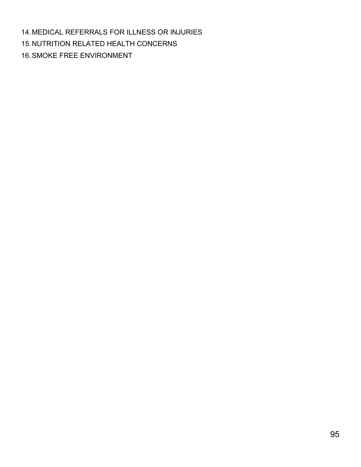14.MEDICAL REFERRALS FOR ILLNESS OR INJURIES 15.NUTRITION RELATED HEALTH CONCERNS 16.SMOKE FREE ENVIRONMENT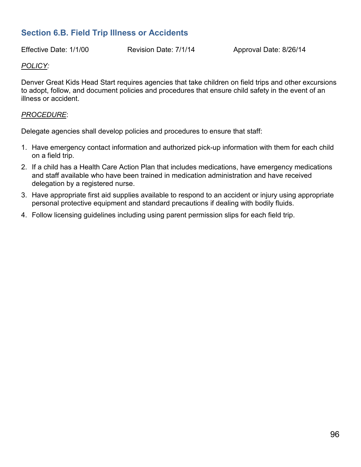# **Section 6.B. Field Trip Illness or Accidents**

Effective Date: 1/1/00 Revision Date: 7/1/14 Approval Date: 8/26/14

#### *POLICY:*

Denver Great Kids Head Start requires agencies that take children on field trips and other excursions to adopt, follow, and document policies and procedures that ensure child safety in the event of an illness or accident.

#### *PROCEDURE*:

Delegate agencies shall develop policies and procedures to ensure that staff:

- 1. Have emergency contact information and authorized pick-up information with them for each child on a field trip.
- 2. If a child has a Health Care Action Plan that includes medications, have emergency medications and staff available who have been trained in medication administration and have received delegation by a registered nurse.
- 3. Have appropriate first aid supplies available to respond to an accident or injury using appropriate personal protective equipment and standard precautions if dealing with bodily fluids.
- 4. Follow licensing guidelines including using parent permission slips for each field trip.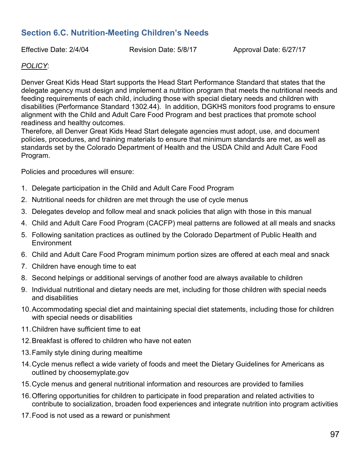# **Section 6.C. Nutrition-Meeting Children's Needs**

Effective Date: 2/4/04 Revision Date: 5/8/17 Approval Date: 6/27/17

# *POLICY*:

Denver Great Kids Head Start supports the Head Start Performance Standard that states that the delegate agency must design and implement a nutrition program that meets the nutritional needs and feeding requirements of each child, including those with special dietary needs and children with disabilities (Performance Standard 1302.44). In addition, DGKHS monitors food programs to ensure alignment with the Child and Adult Care Food Program and best practices that promote school readiness and healthy outcomes.

Therefore, all Denver Great Kids Head Start delegate agencies must adopt, use, and document policies, procedures, and training materials to ensure that minimum standards are met, as well as standards set by the Colorado Department of Health and the USDA Child and Adult Care Food Program.

Policies and procedures will ensure:

- 1. Delegate participation in the Child and Adult Care Food Program
- 2. Nutritional needs for children are met through the use of cycle menus
- 3. Delegates develop and follow meal and snack policies that align with those in this manual
- 4. Child and Adult Care Food Program (CACFP) meal patterns are followed at all meals and snacks
- 5. Following sanitation practices as outlined by the Colorado Department of Public Health and **Environment**
- 6. Child and Adult Care Food Program minimum portion sizes are offered at each meal and snack
- 7. Children have enough time to eat
- 8. Second helpings or additional servings of another food are always available to children
- 9. Individual nutritional and dietary needs are met, including for those children with special needs and disabilities
- 10.Accommodating special diet and maintaining special diet statements, including those for children with special needs or disabilities
- 11.Children have sufficient time to eat
- 12.Breakfast is offered to children who have not eaten
- 13.Family style dining during mealtime
- 14.Cycle menus reflect a wide variety of foods and meet the Dietary Guidelines for Americans as outlined by choosemyplate.gov
- 15.Cycle menus and general nutritional information and resources are provided to families
- 16.Offering opportunities for children to participate in food preparation and related activities to contribute to socialization, broaden food experiences and integrate nutrition into program activities
- 17.Food is not used as a reward or punishment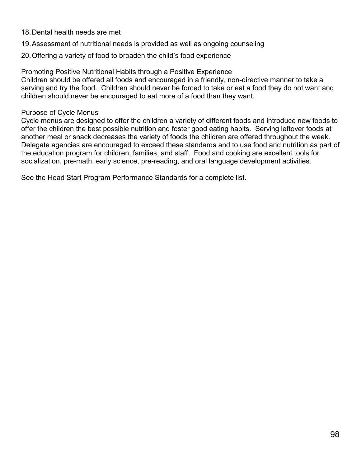- 18.Dental health needs are met
- 19.Assessment of nutritional needs is provided as well as ongoing counseling
- 20.Offering a variety of food to broaden the child's food experience

Promoting Positive Nutritional Habits through a Positive Experience Children should be offered all foods and encouraged in a friendly, non-directive manner to take a serving and try the food. Children should never be forced to take or eat a food they do not want and children should never be encouraged to eat more of a food than they want.

## Purpose of Cycle Menus

Cycle menus are designed to offer the children a variety of different foods and introduce new foods to offer the children the best possible nutrition and foster good eating habits. Serving leftover foods at another meal or snack decreases the variety of foods the children are offered throughout the week. Delegate agencies are encouraged to exceed these standards and to use food and nutrition as part of the education program for children, families, and staff. Food and cooking are excellent tools for socialization, pre-math, early science, pre-reading, and oral language development activities.

See the Head Start Program Performance Standards for a complete list.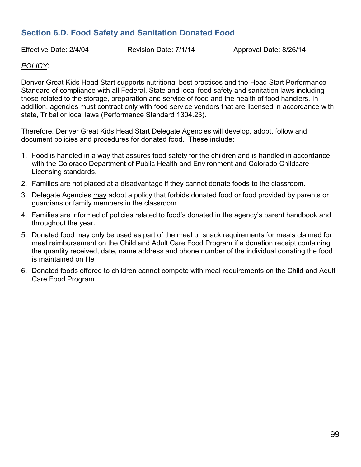# **Section 6.D. Food Safety and Sanitation Donated Food**

Effective Date: 2/4/04 Revision Date: 7/1/14 Approval Date: 8/26/14

#### *POLICY*:

Denver Great Kids Head Start supports nutritional best practices and the Head Start Performance Standard of compliance with all Federal, State and local food safety and sanitation laws including those related to the storage, preparation and service of food and the health of food handlers. In addition, agencies must contract only with food service vendors that are licensed in accordance with state, Tribal or local laws (Performance Standard 1304.23).

Therefore, Denver Great Kids Head Start Delegate Agencies will develop, adopt, follow and document policies and procedures for donated food. These include:

- 1. Food is handled in a way that assures food safety for the children and is handled in accordance with the Colorado Department of Public Health and Environment and Colorado Childcare Licensing standards.
- 2. Families are not placed at a disadvantage if they cannot donate foods to the classroom.
- 3. Delegate Agencies may adopt a policy that forbids donated food or food provided by parents or guardians or family members in the classroom.
- 4. Families are informed of policies related to food's donated in the agency's parent handbook and throughout the year.
- 5. Donated food may only be used as part of the meal or snack requirements for meals claimed for meal reimbursement on the Child and Adult Care Food Program if a donation receipt containing the quantity received, date, name address and phone number of the individual donating the food is maintained on file
- 6. Donated foods offered to children cannot compete with meal requirements on the Child and Adult Care Food Program.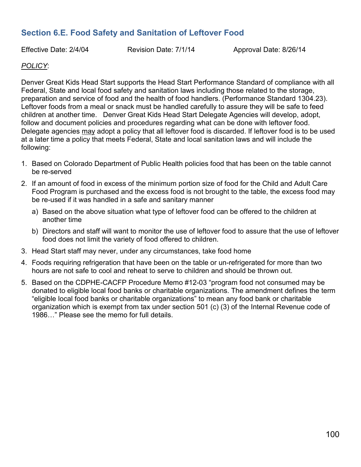# **Section 6.E. Food Safety and Sanitation of Leftover Food**

Effective Date: 2/4/04 Revision Date: 7/1/14 Approval Date: 8/26/14

## *POLICY*:

Denver Great Kids Head Start supports the Head Start Performance Standard of compliance with all Federal, State and local food safety and sanitation laws including those related to the storage, preparation and service of food and the health of food handlers. (Performance Standard 1304.23). Leftover foods from a meal or snack must be handled carefully to assure they will be safe to feed children at another time. Denver Great Kids Head Start Delegate Agencies will develop, adopt, follow and document policies and procedures regarding what can be done with leftover food. Delegate agencies may adopt a policy that all leftover food is discarded. If leftover food is to be used at a later time a policy that meets Federal, State and local sanitation laws and will include the following:

- 1. Based on Colorado Department of Public Health policies food that has been on the table cannot be re-served
- 2. If an amount of food in excess of the minimum portion size of food for the Child and Adult Care Food Program is purchased and the excess food is not brought to the table, the excess food may be re-used if it was handled in a safe and sanitary manner
	- a) Based on the above situation what type of leftover food can be offered to the children at another time
	- b) Directors and staff will want to monitor the use of leftover food to assure that the use of leftover food does not limit the variety of food offered to children.
- 3. Head Start staff may never, under any circumstances, take food home
- 4. Foods requiring refrigeration that have been on the table or un-refrigerated for more than two hours are not safe to cool and reheat to serve to children and should be thrown out.
- 5. Based on the CDPHE-CACFP Procedure Memo #12-03 "program food not consumed may be donated to eligible local food banks or charitable organizations. The amendment defines the term "eligible local food banks or charitable organizations" to mean any food bank or charitable organization which is exempt from tax under section 501 (c) (3) of the Internal Revenue code of 1986…" Please see the memo for full details.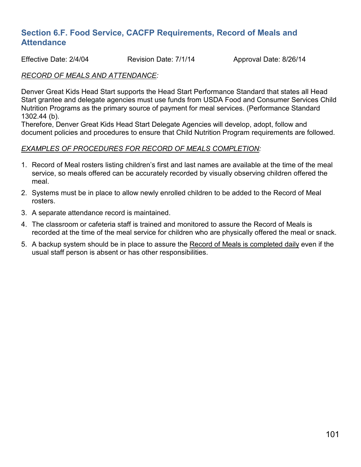# **Section 6.F. Food Service, CACFP Requirements, Record of Meals and Attendance**

Effective Date: 2/4/04 Revision Date: 7/1/14 Approval Date: 8/26/14

#### *RECORD OF MEALS AND ATTENDANCE:*

Denver Great Kids Head Start supports the Head Start Performance Standard that states all Head Start grantee and delegate agencies must use funds from USDA Food and Consumer Services Child Nutrition Programs as the primary source of payment for meal services. (Performance Standard 1302.44 (b).

Therefore, Denver Great Kids Head Start Delegate Agencies will develop, adopt, follow and document policies and procedures to ensure that Child Nutrition Program requirements are followed.

#### *EXAMPLES OF PROCEDURES FOR RECORD OF MEALS COMPLETION:*

- 1. Record of Meal rosters listing children's first and last names are available at the time of the meal service, so meals offered can be accurately recorded by visually observing children offered the meal.
- 2. Systems must be in place to allow newly enrolled children to be added to the Record of Meal rosters.
- 3. A separate attendance record is maintained.
- 4. The classroom or cafeteria staff is trained and monitored to assure the Record of Meals is recorded at the time of the meal service for children who are physically offered the meal or snack.
- 5. A backup system should be in place to assure the Record of Meals is completed daily even if the usual staff person is absent or has other responsibilities.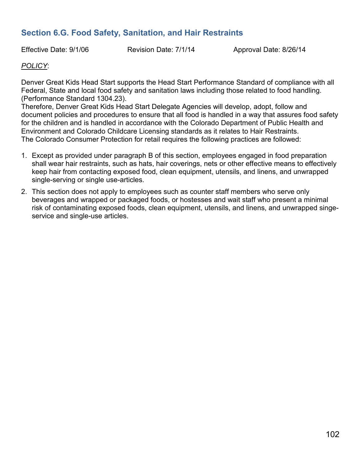# **Section 6.G. Food Safety, Sanitation, and Hair Restraints**

Effective Date: 9/1/06 Revision Date: 7/1/14 Approval Date: 8/26/14

# *POLICY*:

Denver Great Kids Head Start supports the Head Start Performance Standard of compliance with all Federal, State and local food safety and sanitation laws including those related to food handling. (Performance Standard 1304.23).

Therefore, Denver Great Kids Head Start Delegate Agencies will develop, adopt, follow and document policies and procedures to ensure that all food is handled in a way that assures food safety for the children and is handled in accordance with the Colorado Department of Public Health and Environment and Colorado Childcare Licensing standards as it relates to Hair Restraints. The Colorado Consumer Protection for retail requires the following practices are followed:

- 1. Except as provided under paragraph B of this section, employees engaged in food preparation shall wear hair restraints, such as hats, hair coverings, nets or other effective means to effectively keep hair from contacting exposed food, clean equipment, utensils, and linens, and unwrapped single-serving or single use-articles.
- 2. This section does not apply to employees such as counter staff members who serve only beverages and wrapped or packaged foods, or hostesses and wait staff who present a minimal risk of contaminating exposed foods, clean equipment, utensils, and linens, and unwrapped singeservice and single-use articles.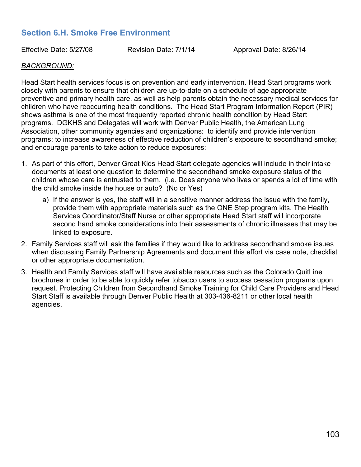# **Section 6.H. Smoke Free Environment**

Effective Date: 5/27/08 Revision Date: 7/1/14 Approval Date: 8/26/14

#### *BACKGROUND:*

Head Start health services focus is on prevention and early intervention. Head Start programs work closely with parents to ensure that children are up-to-date on a schedule of age appropriate preventive and primary health care, as well as help parents obtain the necessary medical services for children who have reoccurring health conditions. The Head Start Program Information Report (PIR) shows asthma is one of the most frequently reported chronic health condition by Head Start programs. DGKHS and Delegates will work with Denver Public Health, the American Lung Association, other community agencies and organizations: to identify and provide intervention programs; to increase awareness of effective reduction of children's exposure to secondhand smoke; and encourage parents to take action to reduce exposures:

- 1. As part of this effort, Denver Great Kids Head Start delegate agencies will include in their intake documents at least one question to determine the secondhand smoke exposure status of the children whose care is entrusted to them. (i.e. Does anyone who lives or spends a lot of time with the child smoke inside the house or auto? (No or Yes)
	- a) If the answer is yes, the staff will in a sensitive manner address the issue with the family, provide them with appropriate materials such as the ONE Step program kits. The Health Services Coordinator/Staff Nurse or other appropriate Head Start staff will incorporate second hand smoke considerations into their assessments of chronic illnesses that may be linked to exposure.
- 2. Family Services staff will ask the families if they would like to address secondhand smoke issues when discussing Family Partnership Agreements and document this effort via case note, checklist or other appropriate documentation.
- 3. Health and Family Services staff will have available resources such as the Colorado QuitLine brochures in order to be able to quickly refer tobacco users to success cessation programs upon request. Protecting Children from Secondhand Smoke Training for Child Care Providers and Head Start Staff is available through Denver Public Health at 303-436-8211 or other local health agencies.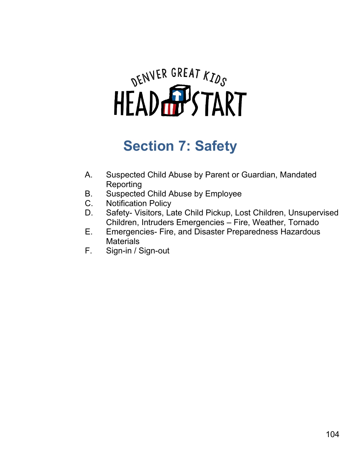

# **Section 7: Safety**

- A. Suspected Child Abuse by Parent or Guardian, Mandated Reporting
- B. Suspected Child Abuse by Employee
- C. Notification Policy
- D. Safety- Visitors, Late Child Pickup, Lost Children, Unsupervised Children, Intruders Emergencies – Fire, Weather, Tornado
- E. Emergencies- Fire, and Disaster Preparedness Hazardous **Materials**
- F. Sign-in / Sign-out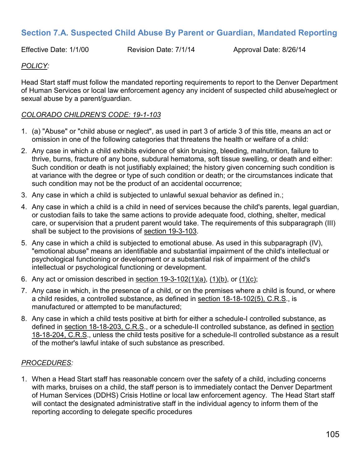# **Section 7.A. Suspected Child Abuse By Parent or Guardian, Mandated Reporting**

Effective Date: 1/1/00 Revision Date: 7/1/14 Approval Date: 8/26/14

## *POLICY:*

Head Start staff must follow the mandated reporting requirements to report to the Denver Department of Human Services or local law enforcement agency any incident of suspected child abuse/neglect or sexual abuse by a parent/guardian.

#### *COLORADO CHILDREN'S CODE: 19-1-103*

- 1. (a) "Abuse" or "child abuse or neglect", as used in part 3 of article 3 of this title, means an act or omission in one of the following categories that threatens the health or welfare of a child:
- 2. Any case in which a child exhibits evidence of skin bruising, bleeding, malnutrition, failure to thrive, burns, fracture of any bone, subdural hematoma, soft tissue swelling, or death and either: Such condition or death is not justifiably explained; the history given concerning such condition is at variance with the degree or type of such condition or death; or the circumstances indicate that such condition may not be the product of an accidental occurrence;
- 3. Any case in which a child is subjected to unlawful sexual behavior as defined in.;
- 4. Any case in which a child is a child in need of services because the child's parents, legal guardian, or custodian fails to take the same actions to provide adequate food, clothing, shelter, medical care, or supervision that a prudent parent would take. The requirements of this subparagraph (III) shall be subject to the provisions of [section 19-3-103.](https://web2.westlaw.com/find/default.wl?vc=0&rp=%2ffind%2fdefault.wl&DB=1000517&DocName=COSTS19%2D3%2D103&FindType=L&AP=&fn=_top&utid=%7bFD0606E0-BFFA-44AD-8FFF-88840C010375%7d&rs=WLW8.05&mt=TenthCircuit&vr=2.0&sv=Split)
- 5. Any case in which a child is subjected to emotional abuse. As used in this subparagraph (IV), "emotional abuse" means an identifiable and substantial impairment of the child's intellectual or psychological functioning or development or a substantial risk of impairment of the child's intellectual or psychological functioning or development.
- 6. Any act or omission described in section  $19-3-102(1)(a)$ ,  $(1)(b)$ , or  $(1)(c)$ ;
- 7. Any case in which, in the presence of a child, or on the premises where a child is found, or where a child resides, a controlled substance, as defined in [section 18-18-102\(5\), C.R.S.](https://web2.westlaw.com/find/default.wl?vc=0&rp=%2ffind%2fdefault.wl&DB=1000517&DocName=COSTS18%2D18%2D102&FindType=L&ReferencePositionType=T&ReferencePosition=SP%3B362c000048fd7&AP=&fn=_top&utid=%7bFD0606E0-BFFA-44AD-8FFF-88840C010375%7d&rs=WLW8.05&mt=TenthCircuit&vr=2.0&sv=Split), is manufactured or attempted to be manufactured;
- 8. Any case in which a child tests positive at birth for either a schedule-I controlled substance, as defined in [section 18-18-203, C.R.S.](https://web2.westlaw.com/find/default.wl?vc=0&rp=%2ffind%2fdefault.wl&DB=1000517&DocName=COSTS18%2D18%2D203&FindType=L&AP=&fn=_top&utid=%7bFD0606E0-BFFA-44AD-8FFF-88840C010375%7d&rs=WLW8.05&mt=TenthCircuit&vr=2.0&sv=Split), or a schedule-II controlled substance, as defined in [section](https://web2.westlaw.com/find/default.wl?vc=0&rp=%2ffind%2fdefault.wl&DB=1000517&DocName=COSTS18%2D18%2D204&FindType=L&AP=&fn=_top&utid=%7bFD0606E0-BFFA-44AD-8FFF-88840C010375%7d&rs=WLW8.05&mt=TenthCircuit&vr=2.0&sv=Split)  [18-18-204, C.R.S.](https://web2.westlaw.com/find/default.wl?vc=0&rp=%2ffind%2fdefault.wl&DB=1000517&DocName=COSTS18%2D18%2D204&FindType=L&AP=&fn=_top&utid=%7bFD0606E0-BFFA-44AD-8FFF-88840C010375%7d&rs=WLW8.05&mt=TenthCircuit&vr=2.0&sv=Split), unless the child tests positive for a schedule-II controlled substance as a result of the mother's lawful intake of such substance as prescribed.

#### *PROCEDURES:*

1. When a Head Start staff has reasonable concern over the safety of a child, including concerns with marks, bruises on a child, the staff person is to immediately contact the Denver Department of Human Services (DDHS) Crisis Hotline or local law enforcement agency. The Head Start staff will contact the designated administrative staff in the individual agency to inform them of the reporting according to delegate specific procedures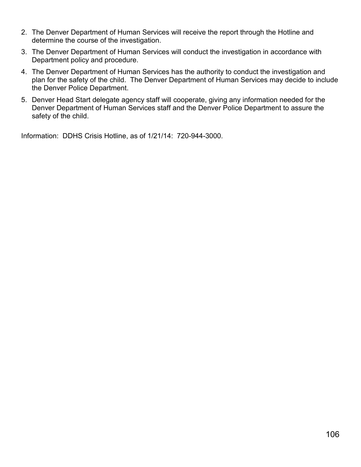- 2. The Denver Department of Human Services will receive the report through the Hotline and determine the course of the investigation.
- 3. The Denver Department of Human Services will conduct the investigation in accordance with Department policy and procedure.
- 4. The Denver Department of Human Services has the authority to conduct the investigation and plan for the safety of the child. The Denver Department of Human Services may decide to include the Denver Police Department.
- 5. Denver Head Start delegate agency staff will cooperate, giving any information needed for the Denver Department of Human Services staff and the Denver Police Department to assure the safety of the child.

Information: DDHS Crisis Hotline, as of 1/21/14: 720-944-3000.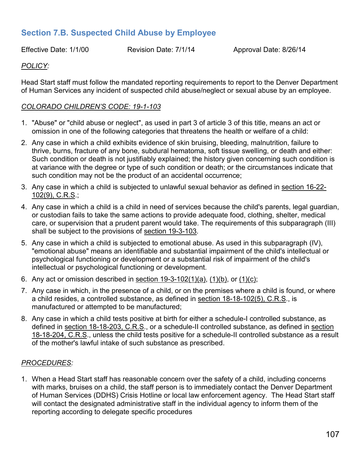# **Section 7.B. Suspected Child Abuse by Employee**

Effective Date: 1/1/00 Revision Date: 7/1/14 Approval Date: 8/26/14

# *POLICY:*

Head Start staff must follow the mandated reporting requirements to report to the Denver Department of Human Services any incident of suspected child abuse/neglect or sexual abuse by an employee.

#### *COLORADO CHILDREN'S CODE: 19-1-103*

- 1. "Abuse" or "child abuse or neglect", as used in part 3 of article 3 of this title, means an act or omission in one of the following categories that threatens the health or welfare of a child:
- 2. Any case in which a child exhibits evidence of skin bruising, bleeding, malnutrition, failure to thrive, burns, fracture of any bone, subdural hematoma, soft tissue swelling, or death and either: Such condition or death is not justifiably explained; the history given concerning such condition is at variance with the degree or type of such condition or death; or the circumstances indicate that such condition may not be the product of an accidental occurrence;
- 3. Any case in which a child is subjected to unlawful sexual behavior as defined in [section 16-22-](https://web2.westlaw.com/find/default.wl?vc=0&rp=%2ffind%2fdefault.wl&DB=1000517&DocName=COSTS16%2D22%2D102&FindType=L&ReferencePositionType=T&ReferencePosition=SP%3Be5e400002dc26&AP=&fn=_top&utid=%7bFD0606E0-BFFA-44AD-8FFF-88840C010375%7d&rs=WLW8.05&mt=TenthCircuit&vr=2.0&sv=Split) [102\(9\), C.R.S.](https://web2.westlaw.com/find/default.wl?vc=0&rp=%2ffind%2fdefault.wl&DB=1000517&DocName=COSTS16%2D22%2D102&FindType=L&ReferencePositionType=T&ReferencePosition=SP%3Be5e400002dc26&AP=&fn=_top&utid=%7bFD0606E0-BFFA-44AD-8FFF-88840C010375%7d&rs=WLW8.05&mt=TenthCircuit&vr=2.0&sv=Split);
- 4. Any case in which a child is a child in need of services because the child's parents, legal guardian, or custodian fails to take the same actions to provide adequate food, clothing, shelter, medical care, or supervision that a prudent parent would take. The requirements of this subparagraph (III) shall be subject to the provisions of [section 19-3-103.](https://web2.westlaw.com/find/default.wl?vc=0&rp=%2ffind%2fdefault.wl&DB=1000517&DocName=COSTS19%2D3%2D103&FindType=L&AP=&fn=_top&utid=%7bFD0606E0-BFFA-44AD-8FFF-88840C010375%7d&rs=WLW8.05&mt=TenthCircuit&vr=2.0&sv=Split)
- 5. Any case in which a child is subjected to emotional abuse. As used in this subparagraph (IV), "emotional abuse" means an identifiable and substantial impairment of the child's intellectual or psychological functioning or development or a substantial risk of impairment of the child's intellectual or psychological functioning or development.
- 6. Any act or omission described in section  $19-3-102(1)(a)$ ,  $(1)(b)$ , or  $(1)(c)$ ;
- 7. Any case in which, in the presence of a child, or on the premises where a child is found, or where a child resides, a controlled substance, as defined in [section 18-18-102\(5\), C.R.S.](https://web2.westlaw.com/find/default.wl?vc=0&rp=%2ffind%2fdefault.wl&DB=1000517&DocName=COSTS18%2D18%2D102&FindType=L&ReferencePositionType=T&ReferencePosition=SP%3B362c000048fd7&AP=&fn=_top&utid=%7bFD0606E0-BFFA-44AD-8FFF-88840C010375%7d&rs=WLW8.05&mt=TenthCircuit&vr=2.0&sv=Split), is manufactured or attempted to be manufactured;
- 8. Any case in which a child tests positive at birth for either a schedule-I controlled substance, as defined in [section 18-18-203, C.R.S.](https://web2.westlaw.com/find/default.wl?vc=0&rp=%2ffind%2fdefault.wl&DB=1000517&DocName=COSTS18%2D18%2D203&FindType=L&AP=&fn=_top&utid=%7bFD0606E0-BFFA-44AD-8FFF-88840C010375%7d&rs=WLW8.05&mt=TenthCircuit&vr=2.0&sv=Split), or a schedule-II controlled substance, as defined in [section](https://web2.westlaw.com/find/default.wl?vc=0&rp=%2ffind%2fdefault.wl&DB=1000517&DocName=COSTS18%2D18%2D204&FindType=L&AP=&fn=_top&utid=%7bFD0606E0-BFFA-44AD-8FFF-88840C010375%7d&rs=WLW8.05&mt=TenthCircuit&vr=2.0&sv=Split)  [18-18-204, C.R.S.](https://web2.westlaw.com/find/default.wl?vc=0&rp=%2ffind%2fdefault.wl&DB=1000517&DocName=COSTS18%2D18%2D204&FindType=L&AP=&fn=_top&utid=%7bFD0606E0-BFFA-44AD-8FFF-88840C010375%7d&rs=WLW8.05&mt=TenthCircuit&vr=2.0&sv=Split), unless the child tests positive for a schedule-II controlled substance as a result of the mother's lawful intake of such substance as prescribed.

#### *PROCEDURES:*

1. When a Head Start staff has reasonable concern over the safety of a child, including concerns with marks, bruises on a child, the staff person is to immediately contact the Denver Department of Human Services (DDHS) Crisis Hotline or local law enforcement agency. The Head Start staff will contact the designated administrative staff in the individual agency to inform them of the reporting according to delegate specific procedures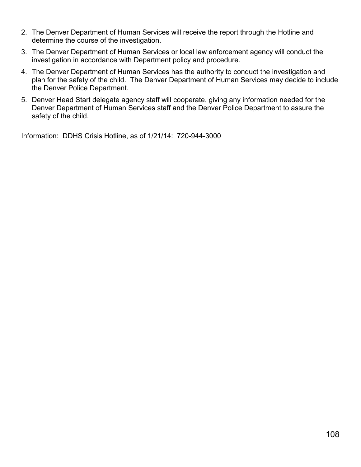- 2. The Denver Department of Human Services will receive the report through the Hotline and determine the course of the investigation.
- 3. The Denver Department of Human Services or local law enforcement agency will conduct the investigation in accordance with Department policy and procedure.
- 4. The Denver Department of Human Services has the authority to conduct the investigation and plan for the safety of the child. The Denver Department of Human Services may decide to include the Denver Police Department.
- 5. Denver Head Start delegate agency staff will cooperate, giving any information needed for the Denver Department of Human Services staff and the Denver Police Department to assure the safety of the child.

Information: DDHS Crisis Hotline, as of 1/21/14: 720-944-3000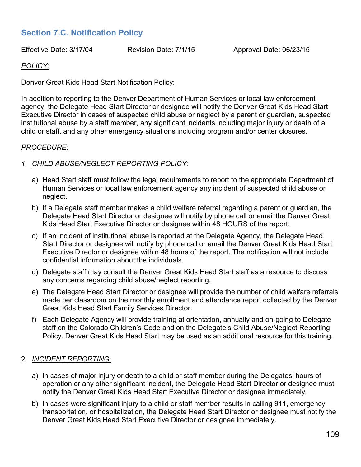# **Section 7.C. Notification Policy**

Effective Date: 3/17/04 Revision Date: 7/1/15 Approval Date: 06/23/15

# *POLICY:*

#### Denver Great Kids Head Start Notification Policy:

In addition to reporting to the Denver Department of Human Services or local law enforcement agency, the Delegate Head Start Director or designee will notify the Denver Great Kids Head Start Executive Director in cases of suspected child abuse or neglect by a parent or guardian, suspected institutional abuse by a staff member, any significant incidents including major injury or death of a child or staff, and any other emergency situations including program and/or center closures.

#### *PROCEDURE:*

#### *1. CHILD ABUSE/NEGLECT REPORTING POLICY:*

- a) Head Start staff must follow the legal requirements to report to the appropriate Department of Human Services or local law enforcement agency any incident of suspected child abuse or neglect.
- b) If a Delegate staff member makes a child welfare referral regarding a parent or guardian, the Delegate Head Start Director or designee will notify by phone call or email the Denver Great Kids Head Start Executive Director or designee within 48 HOURS of the report.
- c) If an incident of institutional abuse is reported at the Delegate Agency, the Delegate Head Start Director or designee will notify by phone call or email the Denver Great Kids Head Start Executive Director or designee within 48 hours of the report. The notification will not include confidential information about the individuals.
- d) Delegate staff may consult the Denver Great Kids Head Start staff as a resource to discuss any concerns regarding child abuse/neglect reporting.
- e) The Delegate Head Start Director or designee will provide the number of child welfare referrals made per classroom on the monthly enrollment and attendance report collected by the Denver Great Kids Head Start Family Services Director.
- f) Each Delegate Agency will provide training at orientation, annually and on-going to Delegate staff on the Colorado Children's Code and on the Delegate's Child Abuse/Neglect Reporting Policy. Denver Great Kids Head Start may be used as an additional resource for this training.

# 2. *INCIDENT REPORTING*:

- a) In cases of major injury or death to a child or staff member during the Delegates' hours of operation or any other significant incident, the Delegate Head Start Director or designee must notify the Denver Great Kids Head Start Executive Director or designee immediately.
- b) In cases were significant injury to a child or staff member results in calling 911, emergency transportation, or hospitalization, the Delegate Head Start Director or designee must notify the Denver Great Kids Head Start Executive Director or designee immediately.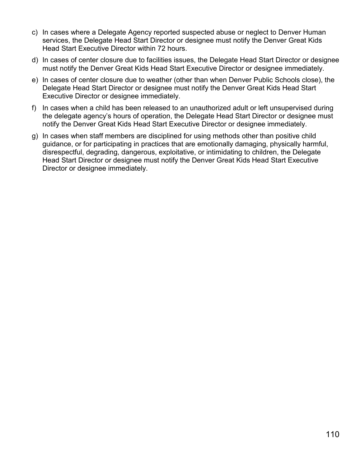- c) In cases where a Delegate Agency reported suspected abuse or neglect to Denver Human services, the Delegate Head Start Director or designee must notify the Denver Great Kids Head Start Executive Director within 72 hours.
- d) In cases of center closure due to facilities issues, the Delegate Head Start Director or designee must notify the Denver Great Kids Head Start Executive Director or designee immediately.
- e) In cases of center closure due to weather (other than when Denver Public Schools close), the Delegate Head Start Director or designee must notify the Denver Great Kids Head Start Executive Director or designee immediately.
- f) In cases when a child has been released to an unauthorized adult or left unsupervised during the delegate agency's hours of operation, the Delegate Head Start Director or designee must notify the Denver Great Kids Head Start Executive Director or designee immediately.
- g) In cases when staff members are disciplined for using methods other than positive child guidance, or for participating in practices that are emotionally damaging, physically harmful, disrespectful, degrading, dangerous, exploitative, or intimidating to children, the Delegate Head Start Director or designee must notify the Denver Great Kids Head Start Executive Director or designee immediately.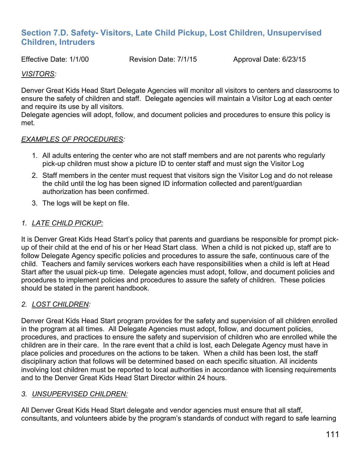# **Section 7.D. Safety- Visitors, Late Child Pickup, Lost Children, Unsupervised Children, Intruders**

Effective Date: 1/1/00 Revision Date: 7/1/15 Approval Date: 6/23/15

# *VISITORS:*

Denver Great Kids Head Start Delegate Agencies will monitor all visitors to centers and classrooms to ensure the safety of children and staff. Delegate agencies will maintain a Visitor Log at each center and require its use by all visitors.

Delegate agencies will adopt, follow, and document policies and procedures to ensure this policy is met.

# *EXAMPLES OF PROCEDURES:*

- 1. All adults entering the center who are not staff members and are not parents who regularly pick-up children must show a picture ID to center staff and must sign the Visitor Log
- 2. Staff members in the center must request that visitors sign the Visitor Log and do not release the child until the log has been signed ID information collected and parent/guardian authorization has been confirmed.
- 3. The logs will be kept on file.

# *1. LATE CHILD PICKUP:*

It is Denver Great Kids Head Start's policy that parents and guardians be responsible for prompt pickup of their child at the end of his or her Head Start class. When a child is not picked up, staff are to follow Delegate Agency specific policies and procedures to assure the safe, continuous care of the child. Teachers and family services workers each have responsibilities when a child is left at Head Start after the usual pick-up time. Delegate agencies must adopt, follow, and document policies and procedures to implement policies and procedures to assure the safety of children. These policies should be stated in the parent handbook.

# *2. LOST CHILDREN:*

Denver Great Kids Head Start program provides for the safety and supervision of all children enrolled in the program at all times. All Delegate Agencies must adopt, follow, and document policies, procedures, and practices to ensure the safety and supervision of children who are enrolled while the children are in their care. In the rare event that a child is lost, each Delegate Agency must have in place policies and procedures on the actions to be taken. When a child has been lost, the staff disciplinary action that follows will be determined based on each specific situation. All incidents involving lost children must be reported to local authorities in accordance with licensing requirements and to the Denver Great Kids Head Start Director within 24 hours.

# *3. UNSUPERVISED CHILDREN:*

All Denver Great Kids Head Start delegate and vendor agencies must ensure that all staff, consultants, and volunteers abide by the program's standards of conduct with regard to safe learning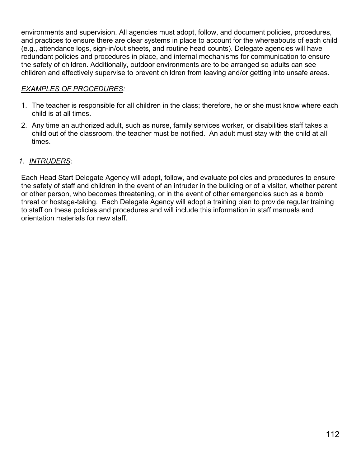environments and supervision. All agencies must adopt, follow, and document policies, procedures, and practices to ensure there are clear systems in place to account for the whereabouts of each child (e.g., attendance logs, sign-in/out sheets, and routine head counts). Delegate agencies will have redundant policies and procedures in place, and internal mechanisms for communication to ensure the safety of children. Additionally, outdoor environments are to be arranged so adults can see children and effectively supervise to prevent children from leaving and/or getting into unsafe areas.

# *EXAMPLES OF PROCEDURES:*

- 1. The teacher is responsible for all children in the class; therefore, he or she must know where each child is at all times.
- 2. Any time an authorized adult, such as nurse, family services worker, or disabilities staff takes a child out of the classroom, the teacher must be notified. An adult must stay with the child at all times.

# *1. INTRUDERS:*

Each Head Start Delegate Agency will adopt, follow, and evaluate policies and procedures to ensure the safety of staff and children in the event of an intruder in the building or of a visitor, whether parent or other person, who becomes threatening, or in the event of other emergencies such as a bomb threat or hostage-taking. Each Delegate Agency will adopt a training plan to provide regular training to staff on these policies and procedures and will include this information in staff manuals and orientation materials for new staff.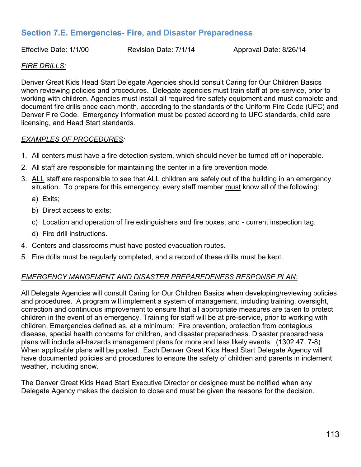# **Section 7.E. Emergencies- Fire, and Disaster Preparedness**

Effective Date: 1/1/00 Revision Date: 7/1/14 Approval Date: 8/26/14

#### *FIRE DRILLS:*

Denver Great Kids Head Start Delegate Agencies should consult Caring for Our Children Basics when reviewing policies and procedures. Delegate agencies must train staff at pre-service, prior to working with children. Agencies must install all required fire safety equipment and must complete and document fire drills once each month, according to the standards of the Uniform Fire Code (UFC) and Denver Fire Code. Emergency information must be posted according to UFC standards, child care licensing, and Head Start standards.

#### *EXAMPLES OF PROCEDURES:*

- 1. All centers must have a fire detection system, which should never be turned off or inoperable.
- 2. All staff are responsible for maintaining the center in a fire prevention mode.
- 3. ALL staff are responsible to see that ALL children are safely out of the building in an emergency situation. To prepare for this emergency, every staff member must know all of the following:
	- a) Exits;
	- b) Direct access to exits;
	- c) Location and operation of fire extinguishers and fire boxes; and current inspection tag.
	- d) Fire drill instructions.
- 4. Centers and classrooms must have posted evacuation routes.
- 5. Fire drills must be regularly completed, and a record of these drills must be kept.

# *EMERGENCY MANGEMENT AND DISASTER PREPAREDENESS RESPONSE PLAN:*

All Delegate Agencies will consult Caring for Our Children Basics when developing/reviewing policies and procedures. A program will implement a system of management, including training, oversight, correction and continuous improvement to ensure that all appropriate measures are taken to protect children in the event of an emergency. Training for staff will be at pre-service, prior to working with children. Emergencies defined as, at a minimum: Fire prevention, protection from contagious disease, special health concerns for children, and disaster preparedness. Disaster preparedness plans will include all-hazards management plans for more and less likely events. (1302.47, 7-8) When applicable plans will be posted. Each Denver Great Kids Head Start Delegate Agency will have documented policies and procedures to ensure the safety of children and parents in inclement weather, including snow.

The Denver Great Kids Head Start Executive Director or designee must be notified when any Delegate Agency makes the decision to close and must be given the reasons for the decision.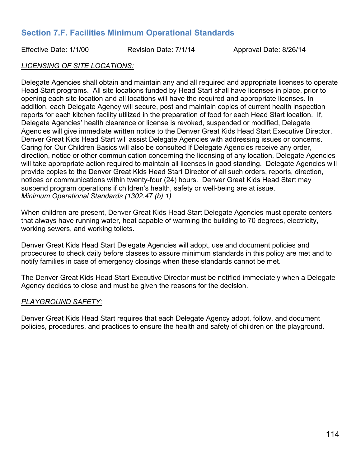# **Section 7.F. Facilities Minimum Operational Standards**

Effective Date: 1/1/00 Revision Date: 7/1/14 Approval Date: 8/26/14

# *LICENSING OF SITE LOCATIONS:*

Delegate Agencies shall obtain and maintain any and all required and appropriate licenses to operate Head Start programs. All site locations funded by Head Start shall have licenses in place, prior to opening each site location and all locations will have the required and appropriate licenses. In addition, each Delegate Agency will secure, post and maintain copies of current health inspection reports for each kitchen facility utilized in the preparation of food for each Head Start location. If, Delegate Agencies' health clearance or license is revoked, suspended or modified, Delegate Agencies will give immediate written notice to the Denver Great Kids Head Start Executive Director. Denver Great Kids Head Start will assist Delegate Agencies with addressing issues or concerns. Caring for Our Children Basics will also be consulted If Delegate Agencies receive any order, direction, notice or other communication concerning the licensing of any location, Delegate Agencies will take appropriate action required to maintain all licenses in good standing. Delegate Agencies will provide copies to the Denver Great Kids Head Start Director of all such orders, reports, direction, notices or communications within twenty-four (24) hours. Denver Great Kids Head Start may suspend program operations if children's health, safety or well-being are at issue. *Minimum Operational Standards (1302.47 (b) 1)*

When children are present, Denver Great Kids Head Start Delegate Agencies must operate centers that always have running water, heat capable of warming the building to 70 degrees, electricity, working sewers, and working toilets.

Denver Great Kids Head Start Delegate Agencies will adopt, use and document policies and procedures to check daily before classes to assure minimum standards in this policy are met and to notify families in case of emergency closings when these standards cannot be met.

The Denver Great Kids Head Start Executive Director must be notified immediately when a Delegate Agency decides to close and must be given the reasons for the decision.

# *PLAYGROUND SAFETY:*

Denver Great Kids Head Start requires that each Delegate Agency adopt, follow, and document policies, procedures, and practices to ensure the health and safety of children on the playground.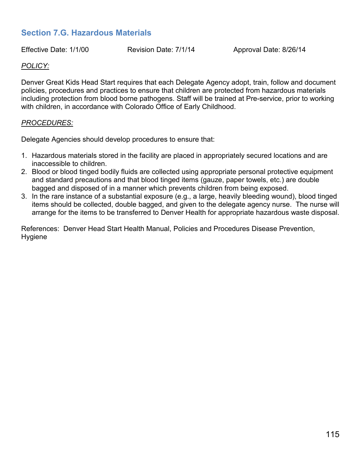# **Section 7.G. Hazardous Materials**

Effective Date: 1/1/00 Revision Date: 7/1/14 Approval Date: 8/26/14

# *POLICY:*

Denver Great Kids Head Start requires that each Delegate Agency adopt, train, follow and document policies, procedures and practices to ensure that children are protected from hazardous materials including protection from blood borne pathogens. Staff will be trained at Pre-service, prior to working with children, in accordance with Colorado Office of Early Childhood.

# *PROCEDURES:*

Delegate Agencies should develop procedures to ensure that:

- 1. Hazardous materials stored in the facility are placed in appropriately secured locations and are inaccessible to children.
- 2. Blood or blood tinged bodily fluids are collected using appropriate personal protective equipment and standard precautions and that blood tinged items (gauze, paper towels, etc.) are double bagged and disposed of in a manner which prevents children from being exposed.
- 3. In the rare instance of a substantial exposure (e.g., a large, heavily bleeding wound), blood tinged items should be collected, double bagged, and given to the delegate agency nurse. The nurse will arrange for the items to be transferred to Denver Health for appropriate hazardous waste disposal.

References: Denver Head Start Health Manual, Policies and Procedures Disease Prevention, **Hygiene**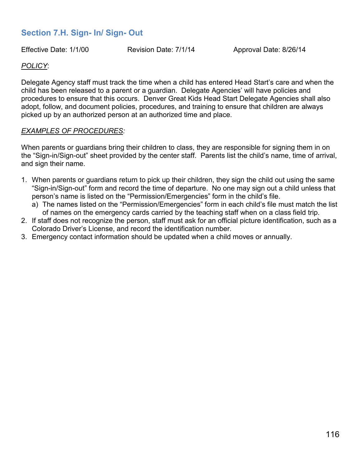# **Section 7.H. Sign- In/ Sign- Out**

Effective Date: 1/1/00 Revision Date: 7/1/14 Approval Date: 8/26/14

# *POLICY*:

Delegate Agency staff must track the time when a child has entered Head Start's care and when the child has been released to a parent or a guardian. Delegate Agencies' will have policies and procedures to ensure that this occurs. Denver Great Kids Head Start Delegate Agencies shall also adopt, follow, and document policies, procedures, and training to ensure that children are always picked up by an authorized person at an authorized time and place.

# *EXAMPLES OF PROCEDURES:*

When parents or guardians bring their children to class, they are responsible for signing them in on the "Sign-in/Sign-out" sheet provided by the center staff. Parents list the child's name, time of arrival, and sign their name.

- 1. When parents or guardians return to pick up their children, they sign the child out using the same "Sign-in/Sign-out" form and record the time of departure. No one may sign out a child unless that person's name is listed on the "Permission/Emergencies" form in the child's file.
	- a) The names listed on the "Permission/Emergencies" form in each child's file must match the list of names on the emergency cards carried by the teaching staff when on a class field trip.
- 2. If staff does not recognize the person, staff must ask for an official picture identification, such as a Colorado Driver's License, and record the identification number.
- 3. Emergency contact information should be updated when a child moves or annually.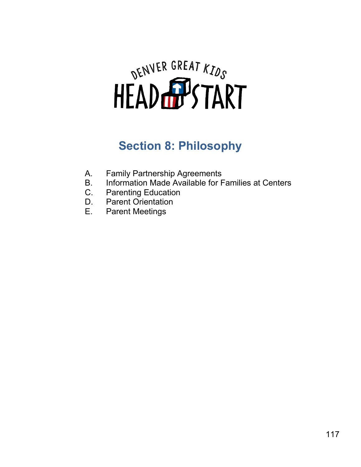# DENVER GREAT KIDS

# **Section 8: Philosophy**

- A. Family Partnership Agreements
- B. Information Made Available for Families at Centers<br>C. Parenting Education
- C. Parenting Education<br>D. Parent Orientation
- **Parent Orientation**
- E. Parent Meetings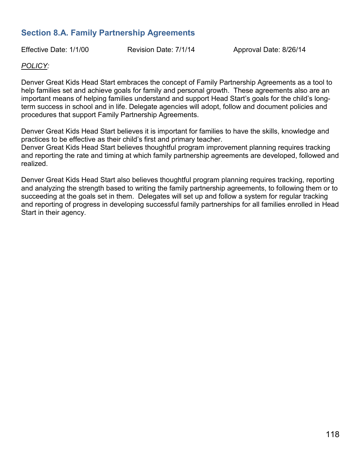# **Section 8.A. Family Partnership Agreements**

Effective Date: 1/1/00 Revision Date: 7/1/14 Approval Date: 8/26/14

# *POLICY:*

Denver Great Kids Head Start embraces the concept of Family Partnership Agreements as a tool to help families set and achieve goals for family and personal growth. These agreements also are an important means of helping families understand and support Head Start's goals for the child's longterm success in school and in life. Delegate agencies will adopt, follow and document policies and procedures that support Family Partnership Agreements.

Denver Great Kids Head Start believes it is important for families to have the skills, knowledge and practices to be effective as their child's first and primary teacher.

Denver Great Kids Head Start believes thoughtful program improvement planning requires tracking and reporting the rate and timing at which family partnership agreements are developed, followed and realized.

Denver Great Kids Head Start also believes thoughtful program planning requires tracking, reporting and analyzing the strength based to writing the family partnership agreements, to following them or to succeeding at the goals set in them. Delegates will set up and follow a system for regular tracking and reporting of progress in developing successful family partnerships for all families enrolled in Head Start in their agency.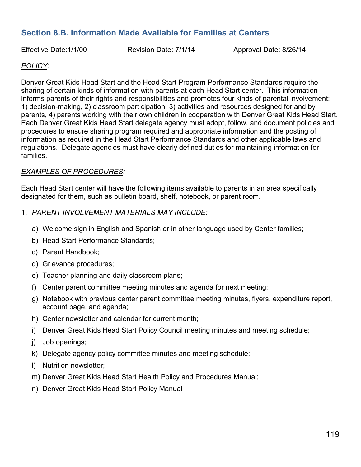# **Section 8.B. Information Made Available for Families at Centers**

Effective Date:1/1/00 Revision Date: 7/1/14 Approval Date: 8/26/14

# *POLICY:*

Denver Great Kids Head Start and the Head Start Program Performance Standards require the sharing of certain kinds of information with parents at each Head Start center. This information informs parents of their rights and responsibilities and promotes four kinds of parental involvement: 1) decision-making, 2) classroom participation, 3) activities and resources designed for and by parents, 4) parents working with their own children in cooperation with Denver Great Kids Head Start. Each Denver Great Kids Head Start delegate agency must adopt, follow, and document policies and procedures to ensure sharing program required and appropriate information and the posting of information as required in the Head Start Performance Standards and other applicable laws and regulations. Delegate agencies must have clearly defined duties for maintaining information for families.

# *EXAMPLES OF PROCEDURES:*

Each Head Start center will have the following items available to parents in an area specifically designated for them, such as bulletin board, shelf, notebook, or parent room.

#### 1. *PARENT INVOLVEMENT MATERIALS MAY INCLUDE:*

- a) Welcome sign in English and Spanish or in other language used by Center families;
- b) Head Start Performance Standards;
- c) Parent Handbook;
- d) Grievance procedures;
- e) Teacher planning and daily classroom plans;
- f) Center parent committee meeting minutes and agenda for next meeting;
- g) Notebook with previous center parent committee meeting minutes, flyers, expenditure report, account page, and agenda;
- h) Center newsletter and calendar for current month;
- i) Denver Great Kids Head Start Policy Council meeting minutes and meeting schedule;
- j) Job openings;
- k) Delegate agency policy committee minutes and meeting schedule;
- l) Nutrition newsletter;
- m) Denver Great Kids Head Start Health Policy and Procedures Manual;
- n) Denver Great Kids Head Start Policy Manual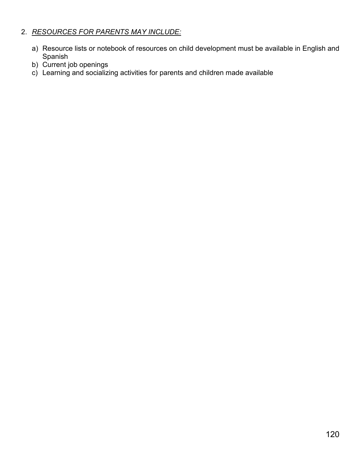# 2. *RESOURCES FOR PARENTS MAY INCLUDE:*

- a) Resource lists or notebook of resources on child development must be available in English and Spanish
- b) Current job openings
- c) Learning and socializing activities for parents and children made available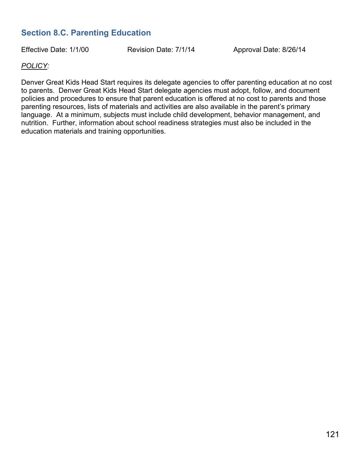# **Section 8.C. Parenting Education**

Effective Date: 1/1/00 Revision Date: 7/1/14 Approval Date: 8/26/14

# *POLICY:*

Denver Great Kids Head Start requires its delegate agencies to offer parenting education at no cost to parents. Denver Great Kids Head Start delegate agencies must adopt, follow, and document policies and procedures to ensure that parent education is offered at no cost to parents and those parenting resources, lists of materials and activities are also available in the parent's primary language. At a minimum, subjects must include child development, behavior management, and nutrition. Further, information about school readiness strategies must also be included in the education materials and training opportunities.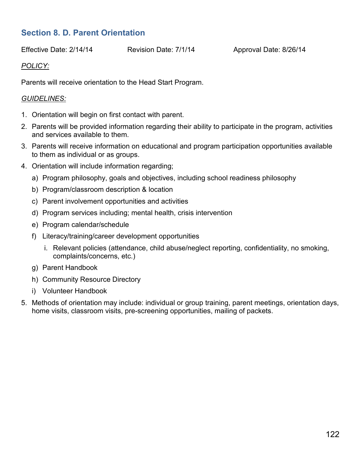# **Section 8. D. Parent Orientation**

Effective Date: 2/14/14 Revision Date: 7/1/14 Approval Date: 8/26/14

# *POLICY:*

Parents will receive orientation to the Head Start Program.

# *GUIDELINES:*

- 1. Orientation will begin on first contact with parent.
- 2. Parents will be provided information regarding their ability to participate in the program, activities and services available to them.
- 3. Parents will receive information on educational and program participation opportunities available to them as individual or as groups.
- 4. Orientation will include information regarding;
	- a) Program philosophy, goals and objectives, including school readiness philosophy
	- b) Program/classroom description & location
	- c) Parent involvement opportunities and activities
	- d) Program services including; mental health, crisis intervention
	- e) Program calendar/schedule
	- f) Literacy/training/career development opportunities
		- i. Relevant policies (attendance, child abuse/neglect reporting, confidentiality, no smoking, complaints/concerns, etc.)
	- g) Parent Handbook
	- h) Community Resource Directory
	- i) Volunteer Handbook
- 5. Methods of orientation may include: individual or group training, parent meetings, orientation days, home visits, classroom visits, pre-screening opportunities, mailing of packets.